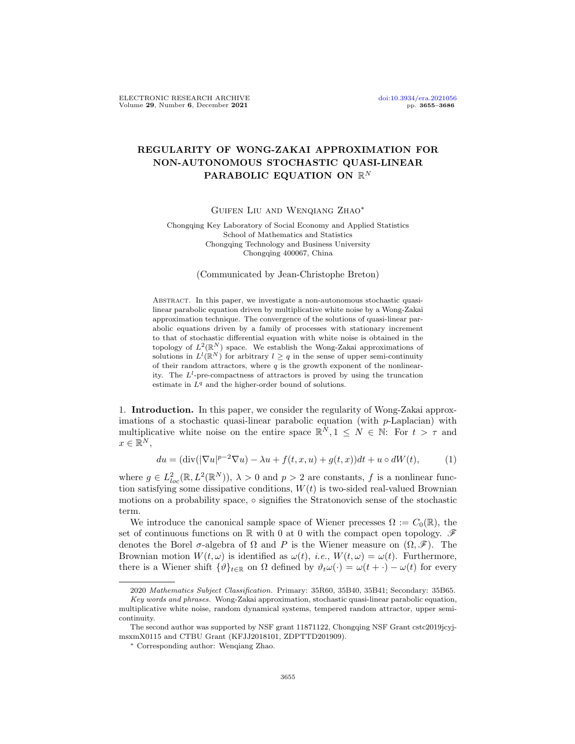## REGULARITY OF WONG-ZAKAI APPROXIMATION FOR NON-AUTONOMOUS STOCHASTIC QUASI-LINEAR PARABOLIC EQUATION ON  $\mathbb{R}^N$

Guifen Liu and Wenqiang Zhao∗

Chongqing Key Laboratory of Social Economy and Applied Statistics School of Mathematics and Statistics Chongqing Technology and Business University Chongqing 400067, China

(Communicated by Jean-Christophe Breton)

ABSTRACT. In this paper, we investigate a non-autonomous stochastic quasilinear parabolic equation driven by multiplicative white noise by a Wong-Zakai approximation technique. The convergence of the solutions of quasi-linear parabolic equations driven by a family of processes with stationary increment to that of stochastic differential equation with white noise is obtained in the topology of  $L^2(\mathbb{R}^N)$  space. We establish the Wong-Zakai approximations of solutions in  $L^l(\mathbb{R}^N)$  for arbitrary  $l \geq q$  in the sense of upper semi-continuity of their random attractors, where  $q$  is the growth exponent of the nonlinearity. The  $L^l$ -pre-compactness of attractors is proved by using the truncation estimate in  $L<sup>q</sup>$  and the higher-order bound of solutions.

1. Introduction. In this paper, we consider the regularity of Wong-Zakai approximations of a stochastic quasi-linear parabolic equation (with p-Laplacian) with multiplicative white noise on the entire space  $\mathbb{R}^N, 1 \leq N \in \mathbb{N}$ : For  $t > \tau$  and  $x \in \mathbb{R}^N$ ,

<span id="page-0-0"></span>
$$
du = (\text{div}(|\nabla u|^{p-2}\nabla u) - \lambda u + f(t, x, u) + g(t, x))dt + u \circ dW(t), \tag{1}
$$

where  $g \in L^2_{loc}(\mathbb{R}, L^2(\mathbb{R}^N))$ ,  $\lambda > 0$  and  $p > 2$  are constants, f is a nonlinear function satisfying some dissipative conditions,  $W(t)$  is two-sided real-valued Brownian motions on a probability space, ◦ signifies the Stratonovich sense of the stochastic term.

We introduce the canonical sample space of Wiener precesses  $\Omega := C_0(\mathbb{R})$ , the set of continuous functions on R with 0 at 0 with the compact open topology.  $\mathscr F$ denotes the Borel  $\sigma$ -algebra of  $\Omega$  and P is the Wiener measure on  $(\Omega, \mathscr{F})$ . The Brownian motion  $W(t, \omega)$  is identified as  $\omega(t)$ , *i.e.*,  $W(t, \omega) = \omega(t)$ . Furthermore, there is a Wiener shift  $\{\vartheta\}_{t\in\mathbb{R}}$  on  $\Omega$  defined by  $\vartheta_t\omega(\cdot) = \omega(t + \cdot) - \omega(t)$  for every

<sup>2020</sup> Mathematics Subject Classification. Primary: 35R60, 35B40, 35B41; Secondary: 35B65.

Key words and phrases. Wong-Zakai approximation, stochastic quasi-linear parabolic equation, multiplicative white noise, random dynamical systems, tempered random attractor, upper semicontinuity.

The second author was supported by NSF grant 11871122, Chongqing NSF Grant cstc2019jcyjmsxmX0115 and CTBU Grant (KFJJ2018101, ZDPTTD201909).

<sup>∗</sup> Corresponding author: Wenqiang Zhao.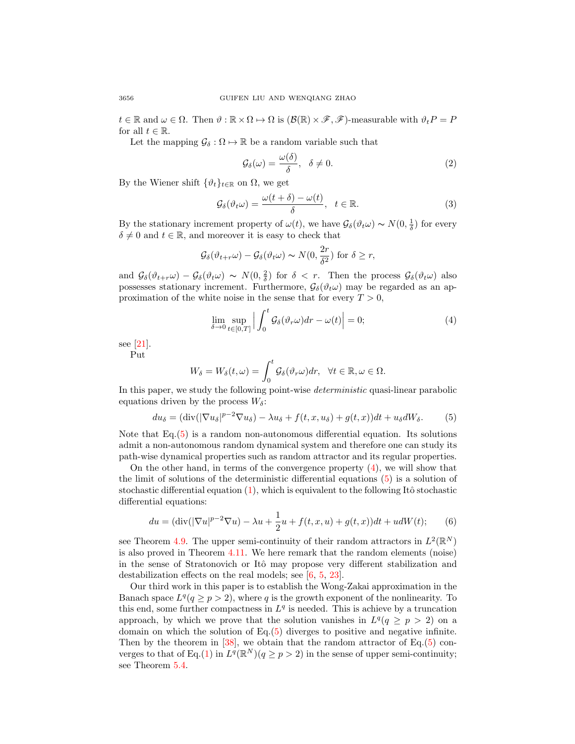$t \in \mathbb{R}$  and  $\omega \in \Omega$ . Then  $\vartheta : \mathbb{R} \times \Omega \mapsto \Omega$  is  $(\mathcal{B}(\mathbb{R}) \times \mathscr{F}, \mathscr{F})$ -measurable with  $\vartheta_t P = P$ for all  $t \in \mathbb{R}$ .

Let the mapping  $\mathcal{G}_{\delta} : \Omega \mapsto \mathbb{R}$  be a random variable such that

<span id="page-1-3"></span><span id="page-1-2"></span>
$$
\mathcal{G}_{\delta}(\omega) = \frac{\omega(\delta)}{\delta}, \quad \delta \neq 0. \tag{2}
$$

By the Wiener shift  $\{\vartheta_t\}_{t\in\mathbb{R}}$  on  $\Omega$ , we get

$$
\mathcal{G}_{\delta}(\vartheta_t \omega) = \frac{\omega(t+\delta) - \omega(t)}{\delta}, \quad t \in \mathbb{R}.
$$
\n(3)

By the stationary increment property of  $\omega(t)$ , we have  $\mathcal{G}_{\delta}(\vartheta_t\omega) \sim N(0, \frac{1}{\delta})$  for every  $\delta \neq 0$  and  $t \in \mathbb{R}$ , and moreover it is easy to check that

$$
\mathcal{G}_{\delta}(\vartheta_{t+r}\omega) - \mathcal{G}_{\delta}(\vartheta_t\omega) \sim N(0, \frac{2r}{\delta^2}) \text{ for } \delta \ge r,
$$

and  $\mathcal{G}_{\delta}(\vartheta_{t+r}\omega) - \mathcal{G}_{\delta}(\vartheta_t\omega) \sim N(0,\frac{2}{\delta})$  for  $\delta < r$ . Then the process  $\mathcal{G}_{\delta}(\vartheta_t\omega)$  also possesses stationary increment. Furthermore,  $\mathcal{G}_{\delta}(\vartheta_t\omega)$  may be regarded as an approximation of the white noise in the sense that for every  $T > 0$ ,

<span id="page-1-1"></span><span id="page-1-0"></span>
$$
\lim_{\delta \to 0} \sup_{t \in [0,T]} \left| \int_0^t \mathcal{G}_{\delta}(\vartheta_r \omega) dr - \omega(t) \right| = 0; \tag{4}
$$

see [\[21\]](#page-30-0).

Put

<span id="page-1-4"></span>
$$
W_{\delta}=W_{\delta}(t,\omega)=\int_0^t\mathcal{G}_{\delta}(\vartheta_r\omega)dr,\quad\forall t\in\mathbb{R},\omega\in\Omega.
$$

In this paper, we study the following point-wise deterministic quasi-linear parabolic equations driven by the process  $W_{\delta}$ :

$$
du_{\delta} = (\text{div}(|\nabla u_{\delta}|^{p-2}\nabla u_{\delta}) - \lambda u_{\delta} + f(t, x, u_{\delta}) + g(t, x))dt + u_{\delta}dW_{\delta}.
$$
 (5)

Note that Eq.[\(5\)](#page-1-0) is a random non-autonomous differential equation. Its solutions admit a non-autonomous random dynamical system and therefore one can study its path-wise dynamical properties such as random attractor and its regular properties.

On the other hand, in terms of the convergence property  $(4)$ , we will show that the limit of solutions of the deterministic differential equations [\(5\)](#page-1-0) is a solution of stochastic differential equation  $(1)$ , which is equivalent to the following Itô stochastic differential equations:

$$
du = (\text{div}(|\nabla u|^{p-2}\nabla u) - \lambda u + \frac{1}{2}u + f(t, x, u) + g(t, x))dt + u dW(t); \qquad (6)
$$

see Theorem [4.9.](#page-19-0) The upper semi-continuity of their random attractors in  $L^2(\mathbb{R}^N)$ is also proved in Theorem [4.11.](#page-20-0) We here remark that the random elements (noise) in the sense of Stratonovich or Itô may propose very different stabilization and destabilization effects on the real models; see [\[6,](#page-30-1) [5,](#page-30-2) [23\]](#page-31-0).

Our third work in this paper is to establish the Wong-Zakai approximation in the Banach space  $L^q(q \geq p > 2)$ , where q is the growth exponent of the nonlinearity. To this end, some further compactness in  $L<sup>q</sup>$  is needed. This is achieve by a truncation approach, by which we prove that the solution vanishes in  $L^q(q \geq p > 2)$  on a domain on which the solution of  $Eq.(5)$  $Eq.(5)$  diverges to positive and negative infinite. Then by the theorem in  $[38]$ , we obtain that the random attractor of Eq. $(5)$  con-verges to that of Eq.[\(1\)](#page-0-0) in  $L^q(\mathbb{R}^N)(q \geq p > 2)$  in the sense of upper semi-continuity; see Theorem [5.4.](#page-26-0)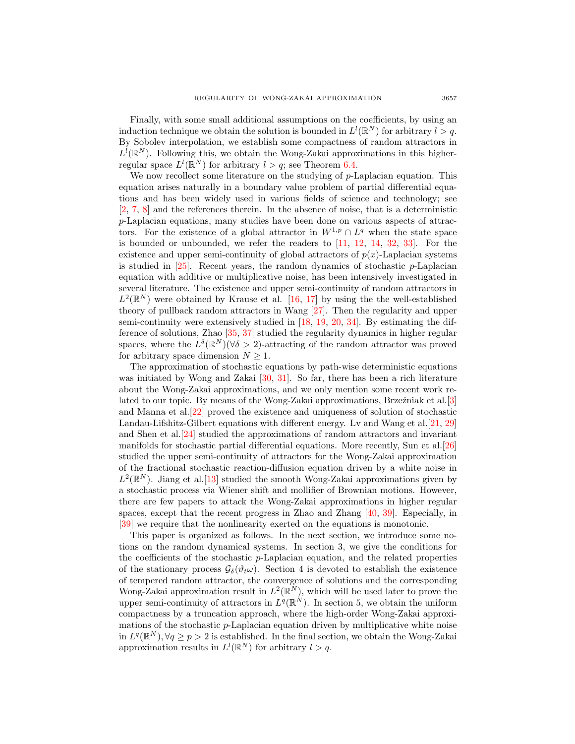Finally, with some small additional assumptions on the coefficients, by using an induction technique we obtain the solution is bounded in  $L^l(\mathbb{R}^N)$  for arbitrary  $l > q$ . By Sobolev interpolation, we establish some compactness of random attractors in  $L^{\tilde{l}}(\mathbb{R}^N)$ . Following this, we obtain the Wong-Zakai approximations in this higherregular space  $L^l(\mathbb{R}^N)$  for arbitrary  $l > q$ ; see Theorem [6.4.](#page-30-3)

We now recollect some literature on the studying of  $p$ -Laplacian equation. This equation arises naturally in a boundary value problem of partial differential equations and has been widely used in various fields of science and technology; see [\[2,](#page-30-4) [7,](#page-30-5) [8\]](#page-30-6) and the references therein. In the absence of noise, that is a deterministic p-Laplacian equations, many studies have been done on various aspects of attractors. For the existence of a global attractor in  $W^{1,p} \cap L^q$  when the state space is bounded or unbounded, we refer the readers to  $[11, 12, 14, 32, 33]$  $[11, 12, 14, 32, 33]$  $[11, 12, 14, 32, 33]$  $[11, 12, 14, 32, 33]$  $[11, 12, 14, 32, 33]$  $[11, 12, 14, 32, 33]$  $[11, 12, 14, 32, 33]$  $[11, 12, 14, 32, 33]$  $[11, 12, 14, 32, 33]$ . For the existence and upper semi-continuity of global attractors of  $p(x)$ -Laplacian systems is studied in  $[25]$ . Recent years, the random dynamics of stochastic p-Laplacian equation with additive or multiplicative noise, has been intensively investigated in several literature. The existence and upper semi-continuity of random attractors in  $L^2(\mathbb{R}^N)$  were obtained by Krause et al. [\[16,](#page-30-10) [17\]](#page-30-11) by using the the well-established theory of pullback random attractors in Wang [\[27\]](#page-31-5). Then the regularity and upper semi-continuity were extensively studied in [\[18,](#page-30-12) [19,](#page-30-13) [20,](#page-30-14) [34\]](#page-31-6). By estimating the difference of solutions, Zhao [\[35,](#page-31-7) [37\]](#page-31-8) studied the regularity dynamics in higher regular spaces, where the  $L^{\delta}(\mathbb{R}^N)(\forall \delta > 2)$ -attracting of the random attractor was proved for arbitrary space dimension  $N \geq 1$ .

The approximation of stochastic equations by path-wise deterministic equations was initiated by Wong and Zakai [\[30,](#page-31-9) [31\]](#page-31-10). So far, there has been a rich literature about the Wong-Zakai approximations, and we only mention some recent work related to our topic. By means of the Wong-Zakai approximations, Brzeźniak et al.  $[3]$ and Manna et al.[\[22\]](#page-31-11) proved the existence and uniqueness of solution of stochastic Landau-Lifshitz-Gilbert equations with different energy. Lv and Wang et al.[\[21,](#page-30-0) [29\]](#page-31-12) and Shen et al.[\[24\]](#page-31-13) studied the approximations of random attractors and invariant manifolds for stochastic partial differential equations. More recently, Sun et al.[\[26\]](#page-31-14) studied the upper semi-continuity of attractors for the Wong-Zakai approximation of the fractional stochastic reaction-diffusion equation driven by a white noise in  $L^2(\mathbb{R}^N)$ . Jiang et al. [\[13\]](#page-30-16) studied the smooth Wong-Zakai approximations given by a stochastic process via Wiener shift and mollifier of Brownian motions. However, there are few papers to attack the Wong-Zakai approximations in higher regular spaces, except that the recent progress in Zhao and Zhang [\[40,](#page-31-15) [39\]](#page-31-16). Especially, in [\[39\]](#page-31-16) we require that the nonlinearity exerted on the equations is monotonic.

This paper is organized as follows. In the next section, we introduce some notions on the random dynamical systems. In section 3, we give the conditions for the coefficients of the stochastic p-Laplacian equation, and the related properties of the stationary process  $\mathcal{G}_{\delta}(\vartheta_t\omega)$ . Section 4 is devoted to establish the existence of tempered random attractor, the convergence of solutions and the corresponding Wong-Zakai approximation result in  $L^2(\mathbb{R}^N)$ , which will be used later to prove the upper semi-continuity of attractors in  $L^q(\mathbb{R}^N)$ . In section 5, we obtain the uniform compactness by a truncation approach, where the high-order Wong-Zakai approximations of the stochastic  $p$ -Laplacian equation driven by multiplicative white noise in  $L^q(\mathbb{R}^N), \forall q \geq p > 2$  is established. In the final section, we obtain the Wong-Zakai approximation results in  $L^l(\mathbb{R}^N)$  for arbitrary  $l > q$ .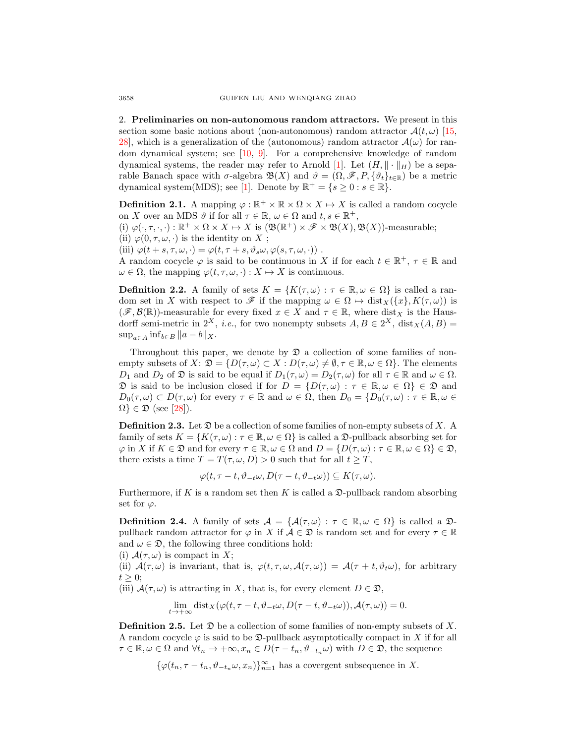2. Preliminaries on non-autonomous random attractors. We present in this section some basic notions about (non-autonomous) random attractor  $\mathcal{A}(t, \omega)$  [\[15,](#page-30-17) 28, which is a generalization of the (autonomous) random attractor  $\mathcal{A}(\omega)$  for random dynamical system; see [\[10,](#page-30-18) [9\]](#page-30-19). For a comprehensive knowledge of random dynamical systems, the reader may refer to Arnold [\[1\]](#page-30-20). Let  $(H, \|\cdot\|_H)$  be a separable Banach space with  $\sigma$ -algebra  $\mathfrak{B}(X)$  and  $\vartheta = (\Omega, \mathscr{F}, P, \{\vartheta_t\}_{t\in\mathbb{R}})$  be a metric dynamical system(MDS); see [\[1\]](#page-30-20). Denote by  $\mathbb{R}^+ = \{s \geq 0 : s \in \mathbb{R}\}.$ 

**Definition 2.1.** A mapping  $\varphi : \mathbb{R}^+ \times \mathbb{R} \times \Omega \times X \mapsto X$  is called a random cocycle on X over an MDS  $\vartheta$  if for all  $\tau \in \mathbb{R}$ ,  $\omega \in \Omega$  and  $t, s \in \mathbb{R}^+$ ,

(i)  $\varphi(\cdot, \tau, \cdot, \cdot) : \mathbb{R}^+ \times \Omega \times X \mapsto X$  is  $(\mathfrak{B}(\mathbb{R}^+) \times \mathscr{F} \times \mathfrak{B}(X), \mathfrak{B}(X))$ -measurable;

(ii)  $\varphi(0, \tau, \omega, \cdot)$  is the identity on X;

(iii)  $\varphi(t+s,\tau,\omega,\cdot) = \varphi(t,\tau+s,\vartheta_s\omega,\varphi(s,\tau,\omega,\cdot))$ .

A random cocycle  $\varphi$  is said to be continuous in X if for each  $t \in \mathbb{R}^+$ ,  $\tau \in \mathbb{R}$  and  $\omega \in \Omega$ , the mapping  $\varphi(t, \tau, \omega, \cdot) : X \mapsto X$  is continuous.

**Definition 2.2.** A family of sets  $K = \{K(\tau,\omega) : \tau \in \mathbb{R}, \omega \in \Omega\}$  is called a random set in X with respect to  $\mathscr F$  if the mapping  $\omega \in \Omega \mapsto \text{dist}_X(\{x\}, K(\tau, \omega))$  is  $(\mathscr{F}, \mathcal{B}(\mathbb{R}))$ -measurable for every fixed  $x \in X$  and  $\tau \in \mathbb{R}$ , where dist<sub>X</sub> is the Hausdorff semi-metric in  $2^X$ , *i.e.*, for two nonempty subsets  $A, B \in 2^X$ ,  $dist_X(A, B) =$  $\sup_{a\in A} \inf_{b\in B} ||a-b||_X.$ 

Throughout this paper, we denote by  $\mathfrak D$  a collection of some families of nonempty subsets of  $X: \mathfrak{D} = \{D(\tau, \omega) \subset X : D(\tau, \omega) \neq \emptyset, \tau \in \mathbb{R}, \omega \in \Omega\}.$  The elements  $D_1$  and  $D_2$  of  $\mathfrak D$  is said to be equal if  $D_1(\tau,\omega) = D_2(\tau,\omega)$  for all  $\tau \in \mathbb R$  and  $\omega \in \Omega$ .  $\mathfrak D$  is said to be inclusion closed if for  $D = \{D(\tau, \omega) : \tau \in \mathbb R, \omega \in \Omega\} \in \mathfrak D$  and  $D_0(\tau,\omega) \subset D(\tau,\omega)$  for every  $\tau \in \mathbb{R}$  and  $\omega \in \Omega$ , then  $D_0 = \{D_0(\tau,\omega) : \tau \in \mathbb{R}, \omega \in \Omega\}$  $\Omega$   $\in \mathfrak{D}$  (see [\[28\]](#page-31-17)).

**Definition 2.3.** Let  $\mathfrak{D}$  be a collection of some families of non-empty subsets of X. A family of sets  $K = \{K(\tau, \omega) : \tau \in \mathbb{R}, \omega \in \Omega\}$  is called a  $\mathfrak{D}\text{-pullback absorbing set for}$  $\varphi$  in X if  $K \in \mathfrak{D}$  and for every  $\tau \in \mathbb{R}, \omega \in \Omega$  and  $D = \{D(\tau, \omega) : \tau \in \mathbb{R}, \omega \in \Omega\} \in \mathfrak{D}$ , there exists a time  $T = T(\tau, \omega, D) > 0$  such that for all  $t \geq T$ ,

$$
\varphi(t,\tau-t,\vartheta_{-t}\omega,D(\tau-t,\vartheta_{-t}\omega))\subseteq K(\tau,\omega).
$$

Furthermore, if K is a random set then K is called a  $\mathfrak{D}\text{-pullback random absorbing}$ set for  $\varphi$ .

**Definition 2.4.** A family of sets  $\mathcal{A} = \{ \mathcal{A}(\tau,\omega) : \tau \in \mathbb{R}, \omega \in \Omega \}$  is called a  $\mathcal{D}$ pullback random attractor for  $\varphi$  in X if  $\mathcal{A} \in \mathfrak{D}$  is random set and for every  $\tau \in \mathbb{R}$ and  $\omega \in \mathfrak{D}$ , the following three conditions hold:

(i)  $\mathcal{A}(\tau,\omega)$  is compact in X;

(ii)  $\mathcal{A}(\tau,\omega)$  is invariant, that is,  $\varphi(t,\tau,\omega,\mathcal{A}(\tau,\omega)) = \mathcal{A}(\tau + t, \vartheta_t\omega)$ , for arbitrary  $t \geq 0$ ;

(iii)  $\mathcal{A}(\tau,\omega)$  is attracting in X, that is, for every element  $D \in \mathfrak{D}$ ,

$$
\lim_{t \to +\infty} \text{dist}_X(\varphi(t, \tau - t, \vartheta_{-t}\omega, D(\tau - t, \vartheta_{-t}\omega)), \mathcal{A}(\tau, \omega)) = 0.
$$

**Definition 2.5.** Let  $\mathfrak{D}$  be a collection of some families of non-empty subsets of X. A random cocycle  $\varphi$  is said to be  $\mathfrak{D}\text{-}\mathrm{pullback}$  asymptotically compact in X if for all  $\tau \in \mathbb{R}, \omega \in \Omega$  and  $\forall t_n \to +\infty, x_n \in D(\tau - t_n, \vartheta_{-t_n}\omega)$  with  $D \in \mathfrak{D}$ , the sequence

 $\{\varphi(t_n, \tau - t_n, \vartheta_{-t_n}\omega, x_n)\}_{n=1}^{\infty}$  has a covergent subsequence in X.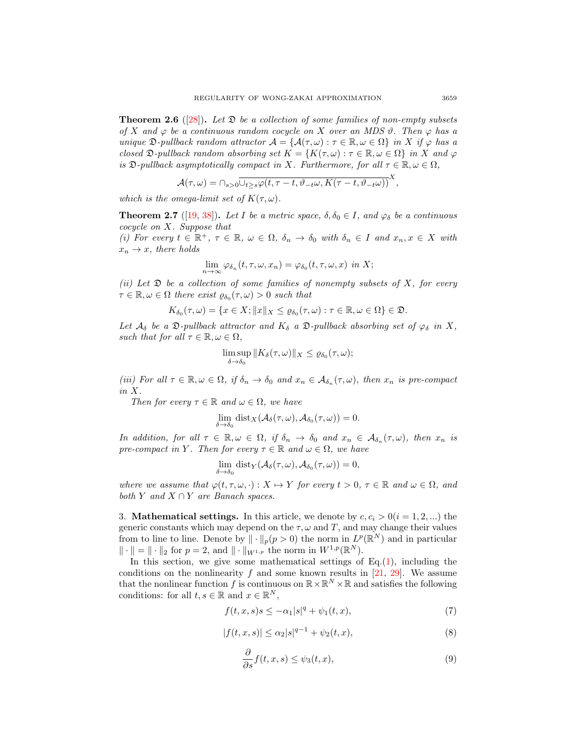<span id="page-4-2"></span>**Theorem 2.6** ([\[28\]](#page-31-17)). Let  $\mathfrak{D}$  be a collection of some families of non-empty subsets of X and  $\varphi$  be a continuous random cocycle on X over an MDS  $\vartheta$ . Then  $\varphi$  has a unique  $\mathfrak{D}\text{-}\text{pullback random attractor } \mathcal{A} = \{ \mathcal{A}(\tau, \omega) : \tau \in \mathbb{R}, \omega \in \Omega \}$  in X if  $\varphi$  has a closed  $\mathfrak{D}\text{-}\text{pullback random absorbing set } K = \{K(\tau,\omega): \tau \in \mathbb{R}, \omega \in \Omega\}$  in X and  $\varphi$ is  $\mathfrak{D}\text{-}\text{pullback asymptotically compact in }X$ . Furthermore, for all  $\tau \in \mathbb{R}, \omega \in \Omega$ ,

$$
\mathcal{A}(\tau,\omega) = \bigcap_{s>0} \overline{\bigcup_{t\geq s} \varphi(t,\tau-t,\vartheta_{-t}\omega,K(\tau-t,\vartheta_{-t}\omega)\big)}^X,
$$

which is the omega-limit set of  $K(\tau,\omega)$ .

<span id="page-4-4"></span>**Theorem 2.7** ([\[19,](#page-30-13) [38\]](#page-31-1)). Let I be a metric space,  $\delta, \delta_0 \in I$ , and  $\varphi_{\delta}$  be a continuous cocycle on X. Suppose that

(i) For every  $t \in \mathbb{R}^+, \tau \in \mathbb{R}, \omega \in \Omega, \delta_n \to \delta_0$  with  $\delta_n \in I$  and  $x_n, x \in X$  with  $x_n \to x$ , there holds

$$
\lim_{n \to \infty} \varphi_{\delta_n}(t, \tau, \omega, x_n) = \varphi_{\delta_0}(t, \tau, \omega, x) \text{ in } X;
$$

(ii) Let  $\mathfrak D$  be a collection of some families of nonempty subsets of X, for every  $\tau \in \mathbb{R}, \omega \in \Omega$  there exist  $\varrho_{\delta_0}(\tau, \omega) > 0$  such that

$$
K_{\delta_0}(\tau,\omega)=\{x\in X; \|x\|_X\leq \varrho_{\delta_0}(\tau,\omega): \tau\in\mathbb{R}, \omega\in\Omega\}\in\mathfrak{D}.
$$

Let  $\mathcal{A}_{\delta}$  be a  $\mathfrak{D}\text{-}\mathit{pullback}$  attractor and  $K_{\delta}$  a  $\mathfrak{D}\text{-}\mathit{pullback}$  absorbing set of  $\varphi_{\delta}$  in X, such that for all  $\tau \in \mathbb{R}, \omega \in \Omega$ ,

$$
\limsup_{\delta \to \delta_0} ||K_{\delta}(\tau,\omega)||_X \leq \varrho_{\delta_0}(\tau,\omega);
$$

(iii) For all  $\tau \in \mathbb{R}, \omega \in \Omega$ , if  $\delta_n \to \delta_0$  and  $x_n \in \mathcal{A}_{\delta_n}(\tau, \omega)$ , then  $x_n$  is pre-compact in X.

Then for every  $\tau \in \mathbb{R}$  and  $\omega \in \Omega$ , we have

$$
\lim_{\delta \to \delta_0} \text{dist}_X(\mathcal{A}_{\delta}(\tau,\omega), \mathcal{A}_{\delta_0}(\tau,\omega)) = 0.
$$

In addition, for all  $\tau \in \mathbb{R}, \omega \in \Omega$ , if  $\delta_n \to \delta_0$  and  $x_n \in \mathcal{A}_{\delta_n}(\tau, \omega)$ , then  $x_n$  is pre-compact in Y. Then for every  $\tau \in \mathbb{R}$  and  $\omega \in \Omega$ , we have

$$
\lim_{\delta \to \delta_0} \text{dist}_Y(\mathcal{A}_{\delta}(\tau, \omega), \mathcal{A}_{\delta_0}(\tau, \omega)) = 0,
$$

where we assume that  $\varphi(t, \tau, \omega, \cdot) : X \mapsto Y$  for every  $t > 0, \tau \in \mathbb{R}$  and  $\omega \in \Omega$ , and both Y and  $X \cap Y$  are Banach spaces.

3. **Mathematical settings.** In this article, we denote by  $c, c_i > 0$  ( $i = 1, 2, ...$ ) the generic constants which may depend on the  $\tau$ ,  $\omega$  and  $T$ , and may change their values from to line to line. Denote by  $\|\cdot\|_p(p>0)$  the norm in  $L^p(\mathbb{R}^N)$  and in particular  $\|\cdot\| = \|\cdot\|_2$  for  $p = 2$ , and  $\|\cdot\|_{W^{1,p}}$  the norm in  $W^{1,p}(\mathbb{R}^N)$ .

In this section, we give some mathematical settings of  $Eq.(1)$  $Eq.(1)$ , including the conditions on the nonlinearity  $f$  and some known results in [\[21,](#page-30-0) [29\]](#page-31-12). We assume that the nonlinear function f is continuous on  $\mathbb{R} \times \mathbb{R}^N \times \mathbb{R}$  and satisfies the following conditions: for all  $t, s \in \mathbb{R}$  and  $x \in \mathbb{R}^N$ ,

$$
f(t, x, s)s \le -\alpha_1 |s|^q + \psi_1(t, x), \tag{7}
$$

$$
|f(t, x, s)| \le \alpha_2 |s|^{q-1} + \psi_2(t, x), \tag{8}
$$

<span id="page-4-3"></span><span id="page-4-1"></span><span id="page-4-0"></span>
$$
\frac{\partial}{\partial s}f(t,x,s) \le \psi_3(t,x),\tag{9}
$$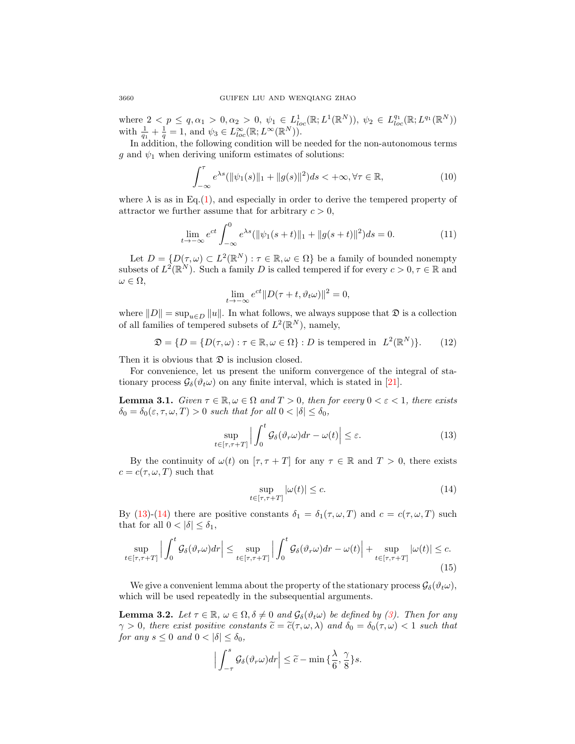where  $2 < p \le q, \alpha_1 > 0, \alpha_2 > 0, \psi_1 \in L^1_{loc}(\mathbb{R}; L^1(\mathbb{R}^N)), \psi_2 \in L^q_{loc}(\mathbb{R}; L^{q_1}(\mathbb{R}^N))$ with  $\frac{1}{q_1} + \frac{1}{q} = 1$ , and  $\psi_3 \in L^{\infty}_{loc}(\mathbb{R}; L^{\infty}(\mathbb{R}^N)).$ 

In addition, the following condition will be needed for the non-autonomous terms g and  $\psi_1$  when deriving uniform estimates of solutions:

$$
\int_{-\infty}^{\tau} e^{\lambda s} (\|\psi_1(s)\|_1 + \|g(s)\|^2) ds < +\infty, \forall \tau \in \mathbb{R},
$$
\n(10)

where  $\lambda$  is as in Eq.[\(1\)](#page-0-0), and especially in order to derive the tempered property of attractor we further assume that for arbitrary  $c > 0$ ,

$$
\lim_{t \to -\infty} e^{ct} \int_{-\infty}^{0} e^{\lambda s} (\|\psi_1(s+t)\|_1 + \|g(s+t)\|^2) ds = 0.
$$
 (11)

Let  $D = \{D(\tau, \omega) \subset L^2(\mathbb{R}^N) : \tau \in \mathbb{R}, \omega \in \Omega\}$  be a family of bounded nonempty subsets of  $L^2(\mathbb{R}^N)$ . Such a family D is called tempered if for every  $c > 0, \tau \in \mathbb{R}$  and  $\omega \in \Omega$ ,

<span id="page-5-4"></span><span id="page-5-3"></span><span id="page-5-2"></span>
$$
\lim_{t \to -\infty} e^{ct} \| D(\tau + t, \vartheta_t \omega) \|^2 = 0,
$$

where  $||D|| = \sup_{u \in D} ||u||$ . In what follows, we always suppose that  $\mathfrak{D}$  is a collection of all families of tempered subsets of  $L^2(\mathbb{R}^N)$ , namely,

$$
\mathfrak{D} = \{ D = \{ D(\tau, \omega) : \tau \in \mathbb{R}, \omega \in \Omega \} : D \text{ is tempered in } L^2(\mathbb{R}^N) \}. \tag{12}
$$

Then it is obvious that  $\mathfrak D$  is inclusion closed.

For convenience, let us present the uniform convergence of the integral of stationary process  $\mathcal{G}_{\delta}(\vartheta_t\omega)$  on any finite interval, which is stated in [\[21\]](#page-30-0).

<span id="page-5-6"></span>**Lemma 3.1.** Given  $\tau \in \mathbb{R}, \omega \in \Omega$  and  $T > 0$ , then for every  $0 < \varepsilon < 1$ , there exists  $\delta_0 = \delta_0(\varepsilon, \tau, \omega, T) > 0$  such that for all  $0 < |\delta| \leq \delta_0$ ,

$$
\sup_{t \in [\tau, \tau + T]} \left| \int_0^t \mathcal{G}_\delta(\vartheta_r \omega) dr - \omega(t) \right| \le \varepsilon. \tag{13}
$$

By the continuity of  $\omega(t)$  on  $[\tau, \tau + T]$  for any  $\tau \in \mathbb{R}$  and  $T > 0$ , there exists  $c = c(\tau, \omega, T)$  such that

<span id="page-5-7"></span><span id="page-5-1"></span><span id="page-5-0"></span>
$$
\sup_{t \in [\tau, \tau + T]} |\omega(t)| \le c. \tag{14}
$$

By [\(13\)](#page-5-0)-[\(14\)](#page-5-1) there are positive constants  $\delta_1 = \delta_1(\tau, \omega, T)$  and  $c = c(\tau, \omega, T)$  such that for all  $0 < |\delta| \leq \delta_1$ ,

$$
\sup_{t \in [\tau, \tau + T]} \Big| \int_0^t \mathcal{G}_\delta(\vartheta_r \omega) dr \Big| \le \sup_{t \in [\tau, \tau + T]} \Big| \int_0^t \mathcal{G}_\delta(\vartheta_r \omega) dr - \omega(t) \Big| + \sup_{t \in [\tau, \tau + T]} |\omega(t)| \le c. \tag{15}
$$

We give a convenient lemma about the property of the stationary process  $\mathcal{G}_{\delta}(\vartheta_t\omega)$ , which will be used repeatedly in the subsequential arguments.

<span id="page-5-5"></span>**Lemma 3.2.** Let  $\tau \in \mathbb{R}$ ,  $\omega \in \Omega$ ,  $\delta \neq 0$  and  $\mathcal{G}_{\delta}(\vartheta_t \omega)$  be defined by [\(3\)](#page-1-2). Then for any  $\gamma > 0$ , there exist positive constants  $\widetilde{c} = \widetilde{c}(\tau, \omega, \lambda)$  and  $\delta_0 = \delta_0(\tau, \omega) < 1$  such that for any  $s \leq 0$  and  $0 < |\delta| \leq \delta_0$ ,

$$
\Big|\int_{-\tau}^{s} \mathcal{G}_{\delta}(\vartheta_r \omega) dr \Big| \leq \widetilde{c} - \min \big\{ \frac{\lambda}{6}, \frac{\gamma}{8} \big\} s.
$$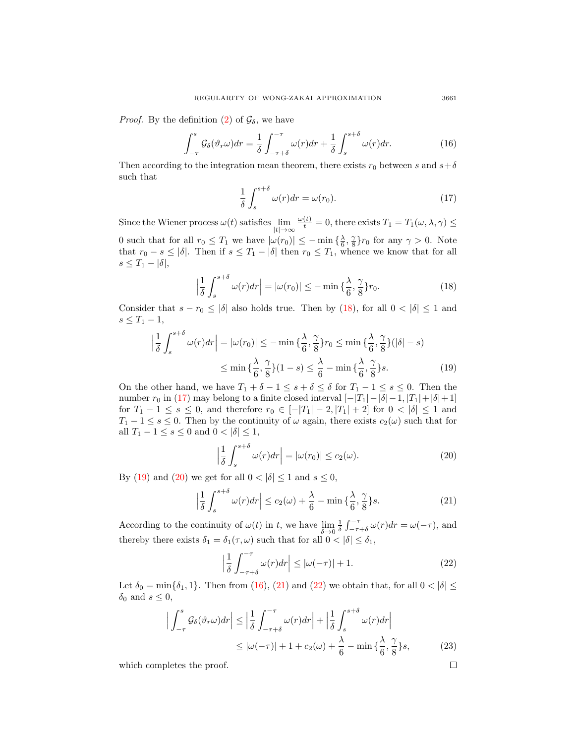*Proof.* By the definition [\(2\)](#page-1-3) of  $\mathcal{G}_{\delta}$ , we have

$$
\int_{-\tau}^{s} \mathcal{G}_{\delta}(\vartheta_r \omega) dr = \frac{1}{\delta} \int_{-\tau + \delta}^{-\tau} \omega(r) dr + \frac{1}{\delta} \int_{s}^{s + \delta} \omega(r) dr.
$$
 (16)

Then according to the integration mean theorem, there exists  $r_0$  between s and  $s+\delta$ such that

$$
\frac{1}{\delta} \int_{s}^{s+\delta} \omega(r) dr = \omega(r_0). \tag{17}
$$

Since the Wiener process  $\omega(t)$  satisfies  $\lim_{|t|\to\infty}$  $\frac{\omega(t)}{t} = 0$ , there exists  $T_1 = T_1(\omega, \lambda, \gamma) \leq$ 0 such that for all  $r_0 \leq T_1$  we have  $|\omega(r_0)| \leq -\min{\frac{\lambda}{6}, \frac{\gamma}{8}}r_0$  for any  $\gamma > 0$ . Note that  $r_0 - s \leq |\delta|$ . Then if  $s \leq T_1 - |\delta|$  then  $r_0 \leq T_1$ , whence we know that for all  $s \leq T_1 - |\delta|,$ 

$$
\left|\frac{1}{\delta} \int_{s}^{s+\delta} \omega(r) dr\right| = |\omega(r_0)| \leq -\min\left\{\frac{\lambda}{6}, \frac{\gamma}{8}\right\} r_0.
$$
 (18)

Consider that  $s - r_0 \leq |\delta|$  also holds true. Then by [\(18\)](#page-6-0), for all  $0 < |\delta| \leq 1$  and  $s \leq T_1 - 1$ ,

$$
\left| \frac{1}{\delta} \int_{s}^{s+\delta} \omega(r) dr \right| = |\omega(r_0)| \leq - \min \left\{ \frac{\lambda}{6}, \frac{\gamma}{8} \right\} r_0 \leq \min \left\{ \frac{\lambda}{6}, \frac{\gamma}{8} \right\} (|\delta| - s)
$$

$$
\leq \min \left\{ \frac{\lambda}{6}, \frac{\gamma}{8} \right\} (1 - s) \leq \frac{\lambda}{6} - \min \left\{ \frac{\lambda}{6}, \frac{\gamma}{8} \right\} s. \tag{19}
$$

On the other hand, we have  $T_1 + \delta - 1 \leq s + \delta \leq \delta$  for  $T_1 - 1 \leq s \leq 0$ . Then the number  $r_0$  in [\(17\)](#page-6-1) may belong to a finite closed interval  $[-|T_1|-|\delta|-1, |T_1|+|\delta|+1]$ for  $T_1 - 1 \le s \le 0$ , and therefore  $r_0 \in [-|T_1| - 2, |T_1| + 2]$  for  $0 < |\delta| \le 1$  and  $T_1 - 1 \leq s \leq 0$ . Then by the continuity of  $\omega$  again, there exists  $c_2(\omega)$  such that for all  $T_1 - 1 \leq s \leq 0$  and  $0 < |\delta| \leq 1$ ,

<span id="page-6-2"></span>
$$
\left|\frac{1}{\delta} \int_{s}^{s+\delta} \omega(r) dr\right| = |\omega(r_0)| \le c_2(\omega). \tag{20}
$$

By [\(19\)](#page-6-2) and [\(20\)](#page-6-3) we get for all  $0 < |\delta| \leq 1$  and  $s \leq 0$ ,

$$
\left|\frac{1}{\delta} \int_{s}^{s+\delta} \omega(r) dr \right| \le c_2(\omega) + \frac{\lambda}{6} - \min\left\{\frac{\lambda}{6}, \frac{\gamma}{8}\right\} s. \tag{21}
$$

According to the continuity of  $\omega(t)$  in t, we have  $\lim_{\delta \to 0}$  $\frac{1}{\delta} \int_{-\tau+\delta}^{-\tau} \omega(r) dr = \omega(-\tau)$ , and thereby there exists  $\delta_1 = \delta_1(\tau, \omega)$  such that for all  $0 < |\delta| \leq \delta_1$ ,

$$
\left|\frac{1}{\delta} \int_{-\tau+\delta}^{-\tau} \omega(r) dr \right| \le |\omega(-\tau)| + 1. \tag{22}
$$

Let  $\delta_0 = \min{\delta_1, 1}$ . Then from [\(16\)](#page-6-4), [\(21\)](#page-6-5) and [\(22\)](#page-6-6) we obtain that, for all  $0 < |\delta| \le$  $\delta_0$  and  $s \leq 0$ ,

$$
\left| \int_{-\tau}^{s} \mathcal{G}_{\delta}(\vartheta_{r}\omega) dr \right| \leq \left| \frac{1}{\delta} \int_{-\tau+\delta}^{-\tau} \omega(r) dr \right| + \left| \frac{1}{\delta} \int_{s}^{s+\delta} \omega(r) dr \right|
$$
  
 
$$
\leq |\omega(-\tau)| + 1 + c_{2}(\omega) + \frac{\lambda}{6} - \min\left\{ \frac{\lambda}{6}, \frac{\gamma}{8} \right\} s,
$$
 (23)

which completes the proof.

<span id="page-6-4"></span><span id="page-6-1"></span><span id="page-6-0"></span>
$$
^{3661}
$$

<span id="page-6-6"></span><span id="page-6-5"></span><span id="page-6-3"></span> $\Box$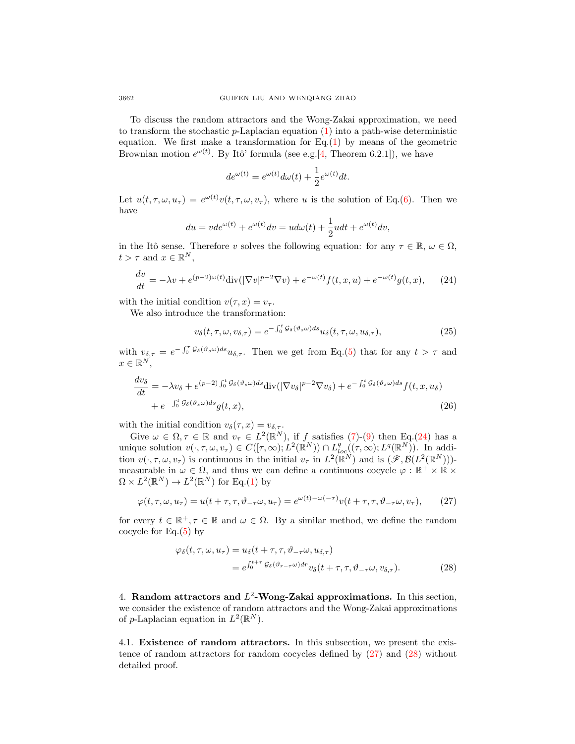To discuss the random attractors and the Wong-Zakai approximation, we need to transform the stochastic  $p$ -Laplacian equation [\(1\)](#page-0-0) into a path-wise deterministic equation. We first make a transformation for  $Eq.(1)$  $Eq.(1)$  by means of the geometric Brownian motion  $e^{\omega(t)}$ . By Itô' formula (see e.g.[\[4,](#page-30-21) Theorem 6.2.1]), we have

<span id="page-7-0"></span>
$$
de^{\omega(t)} = e^{\omega(t)}d\omega(t) + \frac{1}{2}e^{\omega(t)}dt.
$$

Let  $u(t, \tau, \omega, u_{\tau}) = e^{\omega(t)}v(t, \tau, \omega, v_{\tau}),$  where u is the solution of Eq.[\(6\)](#page-1-4). Then we have

$$
du = vde^{\omega(t)} + e^{\omega(t)}dv = u d\omega(t) + \frac{1}{2}u dt + e^{\omega(t)}dv,
$$

in the Itô sense. Therefore v solves the following equation: for any  $\tau \in \mathbb{R}$ ,  $\omega \in \Omega$ ,  $t > \tau$  and  $x \in \mathbb{R}^N$ ,

$$
\frac{dv}{dt} = -\lambda v + e^{(p-2)\omega(t)} \text{div}(|\nabla v|^{p-2} \nabla v) + e^{-\omega(t)} f(t, x, u) + e^{-\omega(t)} g(t, x), \quad (24)
$$

with the initial condition  $v(\tau, x) = v_{\tau}$ .

We also introduce the transformation:

<span id="page-7-3"></span>
$$
v_{\delta}(t, \tau, \omega, v_{\delta, \tau}) = e^{-\int_0^t \mathcal{G}_{\delta}(\vartheta_s \omega) ds} u_{\delta}(t, \tau, \omega, u_{\delta, \tau}), \qquad (25)
$$

with  $v_{\delta,\tau} = e^{-\int_0^{\tau} \mathcal{G}_{\delta}(\vartheta_s \omega) ds} u_{\delta,\tau}$ . Then we get from Eq.[\(5\)](#page-1-0) that for any  $t > \tau$  and  $x \in \mathbb{R}^N,$ 

$$
\frac{dv_{\delta}}{dt} = -\lambda v_{\delta} + e^{(p-2)\int_{0}^{t} \mathcal{G}_{\delta}(\vartheta_{s}\omega)ds} \text{div}(|\nabla v_{\delta}|^{p-2} \nabla v_{\delta}) + e^{-\int_{0}^{t} \mathcal{G}_{\delta}(\vartheta_{s}\omega)ds} f(t, x, u_{\delta}) \n+ e^{-\int_{0}^{t} \mathcal{G}_{\delta}(\vartheta_{s}\omega)ds} g(t, x),
$$
\n(26)

with the initial condition  $v_{\delta}(\tau, x) = v_{\delta, \tau}$ .

Give  $\omega \in \Omega, \tau \in \mathbb{R}$  and  $v_{\tau} \in L^2(\mathbb{R}^N)$ , if f satisfies [\(7\)](#page-4-0)-[\(9\)](#page-4-1) then Eq.[\(24\)](#page-7-0) has a unique solution  $v(\cdot, \tau, \omega, v_\tau) \in C([\tau, \infty); L^2(\mathbb{R}^N)) \cap L^q_{loc}((\tau, \infty); L^q(\mathbb{R}^N))$ . In addition  $v(\cdot, \tau, \omega, v_{\tau})$  is continuous in the initial  $v_{\tau}$  in  $L^2(\mathbb{R}^N)$  and is  $(\mathscr{F}, \mathcal{B}(L^2(\mathbb{R}^N)))$ measurable in  $\omega \in \Omega$ , and thus we can define a continuous cocycle  $\varphi : \mathbb{R}^+ \times \mathbb{R} \times$  $\Omega \times L^2(\mathbb{R}^N) \to L^2(\mathbb{R}^N)$  for Eq.[\(1\)](#page-0-0) by

$$
\varphi(t,\tau,\omega,u_{\tau}) = u(t+\tau,\tau,\vartheta_{-\tau}\omega,u_{\tau}) = e^{\omega(t)-\omega(-\tau)}v(t+\tau,\tau,\vartheta_{-\tau}\omega,v_{\tau}),\qquad(27)
$$

for every  $t \in \mathbb{R}^+, \tau \in \mathbb{R}$  and  $\omega \in \Omega$ . By a similar method, we define the random cocycle for Eq. $(5)$  by

<span id="page-7-2"></span><span id="page-7-1"></span>
$$
\varphi_{\delta}(t, \tau, \omega, u_{\tau}) = u_{\delta}(t + \tau, \tau, \vartheta_{-\tau}\omega, u_{\delta, \tau})
$$
  
=  $e^{\int_{0}^{t + \tau} \mathcal{G}_{\delta}(\vartheta_{r - \tau}\omega) dr} v_{\delta}(t + \tau, \tau, \vartheta_{-\tau}\omega, v_{\delta, \tau}).$  (28)

4. Random attractors and  $L^2$ -Wong-Zakai approximations. In this section, we consider the existence of random attractors and the Wong-Zakai approximations of p-Laplacian equation in  $L^2(\mathbb{R}^N)$ .

4.1. Existence of random attractors. In this subsection, we present the existence of random attractors for random cocycles defined by [\(27\)](#page-7-1) and [\(28\)](#page-7-2) without detailed proof.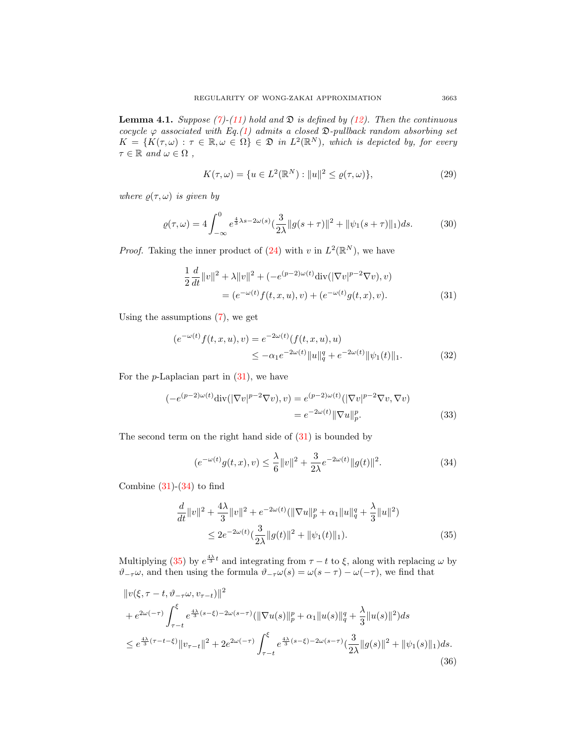<span id="page-8-3"></span>**Lemma 4.1.** Suppose [\(7\)](#page-4-0)-[\(11\)](#page-5-2) hold and  $\mathfrak{D}$  is defined by [\(12\)](#page-5-3). Then the continuous cocycle  $\varphi$  associated with Eq.[\(1\)](#page-0-0) admits a closed  $\mathfrak{D}\text{-}\text{pullback random absorbing set}$  $K = \{K(\tau,\omega): \tau \in \mathbb{R}, \omega \in \Omega\} \in \mathfrak{D}$  in  $L^2(\mathbb{R}^N)$ , which is depicted by, for every  $\tau \in \mathbb{R}$  and  $\omega \in \Omega$ ,

<span id="page-8-5"></span><span id="page-8-4"></span>
$$
K(\tau, \omega) = \{ u \in L^{2}(\mathbb{R}^{N}) : ||u||^{2} \le \varrho(\tau, \omega) \},
$$
\n(29)

where  $\varrho(\tau,\omega)$  is given by

$$
\varrho(\tau,\omega) = 4 \int_{-\infty}^{0} e^{\frac{4}{3}\lambda s - 2\omega(s)} \left(\frac{3}{2\lambda} \|g(s+\tau)\|^2 + \|\psi_1(s+\tau)\|_1\right) ds. \tag{30}
$$

*Proof.* Taking the inner product of  $(24)$  with v in  $L^2(\mathbb{R}^N)$ , we have

<span id="page-8-0"></span>
$$
\frac{1}{2}\frac{d}{dt}\|v\|^2 + \lambda \|v\|^2 + (-e^{(p-2)\omega(t)}\text{div}(|\nabla v|^{p-2}\nabla v), v) \n= (e^{-\omega(t)}f(t, x, u), v) + (e^{-\omega(t)}g(t, x), v).
$$
\n(31)

Using the assumptions [\(7\)](#page-4-0), we get

$$
(e^{-\omega(t)}f(t,x,u),v) = e^{-2\omega(t)}(f(t,x,u),u)
$$
  

$$
\leq -\alpha_1 e^{-2\omega(t)} \|u\|_q^q + e^{-2\omega(t)} \|\psi_1(t)\|_1.
$$
 (32)

For the  $p$ -Laplacian part in  $(31)$ , we have

$$
(-e^{(p-2)\omega(t)}\operatorname{div}(|\nabla v|^{p-2}\nabla v), v) = e^{(p-2)\omega(t)}(|\nabla v|^{p-2}\nabla v, \nabla v)
$$

$$
= e^{-2\omega(t)} \|\nabla u\|_p^p. \tag{33}
$$

The second term on the right hand side of [\(31\)](#page-8-0) is bounded by

<span id="page-8-2"></span><span id="page-8-1"></span>
$$
(e^{-\omega(t)}g(t,x),v) \le \frac{\lambda}{6}||v||^2 + \frac{3}{2\lambda}e^{-2\omega(t)}||g(t)||^2.
$$
 (34)

Combine  $(31)-(34)$  $(31)-(34)$  $(31)-(34)$  to find

$$
\frac{d}{dt}||v||^2 + \frac{4\lambda}{3}||v||^2 + e^{-2\omega(t)}(||\nabla u||_p^p + \alpha_1 ||u||_q^q + \frac{\lambda}{3} ||u||^2)
$$
  
\n
$$
\leq 2e^{-2\omega(t)} \left(\frac{3}{2\lambda} ||g(t)||^2 + ||\psi_1(t)||_1\right).
$$
\n(35)

Multiplying [\(35\)](#page-8-2) by  $e^{\frac{4\lambda}{3}t}$  and integrating from  $\tau - t$  to  $\xi$ , along with replacing  $\omega$  by  $\vartheta_{-\tau}\omega$ , and then using the formula  $\vartheta_{-\tau}\omega(s) = \omega(s-\tau) - \omega(-\tau)$ , we find that

$$
\|v(\xi,\tau-t,\vartheta_{-\tau}\omega,v_{\tau-t})\|^2
$$
  
+  $e^{2\omega(-\tau)}\int_{\tau-t}^{\xi}e^{\frac{4\lambda}{3}(s-\xi)-2\omega(s-\tau)}(\|\nabla u(s)\|_{p}^{p}+\alpha_{1}\|u(s)\|_{q}^{q}+\frac{\lambda}{3}\|u(s)\|^{2})ds$   
 $\leq e^{\frac{4\lambda}{3}(\tau-t-\xi)}\|v_{\tau-t}\|^{2}+2e^{2\omega(-\tau)}\int_{\tau-t}^{\xi}e^{\frac{4\lambda}{3}(s-\xi)-2\omega(s-\tau)}(\frac{3}{2\lambda}\|g(s)\|^{2}+\|\psi_{1}(s)\|_{1})ds.$  (36)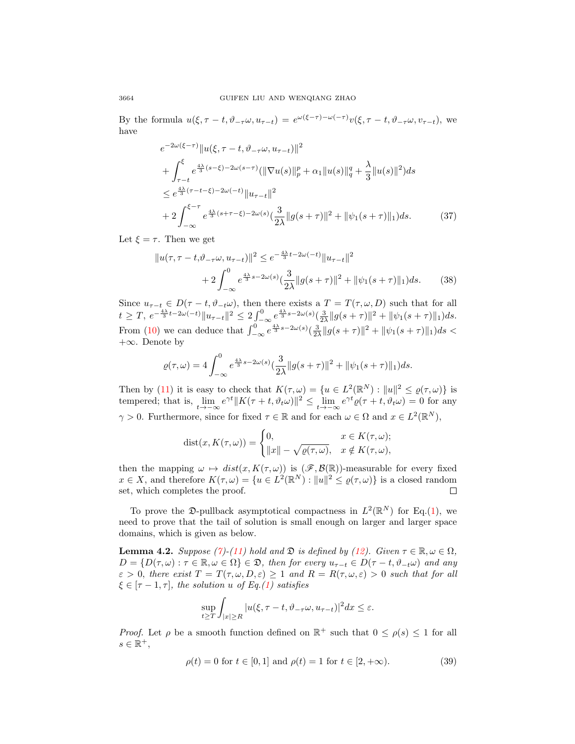By the formula  $u(\xi, \tau - t, \vartheta_{-\tau}\omega, u_{\tau-t}) = e^{\omega(\xi-\tau)-\omega(-\tau)}v(\xi, \tau - t, \vartheta_{-\tau}\omega, v_{\tau-t}),$  we have

<span id="page-9-0"></span>
$$
e^{-2\omega(\xi-\tau)}\|u(\xi,\tau-t,\vartheta_{-\tau}\omega,u_{\tau-t})\|^2 + \int_{\tau-t}^{\xi} e^{\frac{4\lambda}{3}(s-\xi)-2\omega(s-\tau)}(\|\nabla u(s)\|_{p}^{p} + \alpha_{1}\|u(s)\|_{q}^{q} + \frac{\lambda}{3}\|u(s)\|^{2})ds \leq e^{\frac{4\lambda}{3}(\tau-t-\xi)-2\omega(-t)}\|u_{\tau-t}\|^2 + 2\int_{-\infty}^{\xi-\tau} e^{\frac{4\lambda}{3}(s+\tau-\xi)-2\omega(s)}(\frac{3}{2\lambda}\|g(s+\tau)\|^2 + \|\psi_{1}(s+\tau)\|_{1})ds.
$$
 (37)

Let  $\xi = \tau$ . Then we get

$$
||u(\tau, \tau - t, \vartheta_{-\tau}\omega, u_{\tau-t})||^{2} \leq e^{-\frac{4\lambda}{3}t - 2\omega(-t)} ||u_{\tau-t}||^{2} + 2 \int_{-\infty}^{0} e^{\frac{4\lambda}{3}s - 2\omega(s)} (\frac{3}{2\lambda} ||g(s+\tau)||^{2} + ||\psi_{1}(s+\tau)||_{1}) ds.
$$
 (38)

Since  $u_{\tau-t} \in D(\tau - t, \vartheta_{-t}\omega)$ , then there exists a  $T = T(\tau, \omega, D)$  such that for all  $t \geq T, e^{-\frac{4\lambda}{3}t - 2\omega(-t)} \|u_{\tau-t}\|^2 \leq 2 \int_{-\infty}^0 e^{\frac{4\lambda}{3}s - 2\omega(s)} (\frac{3}{2\lambda} \|g(s+\tau)\|^2 + \|\psi_1(s+\tau)\|_1) ds.$ From [\(10\)](#page-5-4) we can deduce that  $\int_{-\infty}^{0} e^{\frac{4\lambda}{3}s-2\omega(s)}(\frac{3}{2\lambda}||g(s+\tau)||^2 + ||\psi_1(s+\tau)||_1)ds <$ +∞. Denote by

$$
\varrho(\tau,\omega) = 4 \int_{-\infty}^{0} e^{\frac{4\lambda}{3}s - 2\omega(s)} \left(\frac{3}{2\lambda} \|g(s+\tau)\|^2 + \|\psi_1(s+\tau)\|_1\right) ds.
$$

Then by [\(11\)](#page-5-2) it is easy to check that  $K(\tau,\omega) = \{u \in L^2(\mathbb{R}^N) : ||u||^2 \leq \varrho(\tau,\omega)\}\$ is tempered; that is,  $\lim_{t\to-\infty} e^{\gamma t} \|K(\tau+t, \vartheta_t\omega)\|^2 \leq \lim_{t\to-\infty} e^{\gamma t} \varrho(\tau+t, \vartheta_t\omega) = 0$  for any  $\gamma > 0$ . Furthermore, since for fixed  $\tau \in \mathbb{R}$  and for each  $\omega \in \Omega$  and  $x \in L^2(\mathbb{R}^N)$ ,

$$
dist(x, K(\tau, \omega)) = \begin{cases} 0, & x \in K(\tau, \omega); \\ \|x\| - \sqrt{\varrho(\tau, \omega)}, & x \notin K(\tau, \omega), \end{cases}
$$

then the mapping  $\omega \mapsto dist(x, K(\tau, \omega))$  is  $(\mathscr{F}, \mathcal{B}(\mathbb{R}))$ -measurable for every fixed  $x \in X$ , and therefore  $K(\tau,\omega) = \{u \in L^2(\mathbb{R}^N) : ||u||^2 \leq \varrho(\tau,\omega)\}\)$  is a closed random set, which completes the proof.  $\Box$ 

To prove the  $\mathfrak{D}\text{-}\text{pullback asymptotical compactness}$  in  $L^2(\mathbb{R}^N)$  for Eq.[\(1\)](#page-0-0), we need to prove that the tail of solution is small enough on larger and larger space domains, which is given as below.

**Lemma 4.2.** Suppose [\(7\)](#page-4-0)-[\(11\)](#page-5-2) hold and  $\mathfrak{D}$  is defined by [\(12\)](#page-5-3). Given  $\tau \in \mathbb{R}, \omega \in \Omega$ ,  $D = \{D(\tau, \omega) : \tau \in \mathbb{R}, \omega \in \Omega\} \in \mathfrak{D}$ , then for every  $u_{\tau-t} \in D(\tau - t, \vartheta_{-t}\omega)$  and any  $\varepsilon > 0$ , there exist  $T = T(\tau, \omega, D, \varepsilon) \ge 1$  and  $R = R(\tau, \omega, \varepsilon) > 0$  such that for all  $\xi \in [\tau - 1, \tau]$ , the solution u of Eq.[\(1\)](#page-0-0) satisfies

$$
\sup_{t\geq T}\int_{|x|\geq R}|u(\xi,\tau-t,\vartheta_{-\tau}\omega,u_{\tau-t})|^2dx\leq\varepsilon.
$$

*Proof.* Let  $\rho$  be a smooth function defined on  $\mathbb{R}^+$  such that  $0 \leq \rho(s) \leq 1$  for all  $s \in \mathbb{R}^+,$ 

$$
\rho(t) = 0 \text{ for } t \in [0, 1] \text{ and } \rho(t) = 1 \text{ for } t \in [2, +\infty). \tag{39}
$$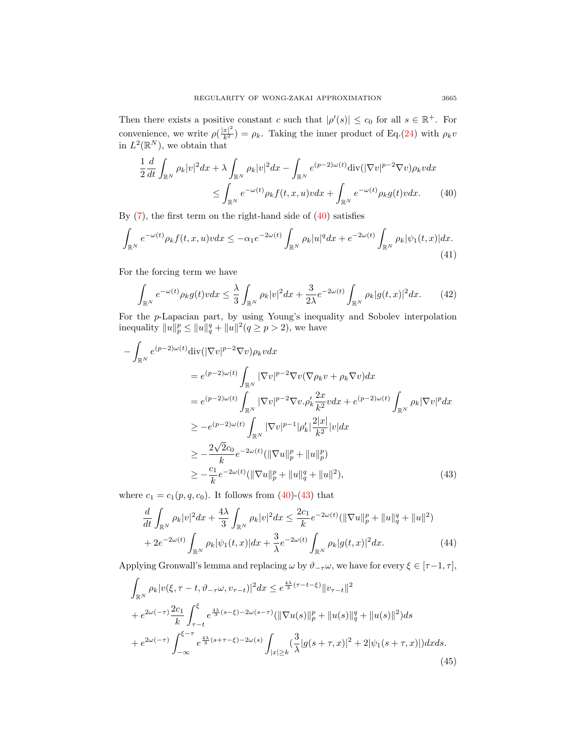Then there exists a positive constant c such that  $|\rho'(s)| \leq c_0$  for all  $s \in \mathbb{R}^+$ . For convenience, we write  $\rho(\frac{|x|^2}{k^2}) = \rho_k$ . Taking the inner product of Eq.[\(24\)](#page-7-0) with  $\rho_k v$ in  $L^2(\mathbb{R}^N)$ , we obtain that

<span id="page-10-0"></span>
$$
\frac{1}{2}\frac{d}{dt}\int_{\mathbb{R}^N}\rho_k|v|^2dx + \lambda\int_{\mathbb{R}^N}\rho_k|v|^2dx - \int_{\mathbb{R}^N}e^{(p-2)\omega(t)}\text{div}(|\nabla v|^{p-2}\nabla v)\rho_k vdx
$$
  

$$
\leq \int_{\mathbb{R}^N}e^{-\omega(t)}\rho_kf(t,x,u)vdx + \int_{\mathbb{R}^N}e^{-\omega(t)}\rho_kg(t)vdx. \tag{40}
$$

By  $(7)$ , the first term on the right-hand side of  $(40)$  satisfies

$$
\int_{\mathbb{R}^N} e^{-\omega(t)} \rho_k f(t, x, u) v dx \le -\alpha_1 e^{-2\omega(t)} \int_{\mathbb{R}^N} \rho_k |u|^q dx + e^{-2\omega(t)} \int_{\mathbb{R}^N} \rho_k |\psi_1(t, x)| dx.
$$
\n(41)

For the forcing term we have

$$
\int_{\mathbb{R}^N} e^{-\omega(t)} \rho_k g(t) v dx \le \frac{\lambda}{3} \int_{\mathbb{R}^N} \rho_k |v|^2 dx + \frac{3}{2\lambda} e^{-2\omega(t)} \int_{\mathbb{R}^N} \rho_k |g(t,x)|^2 dx. \tag{42}
$$

For the p-Lapacian part, by using Young's inequality and Sobolev interpolation inequality  $||u||_p^p \le ||u||_q^q + ||u||^2 (q \ge p > 2)$ , we have

$$
-\int_{\mathbb{R}^N} e^{(p-2)\omega(t)} \text{div}(|\nabla v|^{p-2} \nabla v) \rho_k v dx
$$
  
\n
$$
= e^{(p-2)\omega(t)} \int_{\mathbb{R}^N} |\nabla v|^{p-2} \nabla v (\nabla \rho_k v + \rho_k \nabla v) dx
$$
  
\n
$$
= e^{(p-2)\omega(t)} \int_{\mathbb{R}^N} |\nabla v|^{p-2} \nabla v \cdot \rho'_k \frac{2x}{k^2} v dx + e^{(p-2)\omega(t)} \int_{\mathbb{R}^N} \rho_k |\nabla v|^p dx
$$
  
\n
$$
\geq -e^{(p-2)\omega(t)} \int_{\mathbb{R}^N} |\nabla v|^{p-1} |\rho'_k| \frac{2|x|}{k^2} |v| dx
$$
  
\n
$$
\geq -\frac{2\sqrt{2}c_0}{k} e^{-2\omega(t)} (\|\nabla u\|_p^p + \|u\|_p^q)
$$
  
\n
$$
\geq -\frac{c_1}{k} e^{-2\omega(t)} (\|\nabla u\|_p^p + \|u\|_q^q + \|u\|^2), \tag{43}
$$

where  $c_1 = c_1(p, q, c_0)$ . It follows from [\(40\)](#page-10-0)-[\(43\)](#page-10-1) that

<span id="page-10-3"></span><span id="page-10-1"></span>
$$
\frac{d}{dt} \int_{\mathbb{R}^N} \rho_k |v|^2 dx + \frac{4\lambda}{3} \int_{\mathbb{R}^N} \rho_k |v|^2 dx \le \frac{2c_1}{k} e^{-2\omega(t)} (\|\nabla u\|_p^p + \|u\|_q^q + \|u\|^2) \n+ 2e^{-2\omega(t)} \int_{\mathbb{R}^N} \rho_k |\psi_1(t,x)| dx + \frac{3}{\lambda} e^{-2\omega(t)} \int_{\mathbb{R}^N} \rho_k |g(t,x)|^2 dx.
$$
\n(44)

Applying Gronwall's lemma and replacing  $\omega$  by  $\vartheta_{-\tau}\omega$ , we have for every  $\xi \in [\tau-1,\tau]$ ,

<span id="page-10-2"></span>
$$
\int_{\mathbb{R}^N} \rho_k |v(\xi, \tau - t, \vartheta_{-\tau}\omega, v_{\tau - t})|^2 dx \le e^{\frac{4\lambda}{3}(\tau - t - \xi)} \|v_{\tau - t}\|^2 \n+ e^{2\omega(-\tau)} \frac{2c_1}{k} \int_{\tau - t}^{\xi} e^{\frac{4\lambda}{3}(s - \xi) - 2\omega(s - \tau)} (\|\nabla u(s)\|_p^p + \|u(s)\|_q^q + \|u(s)\|^2) ds \n+ e^{2\omega(-\tau)} \int_{-\infty}^{\xi - \tau} e^{\frac{4\lambda}{3}(s + \tau - \xi) - 2\omega(s)} \int_{|x| \ge k} (\frac{3}{\lambda} |g(s + \tau, x)|^2 + 2|\psi_1(s + \tau, x)|) dx ds.
$$
\n(45)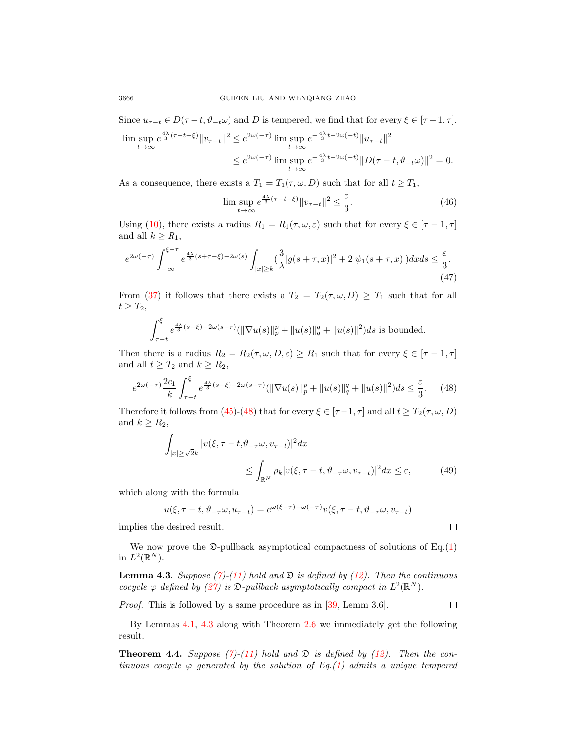Since  $u_{\tau-t} \in D(\tau-t, \vartheta_{-t}\omega)$  and D is tempered, we find that for every  $\xi \in [\tau-1, \tau]$ ,

$$
\limsup_{t \to \infty} e^{\frac{4\lambda}{3}(\tau - t - \xi)} \|v_{\tau - t}\|^2 \le e^{2\omega(-\tau)} \limsup_{t \to \infty} e^{-\frac{4\lambda}{3}t - 2\omega(-t)} \|u_{\tau - t}\|^2
$$
  

$$
\le e^{2\omega(-\tau)} \limsup_{t \to \infty} e^{-\frac{4\lambda}{3}t - 2\omega(-t)} \|D(\tau - t, \vartheta_{-t}\omega)\|^2 = 0.
$$

As a consequence, there exists a  $T_1 = T_1(\tau, \omega, D)$  such that for all  $t \geq T_1$ ,

$$
\limsup_{t \to \infty} e^{\frac{4\lambda}{3}(\tau - t - \xi)} \|v_{\tau - t}\|^2 \le \frac{\varepsilon}{3}.
$$
\n(46)

Using [\(10\)](#page-5-4), there exists a radius  $R_1 = R_1(\tau, \omega, \varepsilon)$  such that for every  $\xi \in [\tau - 1, \tau]$ and all  $k \geq R_1$ ,

$$
e^{2\omega(-\tau)}\int_{-\infty}^{\xi-\tau} e^{\frac{4\lambda}{3}(s+\tau-\xi)-2\omega(s)} \int_{|x|\geq k} (\frac{3}{\lambda}|g(s+\tau,x)|^2 + 2|\psi_1(s+\tau,x)|)dx ds \leq \frac{\varepsilon}{3}.\tag{47}
$$

From [\(37\)](#page-9-0) it follows that there exists a  $T_2 = T_2(\tau, \omega, D) \geq T_1$  such that for all  $t \geq T_2$ ,

$$
\int_{\tau-t}^{\xi} e^{\frac{4\lambda}{3}(s-\xi)-2\omega(s-\tau)} (\|\nabla u(s)\|_{p}^{p} + \|u(s)\|_{q}^{q} + \|u(s)\|^{2}) ds
$$
 is bounded.

Then there is a radius  $R_2 = R_2(\tau, \omega, D, \varepsilon) \ge R_1$  such that for every  $\xi \in [\tau - 1, \tau]$ and all  $t \geq T_2$  and  $k \geq R_2$ ,

$$
e^{2\omega(-\tau)}\frac{2c_1}{k}\int_{\tau-t}^{\xi}e^{\frac{4\lambda}{3}(s-\xi)-2\omega(s-\tau)}(\|\nabla u(s)\|_{p}^{p}+\|u(s)\|_{q}^{q}+\|u(s)\|^{2})ds\leq\frac{\varepsilon}{3}.\tag{48}
$$

Therefore it follows from [\(45\)](#page-10-2)-[\(48\)](#page-11-0) that for every  $\xi \in [\tau-1, \tau]$  and all  $t \geq T_2(\tau, \omega, D)$ and  $k \geq R_2$ ,

$$
\int_{|x| \ge \sqrt{2}k} |v(\xi, \tau - t, \vartheta_{-\tau}\omega, v_{\tau-t})|^2 dx
$$
\n
$$
\le \int_{\mathbb{R}^N} \rho_k |v(\xi, \tau - t, \vartheta_{-\tau}\omega, v_{\tau-t})|^2 dx \le \varepsilon,
$$
\n(49)

which along with the formula

$$
u(\xi, \tau - t, \vartheta_{-\tau}\omega, u_{\tau - t}) = e^{\omega(\xi - \tau) - \omega(-\tau)}v(\xi, \tau - t, \vartheta_{-\tau}\omega, v_{\tau - t})
$$

implies the desired result.

We now prove the  $\mathfrak{D}\text{-pullback asymptotical compactness of solutions of Eq.(1)$  $\mathfrak{D}\text{-pullback asymptotical compactness of solutions of Eq.(1)$ in  $L^2(\mathbb{R}^N)$ .

<span id="page-11-1"></span>**Lemma 4.3.** Suppose [\(7\)](#page-4-0)-[\(11\)](#page-5-2) hold and  $\mathfrak{D}$  is defined by [\(12\)](#page-5-3). Then the continuous cocycle  $\varphi$  defined by [\(27\)](#page-7-1) is  $\mathfrak{D}\text{-}\mathit{pullback asymptotically compact in } L^2(\mathbb{R}^N)$ .

Proof. This is followed by a same procedure as in [\[39,](#page-31-16) Lemm 3.6].

 $\Box$ 

<span id="page-11-0"></span> $\Box$ 

By Lemmas [4.1,](#page-8-3) [4.3](#page-11-1) along with Theorem [2.6](#page-4-2) we immediately get the following result.

**Theorem 4.4.** Suppose [\(7\)](#page-4-0)-[\(11\)](#page-5-2) hold and  $\mathfrak{D}$  is defined by [\(12\)](#page-5-3). Then the continuous cocycle  $\varphi$  generated by the solution of Eq.[\(1\)](#page-0-0) admits a unique tempered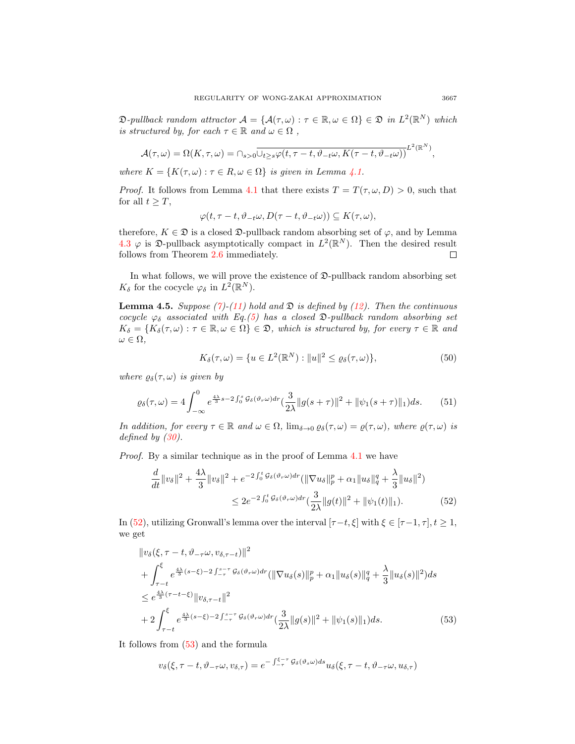$\mathfrak{D}\text{-}\text{pullback random attractor } \mathcal{A} = \{ \mathcal{A}(\tau,\omega) : \tau \in \mathbb{R}, \omega \in \Omega \} \in \mathfrak{D} \text{ in } L^2(\mathbb{R}^N) \text{ which }$ is structured by, for each  $\tau \in \mathbb{R}$  and  $\omega \in \Omega$ ,

$$
\mathcal{A}(\tau,\omega)=\Omega(K,\tau,\omega)=\cap_{s>0}\overline{\cup_{t\geq s}\varphi(t,\tau-t,\vartheta_{-t}\omega,K(\tau-t,\vartheta_{-t}\omega))}^{L^2(\mathbb{R}^N)},
$$

where  $K = \{K(\tau, \omega) : \tau \in R, \omega \in \Omega\}$  is given in Lemma [4.1.](#page-8-3)

*Proof.* It follows from Lemma [4.1](#page-8-3) that there exists  $T = T(\tau, \omega, D) > 0$ , such that for all  $t \geq T$ ,

$$
\varphi(t,\tau-t,\vartheta_{-t}\omega,D(\tau-t,\vartheta_{-t}\omega))\subseteq K(\tau,\omega),
$$

therefore,  $K \in \mathfrak{D}$  is a closed  $\mathfrak{D}$ -pullback random absorbing set of  $\varphi$ , and by Lemma [4.3](#page-11-1)  $\varphi$  is  $\mathfrak{D}$ -pullback asymptotically compact in  $L^2(\mathbb{R}^N)$ . Then the desired result follows from Theorem [2.6](#page-4-2) immediately.  $\Box$ 

In what follows, we will prove the existence of  $\mathfrak{D}\text{-pullback random absorbing set}$  $K_{\delta}$  for the cocycle  $\varphi_{\delta}$  in  $L^2(\mathbb{R}^N)$ .

<span id="page-12-4"></span>**Lemma 4.5.** Suppose [\(7\)](#page-4-0)-[\(11\)](#page-5-2) hold and  $\mathfrak{D}$  is defined by [\(12\)](#page-5-3). Then the continuous cocycle  $\varphi_{\delta}$  associated with Eq.[\(5\)](#page-1-0) has a closed  $\mathfrak{D}\text{-}\mathit{pullback random }$  absorbing set  $K_{\delta} = \{K_{\delta}(\tau,\omega): \tau \in \mathbb{R}, \omega \in \Omega\} \in \mathfrak{D}$ , which is structured by, for every  $\tau \in \mathbb{R}$  and  $\omega \in \Omega$ .

<span id="page-12-3"></span><span id="page-12-2"></span><span id="page-12-0"></span>
$$
K_{\delta}(\tau,\omega) = \{ u \in L^{2}(\mathbb{R}^{N}) : ||u||^{2} \le \varrho_{\delta}(\tau,\omega) \},
$$
\n(50)

where  $\varrho_{\delta}(\tau,\omega)$  is given by

$$
\varrho_{\delta}(\tau,\omega) = 4 \int_{-\infty}^{0} e^{\frac{4\lambda}{3}s - 2\int_{0}^{s} \mathcal{G}_{\delta}(\vartheta_{\tau}\omega) dr} \left(\frac{3}{2\lambda} \|g(s+\tau)\|^{2} + \|\psi_{1}(s+\tau)\|_{1}\right) ds. \tag{51}
$$

In addition, for every  $\tau \in \mathbb{R}$  and  $\omega \in \Omega$ ,  $\lim_{\delta \to 0} \varrho_{\delta}(\tau, \omega) = \varrho(\tau, \omega)$ , where  $\varrho(\tau, \omega)$  is defined by  $(30)$ .

Proof. By a similar technique as in the proof of Lemma [4.1](#page-8-3) we have

$$
\frac{d}{dt} \|v_{\delta}\|^{2} + \frac{4\lambda}{3} \|v_{\delta}\|^{2} + e^{-2\int_{0}^{t} \mathcal{G}_{\delta}(\vartheta_{r}\omega) dr} (\|\nabla u_{\delta}\|_{p}^{p} + \alpha_{1} \|u_{\delta}\|_{q}^{q} + \frac{\lambda}{3} \|u_{\delta}\|^{2})
$$
\n
$$
\leq 2e^{-2\int_{0}^{t} \mathcal{G}_{\delta}(\vartheta_{r}\omega) dr} (\frac{3}{2\lambda} \|g(t)\|^{2} + \|\psi_{1}(t)\|_{1}). \tag{52}
$$

In [\(52\)](#page-12-0), utilizing Gronwall's lemma over the interval  $[\tau-t, \xi]$  with  $\xi \in [\tau-1, \tau], t \geq 1$ , we get

$$
\|v_{\delta}(\xi,\tau-t,\vartheta_{-\tau}\omega,v_{\delta,\tau-t})\|^{2} + \int_{\tau-t}^{\xi} e^{\frac{4\lambda}{3}(s-\xi)-2\int_{-\tau}^{s-\tau} \mathcal{G}_{\delta}(\vartheta_{\tau}\omega)dr} (\|\nabla u_{\delta}(s)\|_{p}^{p} + \alpha_{1} \|u_{\delta}(s)\|_{q}^{q} + \frac{\lambda}{3} \|u_{\delta}(s)\|^{2}) ds \leq e^{\frac{4\lambda}{3}(\tau-t-\xi)} \|v_{\delta,\tau-t}\|^{2} + 2 \int_{\tau-t}^{\xi} e^{\frac{4\lambda}{3}(s-\xi)-2\int_{-\tau}^{s-\tau} \mathcal{G}_{\delta}(\vartheta_{\tau}\omega)dr} (\frac{3}{2\lambda} \|g(s)\|^{2} + \|\psi_{1}(s)\|_{1}) ds.
$$
 (53)

It follows from [\(53\)](#page-12-1) and the formula

<span id="page-12-1"></span>
$$
v_{\delta}(\xi, \tau - t, \vartheta_{-\tau}\omega, v_{\delta,\tau}) = e^{-\int_{-\tau}^{\xi-\tau} \mathcal{G}_{\delta}(\vartheta_{s}\omega)ds} u_{\delta}(\xi, \tau - t, \vartheta_{-\tau}\omega, u_{\delta,\tau})
$$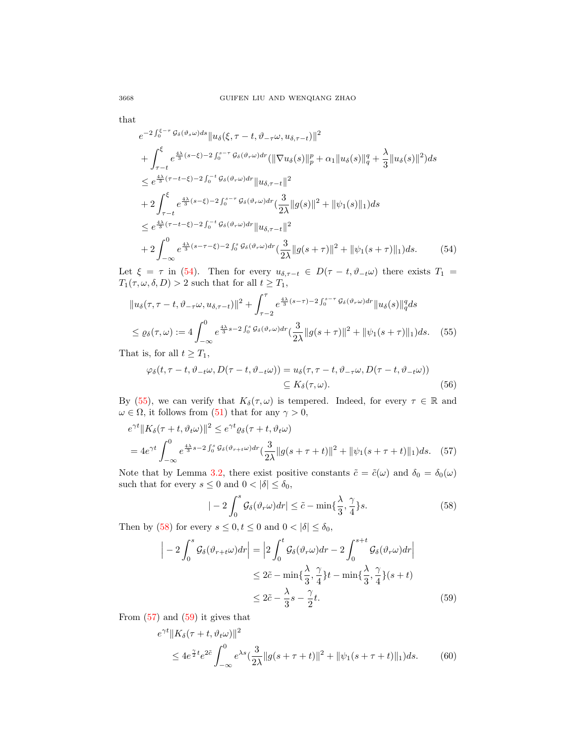that

$$
e^{-2\int_{0}^{\xi-\tau} \mathcal{G}_{\delta}(\vartheta_{s}\omega)ds} \|u_{\delta}(\xi,\tau-t,\vartheta_{-\tau}\omega,u_{\delta,\tau-t})\|^{2}
$$
  
+ 
$$
\int_{\tau-t}^{\xi} e^{\frac{4\lambda}{3}(s-\xi)-2\int_{0}^{s-\tau} \mathcal{G}_{\delta}(\vartheta_{r}\omega)dr} (\|\nabla u_{\delta}(s)\|_{p}^{p} + \alpha_{1} \|u_{\delta}(s)\|_{q}^{q} + \frac{\lambda}{3} \|u_{\delta}(s)\|^{2}) ds
$$
  

$$
\leq e^{\frac{4\lambda}{3}(\tau-t-\xi)-2\int_{0}^{-t} \mathcal{G}_{\delta}(\vartheta_{r}\omega)dr} \|u_{\delta,\tau-t}\|^{2}
$$
  
+ 
$$
2\int_{\tau-t}^{\xi} e^{\frac{4\lambda}{3}(s-\xi)-2\int_{0}^{s-\tau} \mathcal{G}_{\delta}(\vartheta_{r}\omega)dr} (\frac{3}{2\lambda} \|g(s)\|^{2} + \|\psi_{1}(s)\|_{1}) ds
$$
  

$$
\leq e^{\frac{4\lambda}{3}(\tau-t-\xi)-2\int_{0}^{-t} \mathcal{G}_{\delta}(\vartheta_{r}\omega)dr} \|u_{\delta,\tau-t}\|^{2}
$$
  
+ 
$$
2\int_{-\infty}^{0} e^{\frac{4\lambda}{3}(s-\tau-\xi)-2\int_{0}^{s} \mathcal{G}_{\delta}(\vartheta_{r}\omega)dr} (\frac{3}{2\lambda} \|g(s+\tau)\|^{2} + \|\psi_{1}(s+\tau)\|_{1}) ds.
$$
(54)

Let  $\xi = \tau$  in [\(54\)](#page-13-0). Then for every  $u_{\delta, \tau-t} \in D(\tau - t, \vartheta_{-t}\omega)$  there exists  $T_1 =$  $T_1(\tau, \omega, \delta, D) > 2$  such that for all  $t \geq T_1$ ,

<span id="page-13-0"></span>
$$
||u_{\delta}(\tau,\tau-t,\vartheta_{-\tau}\omega,u_{\delta,\tau-t})||^{2} + \int_{\tau-2}^{\tau} e^{\frac{4\lambda}{3}(s-\tau)-2\int_{0}^{s-\tau} \mathcal{G}_{\delta}(\vartheta_{\tau}\omega)dr} ||u_{\delta}(s)||_{q}^{q} ds
$$
  

$$
\leq \varrho_{\delta}(\tau,\omega) := 4 \int_{-\infty}^{0} e^{\frac{4\lambda}{3}s-2\int_{0}^{s} \mathcal{G}_{\delta}(\vartheta_{\tau}\omega)dr} (\frac{3}{2\lambda}||g(s+\tau)||^{2} + ||\psi_{1}(s+\tau)||_{1})ds. \quad (55)
$$

That is, for all  $t \geq T_1$ ,

$$
\varphi_{\delta}(t,\tau-t,\vartheta_{-t}\omega,D(\tau-t,\vartheta_{-t}\omega)) = u_{\delta}(\tau,\tau-t,\vartheta_{-\tau}\omega,D(\tau-t,\vartheta_{-t}\omega))
$$
  

$$
\subseteq K_{\delta}(\tau,\omega).
$$
 (56)

By [\(55\)](#page-13-1), we can verify that  $K_{\delta}(\tau,\omega)$  is tempered. Indeed, for every  $\tau \in \mathbb{R}$  and  $\omega \in \Omega$ , it follows from [\(51\)](#page-12-2) that for any  $\gamma > 0$ ,

$$
e^{\gamma t} \| K_{\delta}(\tau + t, \vartheta_{t} \omega) \|^{2} \leq e^{\gamma t} \varrho_{\delta}(\tau + t, \vartheta_{t} \omega)
$$
  
=  $4e^{\gamma t} \int_{-\infty}^{0} e^{\frac{4\lambda}{3} s - 2 \int_{0}^{s} \mathcal{G}_{\delta}(\vartheta_{\tau + t} \omega) dr} (\frac{3}{2\lambda} \| g(s + \tau + t) \|^{2} + \| \psi_{1}(s + \tau + t) \|_{1}) ds.$  (57)

Note that by Lemma [3.2,](#page-5-5) there exist positive constants  $\tilde{c} = \tilde{c}(\omega)$  and  $\delta_0 = \delta_0(\omega)$ such that for every  $s\leq 0$  and  $0<|\delta|\leq \delta_0,$ 

<span id="page-13-5"></span><span id="page-13-4"></span><span id="page-13-3"></span><span id="page-13-2"></span><span id="page-13-1"></span>
$$
|-2\int_0^s \mathcal{G}_{\delta}(\vartheta_r \omega) dr| \leq \tilde{c} - \min\{\frac{\lambda}{3}, \frac{\gamma}{4}\} s.
$$
 (58)

Then by [\(58\)](#page-13-2) for every  $s \leq 0, t \leq 0$  and  $0 < |\delta| \leq \delta_0$ ,

$$
\left| -2 \int_0^s \mathcal{G}_{\delta}(\vartheta_{r+t}\omega) dr \right| = \left| 2 \int_0^t \mathcal{G}_{\delta}(\vartheta_r \omega) dr - 2 \int_0^{s+t} \mathcal{G}_{\delta}(\vartheta_r \omega) dr \right|
$$
  

$$
\leq 2\tilde{c} - \min\{\frac{\lambda}{3}, \frac{\gamma}{4}\}t - \min\{\frac{\lambda}{3}, \frac{\gamma}{4}\}(s+t)
$$
  

$$
\leq 2\tilde{c} - \frac{\lambda}{3}s - \frac{\gamma}{2}t.
$$
 (59)

From  $(57)$  and  $(59)$  it gives that

$$
e^{\gamma t} \| K_{\delta}(\tau + t, \vartheta_t \omega) \|^2
$$
  
 
$$
\leq 4e^{\frac{\gamma}{2}t} e^{2\tilde{c}} \int_{-\infty}^0 e^{\lambda s} \left( \frac{3}{2\lambda} \| g(s + \tau + t) \|^2 + \| \psi_1(s + \tau + t) \|_1 \right) ds. \tag{60}
$$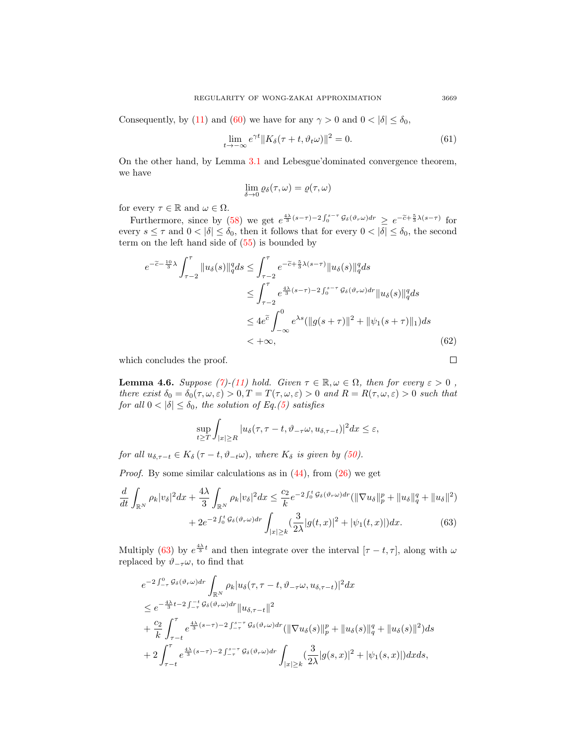Consequently, by [\(11\)](#page-5-2) and [\(60\)](#page-13-5) we have for any  $\gamma > 0$  and  $0 < |\delta| \le \delta_0$ ,

$$
\lim_{t \to -\infty} e^{\gamma t} \|K_{\delta}(\tau + t, \vartheta_t \omega)\|^2 = 0.
$$
\n(61)

On the other hand, by Lemma [3.1](#page-5-6) and Lebesgue'dominated convergence theorem, we have

$$
\lim_{\delta \to 0} \varrho_\delta(\tau, \omega) = \varrho(\tau, \omega)
$$

for every  $\tau \in \mathbb{R}$  and  $\omega \in \Omega$ .

Furthermore, since by [\(58\)](#page-13-2) we get  $e^{\frac{4\lambda}{3}(s-\tau)-2\int_0^{s-\tau} \mathcal{G}_{\delta}(\vartheta_r\omega)dr} \geq e^{-\tilde{c}+\frac{5}{3}\lambda(s-\tau)}$  for every  $s \leq \tau$  and  $0 < |\delta| \leq \delta_0$ , then it follows that for every  $0 < |\delta| \leq \delta_0$ , the second term on the left hand side of  $(55)$  is bounded by

$$
e^{-\tilde{c}-\frac{10}{3}\lambda} \int_{\tau-2}^{\tau} \|u_{\delta}(s)\|_{q}^{q} ds \le \int_{\tau-2}^{\tau} e^{-\tilde{c}+\frac{5}{3}\lambda(s-\tau)} \|u_{\delta}(s)\|_{q}^{q} ds
$$
  
\n
$$
\le \int_{\tau-2}^{\tau} e^{\frac{4\lambda}{3}(s-\tau)-2 \int_{0}^{s-\tau} g_{\delta}(\vartheta,\omega) dr} \|u_{\delta}(s)\|_{q}^{q} ds
$$
  
\n
$$
\le 4e^{\tilde{c}} \int_{-\infty}^{0} e^{\lambda s} (\|g(s+\tau)\|^{2} + \|\psi_{1}(s+\tau)\|_{1}) ds
$$
  
\n
$$
< +\infty, \qquad (62)
$$

which concludes the proof.

<span id="page-14-2"></span>**Lemma 4.6.** Suppose [\(7\)](#page-4-0)-[\(11\)](#page-5-2) hold. Given  $\tau \in \mathbb{R}, \omega \in \Omega$ , then for every  $\varepsilon > 0$ , there exist  $\delta_0 = \delta_0(\tau, \omega, \varepsilon) > 0, T = T(\tau, \omega, \varepsilon) > 0$  and  $R = R(\tau, \omega, \varepsilon) > 0$  such that for all  $0 < |\delta| \leq \delta_0$ , the solution of Eq.[\(5\)](#page-1-0) satisfies

$$
\sup_{t\geq T}\int_{|x|\geq R}|u_{\delta}(\tau,\tau-t,\vartheta_{-\tau}\omega,u_{\delta,\tau-t})|^2dx\leq\varepsilon,
$$

for all  $u_{\delta,\tau-t} \in K_{\delta}(\tau-t, \vartheta_{-t}\omega)$ , where  $K_{\delta}$  is given by [\(50\)](#page-12-3).

*Proof.* By some similar calculations as in  $(44)$ , from  $(26)$  we get

$$
\frac{d}{dt} \int_{\mathbb{R}^N} \rho_k |v_\delta|^2 dx + \frac{4\lambda}{3} \int_{\mathbb{R}^N} \rho_k |v_\delta|^2 dx \le \frac{c_2}{k} e^{-2 \int_0^t \mathcal{G}_\delta(\vartheta_r \omega) dr} (\|\nabla u_\delta\|_p^p + \|u_\delta\|_q^q + \|u_\delta\|^2) + 2e^{-2 \int_0^t \mathcal{G}_\delta(\vartheta_r \omega) dr} \int_{|x| \ge k} (\frac{3}{2\lambda} |g(t,x)|^2 + |\psi_1(t,x)|) dx.
$$
 (63)

Multiply [\(63\)](#page-14-0) by  $e^{\frac{4\lambda}{3}t}$  and then integrate over the interval  $[\tau - t, \tau]$ , along with  $\omega$ replaced by  $\vartheta_{-\tau}\omega$ , to find that

$$
e^{-2\int_{-\tau}^{0} G_{\delta}(\vartheta_{r}\omega)dr} \int_{\mathbb{R}^{N}} \rho_{k} |u_{\delta}(\tau,\tau-t,\vartheta_{-\tau}\omega,u_{\delta,\tau-t})|^{2} dx
$$
  
\n
$$
\leq e^{-\frac{4\lambda}{3}t-2\int_{-\tau}^{-t} G_{\delta}(\vartheta_{r}\omega)dr} \|u_{\delta,\tau-t}\|^{2}
$$
  
\n
$$
+\frac{c_{2}}{k} \int_{\tau-t}^{\tau} e^{\frac{4\lambda}{3}(s-\tau)-2\int_{-\tau}^{s-\tau} G_{\delta}(\vartheta_{r}\omega)dr} (\|\nabla u_{\delta}(s)\|_{p}^{p} + \|u_{\delta}(s)\|_{q}^{q} + \|u_{\delta}(s)\|^{2}) ds
$$
  
\n
$$
+2\int_{\tau-t}^{\tau} e^{\frac{4\lambda}{3}(s-\tau)-2\int_{-\tau}^{s-\tau} G_{\delta}(\vartheta_{r}\omega)dr} \int_{|x|\geq k} (\frac{3}{2\lambda}|g(s,x)|^{2} + |\psi_{1}(s,x)|) dx ds,
$$

<span id="page-14-1"></span>

<span id="page-14-3"></span><span id="page-14-0"></span> $\Box$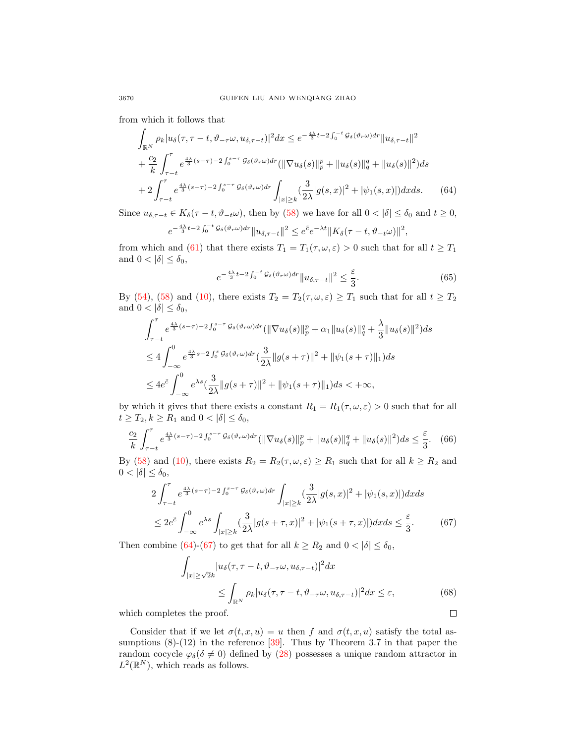from which it follows that

$$
\int_{\mathbb{R}^N} \rho_k |u_{\delta}(\tau, \tau - t, \vartheta_{-\tau}\omega, u_{\delta, \tau - t})|^2 dx \le e^{-\frac{4\lambda}{3}t - 2\int_0^{-t} \mathcal{G}_{\delta}(\vartheta_r \omega) dr} ||u_{\delta, \tau - t}||^2 \n+ \frac{c_2}{k} \int_{\tau - t}^{\tau} e^{\frac{4\lambda}{3}(s - \tau) - 2\int_0^{s - \tau} \mathcal{G}_{\delta}(\vartheta_r \omega) dr} (||\nabla u_{\delta}(s)||_p^p + ||u_{\delta}(s)||_q^q + ||u_{\delta}(s)||^2) ds \n+ 2 \int_{\tau - t}^{\tau} e^{\frac{4\lambda}{3}(s - \tau) - 2\int_0^{s - \tau} \mathcal{G}_{\delta}(\vartheta_r \omega) dr} \int_{|x| \ge k} (\frac{3}{2\lambda} |g(s, x)|^2 + |\psi_1(s, x)|) dx ds.
$$
\n(64)

Since  $u_{\delta, \tau-t} \in K_{\delta}(\tau - t, \vartheta_{-t}\omega)$ , then by [\(58\)](#page-13-2) we have for all  $0 < |\delta| \leq \delta_0$  and  $t \geq 0$ ,

$$
e^{-\frac{4\lambda}{3}t-2\int_0^{-t}\mathcal{G}_{\delta}(\vartheta_r\omega)dr}\|u_{\delta,\tau-t}\|^2 \leq e^{\tilde{c}}e^{-\lambda t}\|K_{\delta}(\tau-t,\vartheta_{-t}\omega)\|^2,
$$

from which and [\(61\)](#page-14-1) that there exists  $T_1 = T_1(\tau, \omega, \varepsilon) > 0$  such that for all  $t \geq T_1$ and  $0 < |\delta| \leq \delta_0$ ,

<span id="page-15-0"></span>
$$
e^{-\frac{4\lambda}{3}t-2\int_0^{-t}\mathcal{G}_\delta(\vartheta_r\omega)dr}||u_{\delta,\tau-t}||^2 \leq \frac{\varepsilon}{3}.
$$
 (65)

By [\(54\)](#page-13-0), [\(58\)](#page-13-2) and [\(10\)](#page-5-4), there exists  $T_2 = T_2(\tau, \omega, \varepsilon) \geq T_1$  such that for all  $t \geq T_2$ and  $0 < |\delta| \leq \delta_0$ ,

$$
\int_{\tau-t}^{\tau} e^{\frac{4\lambda}{3}(s-\tau)-2\int_{0}^{s-\tau} \mathcal{G}_{\delta}(\vartheta_{\tau}\omega) d\tau} (\|\nabla u_{\delta}(s)\|_{p}^{p} + \alpha_{1} \|u_{\delta}(s)\|_{q}^{q} + \frac{\lambda}{3} \|u_{\delta}(s)\|^{2}) ds
$$
  
\n
$$
\leq 4 \int_{-\infty}^{0} e^{\frac{4\lambda}{3}s-2\int_{0}^{s} \mathcal{G}_{\delta}(\vartheta_{\tau}\omega) d\tau} (\frac{3}{2\lambda} \|g(s+\tau)\|^{2} + \|\psi_{1}(s+\tau)\|_{1}) ds
$$
  
\n
$$
\leq 4e^{\tilde{c}} \int_{-\infty}^{0} e^{\lambda s} (\frac{3}{2\lambda} \|g(s+\tau)\|^{2} + \|\psi_{1}(s+\tau)\|_{1}) ds < +\infty,
$$

by which it gives that there exists a constant  $R_1 = R_1(\tau, \omega, \varepsilon) > 0$  such that for all  $t \geq T_2, k \geq R_1$  and  $0 < |\delta| \leq \delta_0$ ,

$$
\frac{c_2}{k} \int_{\tau-t}^{\tau} e^{\frac{4\lambda}{3}(s-\tau)-2\int_0^{s-\tau} \mathcal{G}_{\delta}(\vartheta_r \omega) dr} (\|\nabla u_{\delta}(s)\|_p^p + \|u_{\delta}(s)\|_q^q + \|u_{\delta}(s)\|^2) ds \le \frac{\varepsilon}{3}.
$$
 (66)

By [\(58\)](#page-13-2) and [\(10\)](#page-5-4), there exists  $R_2 = R_2(\tau, \omega, \varepsilon) \ge R_1$  such that for all  $k \ge R_2$  and  $0 < |\delta| \leq \delta_0$ ,

$$
2\int_{\tau-t}^{\tau} e^{\frac{4\lambda}{3}(s-\tau)-2\int_0^{s-\tau} \mathcal{G}_{\delta}(\vartheta_r \omega) dr} \int_{|x| \ge k} (\frac{3}{2\lambda}|g(s,x)|^2 + |\psi_1(s,x)|) dxds
$$
  

$$
\le 2e^{\tilde{c}} \int_{-\infty}^0 e^{\lambda s} \int_{|x| \ge k} (\frac{3}{2\lambda}|g(s+\tau,x)|^2 + |\psi_1(s+\tau,x)|) dxds \le \frac{\varepsilon}{3}.
$$
 (67)

Then combine [\(64\)](#page-15-0)-[\(67\)](#page-15-1) to get that for all  $k \geq R_2$  and  $0 < |\delta| \leq \delta_0$ ,

<span id="page-15-1"></span>
$$
\int_{|x| \ge \sqrt{2k}} |u_{\delta}(\tau, \tau - t, \vartheta_{-\tau}\omega, u_{\delta,\tau-t})|^2 dx
$$
\n
$$
\le \int_{\mathbb{R}^N} \rho_k |u_{\delta}(\tau, \tau - t, \vartheta_{-\tau}\omega, u_{\delta,\tau-t})|^2 dx \le \varepsilon,
$$
\nis the proof.

\n
$$
\Box
$$

which completes the proof.

Consider that if we let  $\sigma(t, x, u) = u$  then f and  $\sigma(t, x, u)$  satisfy the total assumptions  $(8)-(12)$  in the reference [\[39\]](#page-31-16). Thus by Theorem 3.7 in that paper the random cocycle  $\varphi_{\delta}(\delta \neq 0)$  defined by [\(28\)](#page-7-2) possesses a unique random attractor in  $L^2(\mathbb{R}^N)$ , which reads as follows.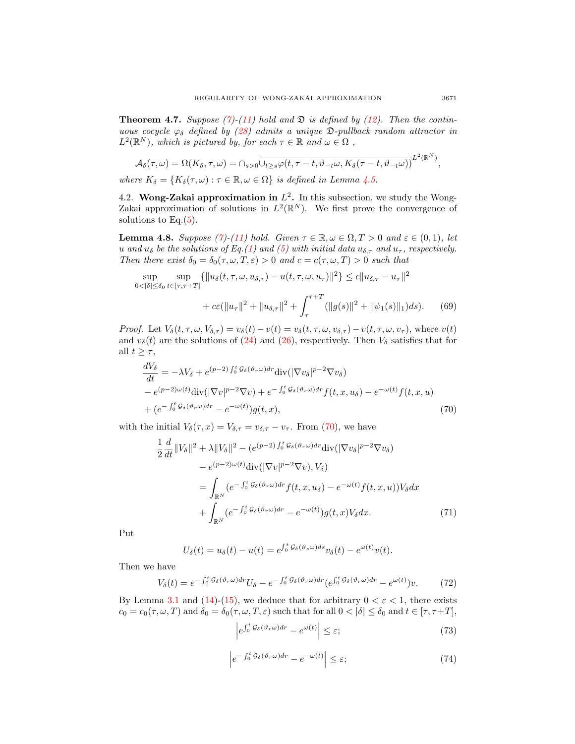<span id="page-16-5"></span>**Theorem 4.7.** Suppose [\(7\)](#page-4-0)-[\(11\)](#page-5-2) hold and  $\mathfrak{D}$  is defined by [\(12\)](#page-5-3). Then the continuous cocycle  $\varphi_{\delta}$  defined by [\(28\)](#page-7-2) admits a unique  $\mathfrak{D}\text{-}\mathrm{pullback}$  random attractor in  $L^2(\mathbb{R}^N)$ , which is pictured by, for each  $\tau \in \mathbb{R}$  and  $\omega \in \Omega$ ,

$$
\mathcal{A}_{\delta}(\tau,\omega) = \Omega(K_{\delta},\tau,\omega) = \cap_{s>0} \overline{\cup_{t\geq s} \varphi(t,\tau-t,\vartheta_{-t}\omega,K_{\delta}(\tau-t,\vartheta_{-t}\omega))}^{L^{2}(\mathbb{R}^{N})},
$$

where  $K_{\delta} = \{K_{\delta}(\tau,\omega) : \tau \in \mathbb{R}, \omega \in \Omega\}$  is defined in Lemma [4.5.](#page-12-4)

4.2. Wong-Zakai approximation in  $L^2$ . In this subsection, we study the Wong-Zakai approximation of solutions in  $L^2(\mathbb{R}^N)$ . We first prove the convergence of solutions to Eq. $(5)$ .

<span id="page-16-4"></span>**Lemma 4.8.** Suppose [\(7\)](#page-4-0)-[\(11\)](#page-5-2) hold. Given  $\tau \in \mathbb{R}, \omega \in \Omega, T > 0$  and  $\varepsilon \in (0,1)$ , let u and  $u_{\delta}$  be the solutions of Eq.[\(1\)](#page-0-0) and [\(5\)](#page-1-0) with initial data  $u_{\delta,\tau}$  and  $u_{\tau}$ , respectively. Then there exist  $\delta_0 = \delta_0(\tau, \omega, T, \varepsilon) > 0$  and  $c = c(\tau, \omega, T) > 0$  such that

$$
\sup_{\langle |\delta| \le \delta_0} \sup_{t \in [\tau, \tau + T]} \{ ||u_\delta(t, \tau, \omega, u_{\delta, \tau}) - u(t, \tau, \omega, u_\tau)||^2 \} \le c ||u_{\delta, \tau} - u_\tau||^2 + c\varepsilon (||u_\tau||^2 + ||u_{\delta, \tau}||^2 + \int_{\tau}^{\tau + T} (||g(s)||^2 + ||\psi_1(s)||_1) ds).
$$
(69)

*Proof.* Let  $V_{\delta}(t, \tau, \omega, V_{\delta,\tau}) = v_{\delta}(t) - v(t) = v_{\delta}(t, \tau, \omega, v_{\delta,\tau}) - v(t, \tau, \omega, v_{\tau}),$  where  $v(t)$ and  $v_\delta(t)$  are the solutions of [\(24\)](#page-7-0) and [\(26\)](#page-7-3), respectively. Then  $V_\delta$  satisfies that for all  $t \geq \tau$ ,

$$
\frac{dV_{\delta}}{dt} = -\lambda V_{\delta} + e^{(p-2)\int_{0}^{t} \mathcal{G}_{\delta}(\vartheta_{r}\omega) dr} \text{div}(|\nabla v_{\delta}|^{p-2} \nabla v_{\delta}) \n- e^{(p-2)\omega(t)} \text{div}(|\nabla v|^{p-2} \nabla v) + e^{-\int_{0}^{t} \mathcal{G}_{\delta}(\vartheta_{r}\omega) dr} f(t, x, u_{\delta}) - e^{-\omega(t)} f(t, x, u) \n+ (e^{-\int_{0}^{t} \mathcal{G}_{\delta}(\vartheta_{r}\omega) dr} - e^{-\omega(t)}) g(t, x),
$$
\n(70)

with the initial  $V_{\delta}(\tau, x) = V_{\delta, \tau} = v_{\delta, \tau} - v_{\tau}$ . From [\(70\)](#page-16-0), we have

<span id="page-16-0"></span>
$$
\frac{1}{2} \frac{d}{dt} ||V_{\delta}||^{2} + \lambda ||V_{\delta}||^{2} - (e^{(p-2)\int_{0}^{t} G_{\delta}(\vartheta_{r}\omega)dr} \text{div}(|\nabla v_{\delta}|^{p-2} \nabla v_{\delta})
$$
\n
$$
- e^{(p-2)\omega(t)} \text{div}(|\nabla v|^{p-2} \nabla v), V_{\delta})
$$
\n
$$
= \int_{\mathbb{R}^{N}} (e^{-\int_{0}^{t} G_{\delta}(\vartheta_{r}\omega)dr} f(t, x, u_{\delta}) - e^{-\omega(t)} f(t, x, u)) V_{\delta} dx
$$
\n
$$
+ \int_{\mathbb{R}^{N}} (e^{-\int_{0}^{t} G_{\delta}(\vartheta_{r}\omega)dr} - e^{-\omega(t)}) g(t, x) V_{\delta} dx. \tag{71}
$$

Put

 $\overline{0}$ 

$$
U_{\delta}(t) = u_{\delta}(t) - u(t) = e^{\int_0^t \mathcal{G}_{\delta}(\vartheta_s \omega) ds} v_{\delta}(t) - e^{\omega(t)} v(t).
$$

Then we have

$$
V_{\delta}(t) = e^{-\int_0^t \mathcal{G}_{\delta}(\vartheta_r \omega) dr} U_{\delta} - e^{-\int_0^t \mathcal{G}_{\delta}(\vartheta_r \omega) dr} (e^{\int_0^t \mathcal{G}_{\delta}(\vartheta_r \omega) dr} - e^{\omega(t)}) v.
$$
 (72)

By Lemma [3.1](#page-5-6) and [\(14\)](#page-5-1)-[\(15\)](#page-5-7), we deduce that for arbitrary  $0 < \varepsilon < 1$ , there exists  $c_0 = c_0(\tau, \omega, T)$  and  $\delta_0 = \delta_0(\tau, \omega, T, \varepsilon)$  such that for all  $0 < |\delta| \leq \delta_0$  and  $t \in [\tau, \tau + T]$ ,

<span id="page-16-3"></span><span id="page-16-2"></span><span id="page-16-1"></span>
$$
\left| e^{\int_0^t \mathcal{G}_{\delta}(\vartheta_r \omega) dr} - e^{\omega(t)} \right| \leq \varepsilon; \tag{73}
$$

$$
\left| e^{-\int_0^t \mathcal{G}_{\delta}(\vartheta_r \omega) dr} - e^{-\omega(t)} \right| \leq \varepsilon; \tag{74}
$$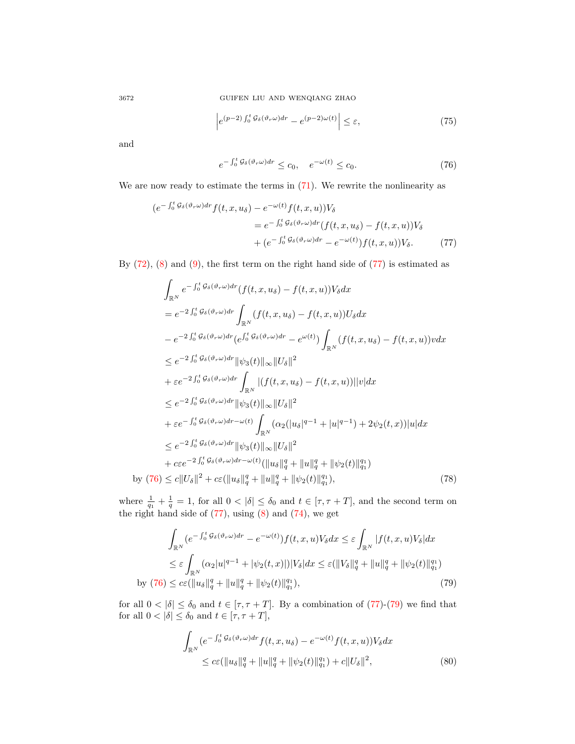3672 GUIFEN LIU AND WENQIANG ZHAO

$$
\left| e^{(p-2)\int_0^t \mathcal{G}_{\delta}(\vartheta_r \omega) dr} - e^{(p-2)\omega(t)} \right| \le \varepsilon, \tag{75}
$$

and

<span id="page-17-3"></span><span id="page-17-1"></span><span id="page-17-0"></span>
$$
e^{-\int_0^t \mathcal{G}_\delta(\vartheta_r \omega) dr} \le c_0, \quad e^{-\omega(t)} \le c_0. \tag{76}
$$

We are now ready to estimate the terms in  $(71)$ . We rewrite the nonlinearity as

$$
(e^{-\int_0^t \mathcal{G}_{\delta}(\vartheta_r \omega) dr} f(t, x, u_{\delta}) - e^{-\omega(t)} f(t, x, u)) V_{\delta}
$$
  
=  $e^{-\int_0^t \mathcal{G}_{\delta}(\vartheta_r \omega) dr} (f(t, x, u_{\delta}) - f(t, x, u)) V_{\delta}$   
+  $(e^{-\int_0^t \mathcal{G}_{\delta}(\vartheta_r \omega) dr} - e^{-\omega(t)}) f(t, x, u) V_{\delta}$ . (77)

By  $(72)$ ,  $(8)$  and  $(9)$ , the first term on the right hand side of  $(77)$  is estimated as

$$
\int_{\mathbb{R}^{N}} e^{-\int_{0}^{t} G_{\delta}(\vartheta_{r}\omega)dr} (f(t, x, u_{\delta}) - f(t, x, u)) V_{\delta} dx \n= e^{-2\int_{0}^{t} G_{\delta}(\vartheta_{r}\omega)dr} \int_{\mathbb{R}^{N}} (f(t, x, u_{\delta}) - f(t, x, u)) U_{\delta} dx \n- e^{-2\int_{0}^{t} G_{\delta}(\vartheta_{r}\omega)dr} (e^{\int_{0}^{t} G_{\delta}(\vartheta_{r}\omega)dr} - e^{\omega(t)}) \int_{\mathbb{R}^{N}} (f(t, x, u_{\delta}) - f(t, x, u)) v dx \n\leq e^{-2\int_{0}^{t} G_{\delta}(\vartheta_{r}\omega)dr} ||\psi_{3}(t)||_{\infty} ||U_{\delta}||^{2} \n+ \varepsilon e^{-2\int_{0}^{t} G_{\delta}(\vartheta_{r}\omega)dr} \int_{\mathbb{R}^{N}} |(f(t, x, u_{\delta}) - f(t, x, u))||v| dx \n\leq e^{-2\int_{0}^{t} G_{\delta}(\vartheta_{r}\omega)dr} ||\psi_{3}(t)||_{\infty} ||U_{\delta}||^{2} \n+ \varepsilon e^{-\int_{0}^{t} G_{\delta}(\vartheta_{r}\omega)dr} \psi_{3}(t)||_{\infty} ||U_{\delta}||^{2} \n+ \varepsilon e^{-\int_{0}^{t} G_{\delta}(\vartheta_{r}\omega)dr} \psi_{3}(t)||_{\infty} ||U_{\delta}||^{2} \n+ c\varepsilon e^{-2\int_{0}^{t} G_{\delta}(\vartheta_{r}\omega)dr} ||\psi_{3}(t)||_{\infty} ||U_{\delta}||^{2} \n+ c\varepsilon e^{-2\int_{0}^{t} G_{\delta}(\vartheta_{r}\omega)dr} \psi_{3}(t)||_{\infty} ||U_{\delta}||^{2} \n+ c\varepsilon e^{-2\int_{0}^{t} G_{\delta}(\vartheta_{r}\omega)dr} \psi_{3}(t)||_{\infty} ||\vartheta_{\delta}||^{2} + ||\psi_{2}(t)||_{\infty}^{q_{1}})
$$
\nby (76)  $\leq c||U_{\delta}||^{2} + c\varepsilon (||u_{\delta}||_{q}^{q} +$ 

where  $\frac{1}{q_1} + \frac{1}{q} = 1$ , for all  $0 < |\delta| \leq \delta_0$  and  $t \in [\tau, \tau + T]$ , and the second term on the right hand side of  $(77)$ , using  $(8)$  and  $(74)$ , we get

$$
\int_{\mathbb{R}^N} (e^{-\int_0^t \mathcal{G}_{\delta}(\vartheta_r \omega) dr} - e^{-\omega(t)}) f(t, x, u) V_{\delta} dx \le \varepsilon \int_{\mathbb{R}^N} |f(t, x, u) V_{\delta}| dx
$$
\n
$$
\le \varepsilon \int_{\mathbb{R}^N} (\alpha_2 |u|^{q-1} + |\psi_2(t, x)|) |V_{\delta}| dx \le \varepsilon (\|V_{\delta}\|_q^q + \|u\|_q^q + \|\psi_2(t)\|_{q_1}^{q_1})
$$
\nby (76)  $\le c\varepsilon (\|u_{\delta}\|_q^q + \|u\|_q^q + \|\psi_2(t)\|_{q_1}^{q_1}),$ \n(79)

for all  $0 < |\delta| \leq \delta_0$  and  $t \in [\tau, \tau + T]$ . By a combination of [\(77\)](#page-17-0)-[\(79\)](#page-17-2) we find that for all  $0 < |\delta| \leq \delta_0$  and  $t \in [\tau, \tau + T]$ ,

<span id="page-17-4"></span><span id="page-17-2"></span>
$$
\int_{\mathbb{R}^N} (e^{-\int_0^t \mathcal{G}_{\delta}(\vartheta_r \omega) dr} f(t, x, u_{\delta}) - e^{-\omega(t)} f(t, x, u)) V_{\delta} dx
$$
\n
$$
\leq c \varepsilon (\|u_{\delta}\|_{q}^{q} + \|u\|_{q}^{q} + \|\psi_{2}(t)\|_{q_{1}}^{q_{1}}) + c \|U_{\delta}\|^{2},
$$
\n(80)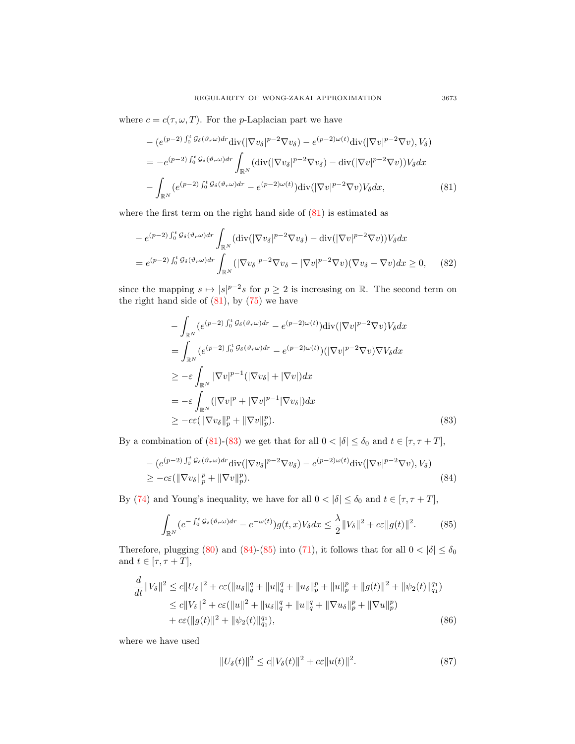where  $c = c(\tau, \omega, T)$ . For the *p*-Laplacian part we have

<span id="page-18-0"></span>
$$
- (e^{(p-2)\int_0^t \mathcal{G}_{\delta}(\vartheta_r \omega) dr} \text{div}(|\nabla v_{\delta}|^{p-2} \nabla v_{\delta}) - e^{(p-2)\omega(t)} \text{div}(|\nabla v|^{p-2} \nabla v), V_{\delta})
$$
  
\n
$$
= -e^{(p-2)\int_0^t \mathcal{G}_{\delta}(\vartheta_r \omega) dr} \int_{\mathbb{R}^N} (\text{div}(|\nabla v_{\delta}|^{p-2} \nabla v_{\delta}) - \text{div}(|\nabla v|^{p-2} \nabla v)) V_{\delta} dx
$$
  
\n
$$
- \int_{\mathbb{R}^N} (e^{(p-2)\int_0^t \mathcal{G}_{\delta}(\vartheta_r \omega) dr} - e^{(p-2)\omega(t)}) \text{div}(|\nabla v|^{p-2} \nabla v) V_{\delta} dx, \tag{81}
$$

where the first term on the right hand side of  $(81)$  is estimated as

$$
-e^{(p-2)\int_0^t \mathcal{G}_{\delta}(\vartheta_r \omega) dr} \int_{\mathbb{R}^N} (\text{div}(|\nabla v_{\delta}|^{p-2} \nabla v_{\delta}) - \text{div}(|\nabla v|^{p-2} \nabla v)) V_{\delta} dx
$$
  
=  $e^{(p-2)\int_0^t \mathcal{G}_{\delta}(\vartheta_r \omega) dr} \int_{\mathbb{R}^N} (|\nabla v_{\delta}|^{p-2} \nabla v_{\delta} - |\nabla v|^{p-2} \nabla v)(\nabla v_{\delta} - \nabla v) dx \ge 0,$  (82)

since the mapping  $s \mapsto |s|^{p-2} s$  for  $p \ge 2$  is increasing on R. The second term on the right hand side of  $(81)$ , by  $(75)$  we have

<span id="page-18-1"></span>
$$
- \int_{\mathbb{R}^N} (e^{(p-2) \int_0^t G_\delta(\vartheta_r \omega) dr} - e^{(p-2)\omega(t)}) \text{div}(|\nabla v|^{p-2} \nabla v) V_\delta dx
$$
  
\n
$$
= \int_{\mathbb{R}^N} (e^{(p-2) \int_0^t G_\delta(\vartheta_r \omega) dr} - e^{(p-2)\omega(t)}) (|\nabla v|^{p-2} \nabla v) \nabla V_\delta dx
$$
  
\n
$$
\geq -\varepsilon \int_{\mathbb{R}^N} |\nabla v|^{p-1} (|\nabla v_\delta| + |\nabla v|) dx
$$
  
\n
$$
= -\varepsilon \int_{\mathbb{R}^N} (|\nabla v|^p + |\nabla v|^{p-1} |\nabla v_\delta|) dx
$$
  
\n
$$
\geq -c\varepsilon (\|\nabla v_\delta\|_p^p + \|\nabla v\|_p^p). \tag{83}
$$

By a combination of [\(81\)](#page-18-0)-[\(83\)](#page-18-1) we get that for all  $0 < |\delta| \le \delta_0$  and  $t \in [\tau, \tau + T]$ ,

$$
- (e^{(p-2)\int_0^t \mathcal{G}_{\delta}(\vartheta_r \omega) dr} \text{div}(|\nabla v_{\delta}|^{p-2} \nabla v_{\delta}) - e^{(p-2)\omega(t)} \text{div}(|\nabla v|^{p-2} \nabla v), V_{\delta})
$$
  
 
$$
\geq -c\varepsilon (\|\nabla v_{\delta}\|_p^p + \|\nabla v\|_p^p). \tag{84}
$$

By [\(74\)](#page-16-3) and Young's inequality, we have for all  $0 < |\delta| \leq \delta_0$  and  $t \in [\tau, \tau + T]$ ,

<span id="page-18-2"></span>
$$
\int_{\mathbb{R}^N} (e^{-\int_0^t \mathcal{G}_{\delta}(\vartheta_r \omega) dr} - e^{-\omega(t)}) g(t, x) V_{\delta} dx \leq \frac{\lambda}{2} \|V_{\delta}\|^2 + c\varepsilon \|g(t)\|^2. \tag{85}
$$

Therefore, plugging [\(80\)](#page-17-4) and [\(84\)](#page-18-2)-[\(85\)](#page-18-3) into [\(71\)](#page-16-1), it follows that for all  $0 < |\delta| \le \delta_0$ and  $t \in [\tau, \tau + T],$ 

$$
\frac{d}{dt}||V_{\delta}||^{2} \leq c||U_{\delta}||^{2} + c\varepsilon(||u_{\delta}||_{q}^{q} + ||u||_{q}^{q} + ||u_{\delta}||_{p}^{p} + ||u||_{p}^{p} + ||g(t)||^{2} + ||\psi_{2}(t)||_{q_{1}}^{q_{1}})
$$
\n
$$
\leq c||V_{\delta}||^{2} + c\varepsilon(||u||^{2} + ||u_{\delta}||_{q}^{q} + ||u||_{q}^{q} + ||\nabla u_{\delta}||_{p}^{p} + ||\nabla u||_{p}^{p})
$$
\n
$$
+ c\varepsilon(||g(t)||^{2} + ||\psi_{2}(t)||_{q_{1}}^{q_{1}}),
$$
\n(86)

where we have used

<span id="page-18-5"></span><span id="page-18-4"></span><span id="page-18-3"></span>
$$
||U_{\delta}(t)||^{2} \le c||V_{\delta}(t)||^{2} + c\varepsilon||u(t)||^{2}.
$$
 (87)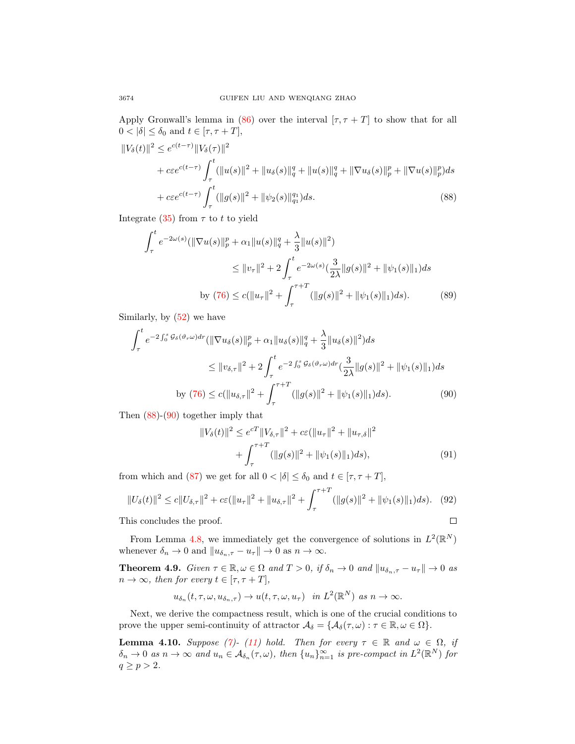Apply Gronwall's lemma in [\(86\)](#page-18-4) over the interval  $[\tau, \tau + T]$  to show that for all  $0 < |\delta| \leq \delta_0$  and  $t \in [\tau, \tau + T]$ ,

$$
||V_{\delta}(t)||^{2} \leq e^{c(t-\tau)} ||V_{\delta}(\tau)||^{2}
$$
  
+  $ce^{c(t-\tau)} \int_{\tau}^{t} (||u(s)||^{2} + ||u_{\delta}(s)||_{q}^{q} + ||u(s)||_{q}^{q} + ||\nabla u_{\delta}(s)||_{p}^{p} + ||\nabla u(s)||_{p}^{p}) ds$   
+  $ce^{c(t-\tau)} \int_{\tau}^{t} (||g(s)||^{2} + ||\psi_{2}(s)||_{q_{1}}^{q}) ds.$  (88)

Integrate [\(35\)](#page-8-2) from  $\tau$  to t to yield

<span id="page-19-1"></span>
$$
\int_{\tau}^{t} e^{-2\omega(s)} (\|\nabla u(s)\|_{p}^{p} + \alpha_{1} \|u(s)\|_{q}^{q} + \frac{\lambda}{3} \|u(s)\|^{2})
$$
\n
$$
\leq \|v_{\tau}\|^{2} + 2 \int_{\tau}^{t} e^{-2\omega(s)} (\frac{3}{2\lambda} \|g(s)\|^{2} + \|\psi_{1}(s)\|_{1}) ds
$$
\nby (76) 
$$
\leq c(\|u_{\tau}\|^{2} + \int_{\tau}^{\tau+T} (\|g(s)\|^{2} + \|\psi_{1}(s)\|_{1}) ds). \tag{89}
$$

Similarly, by [\(52\)](#page-12-0) we have

$$
\int_{\tau}^{t} e^{-2 \int_{0}^{s} \mathcal{G}_{\delta}(\vartheta_{r}\omega) dr} (\|\nabla u_{\delta}(s)\|_{p}^{p} + \alpha_{1} \|u_{\delta}(s)\|_{q}^{q} + \frac{\lambda}{3} \|u_{\delta}(s)\|^{2}) ds
$$
\n
$$
\leq \|v_{\delta,\tau}\|^{2} + 2 \int_{\tau}^{t} e^{-2 \int_{0}^{s} \mathcal{G}_{\delta}(\vartheta_{r}\omega) dr} (\frac{3}{2\lambda} \|g(s)\|^{2} + \|\psi_{1}(s)\|_{1}) ds
$$
\nby (76)  $\leq c (\|u_{\delta,\tau}\|^{2} + \int_{\tau}^{\tau+T} (\|g(s)\|^{2} + \|\psi_{1}(s)\|_{1}) ds).$  (90)

Then [\(88\)](#page-19-1)-[\(90\)](#page-19-2) together imply that

<span id="page-19-2"></span>
$$
||V_{\delta}(t)||^{2} \leq e^{cT}||V_{\delta,\tau}||^{2} + c\varepsilon(||u_{\tau}||^{2} + ||u_{\tau,\delta}||^{2} + \int_{\tau}^{\tau+T} (||g(s)||^{2} + ||\psi_{1}(s)||_{1})ds), \tag{91}
$$

from which and [\(87\)](#page-18-5) we get for all  $0 < |\delta| \leq \delta_0$  and  $t \in [\tau, \tau + T]$ ,

$$
||U_{\delta}(t)||^{2} \le c||U_{\delta,\tau}||^{2} + c\varepsilon(||u_{\tau}||^{2} + ||u_{\delta,\tau}||^{2} + \int_{\tau}^{\tau+T} (||g(s)||^{2} + ||\psi_{1}(s)||_{1})ds). \tag{92}
$$
  
his concludes the proof.

This concludes the proof.

From Lemma [4.8,](#page-16-4) we immediately get the convergence of solutions in  $L^2(\mathbb{R}^N)$ whenever  $\delta_n \to 0$  and  $||u_{\delta_n, \tau} - u_\tau|| \to 0$  as  $n \to \infty$ .

<span id="page-19-0"></span>**Theorem 4.9.** Given  $\tau \in \mathbb{R}, \omega \in \Omega$  and  $T > 0$ , if  $\delta_n \to 0$  and  $||u_{\delta_n, \tau} - u_{\tau}|| \to 0$  as  $n \to \infty$ , then for every  $t \in [\tau, \tau + T]$ ,

$$
u_{\delta_n}(t,\tau,\omega,u_{\delta_n,\tau})\to u(t,\tau,\omega,u_\tau)\quad\text{in }L^2(\mathbb{R}^N)\text{ as }n\to\infty.
$$

Next, we derive the compactness result, which is one of the crucial conditions to prove the upper semi-continuity of attractor  $\mathcal{A}_{\delta} = {\mathcal{A}_{\delta}(\tau,\omega) : \tau \in \mathbb{R}, \omega \in \Omega}.$ 

<span id="page-19-3"></span>**Lemma 4.10.** Suppose [\(7\)](#page-4-0)- [\(11\)](#page-5-2) hold. Then for every  $\tau \in \mathbb{R}$  and  $\omega \in \Omega$ , if  $\delta_n \to 0$  as  $n \to \infty$  and  $u_n \in \mathcal{A}_{\delta_n}(\tau,\omega)$ , then  $\{u_n\}_{n=1}^{\infty}$  is pre-compact in  $L^2(\mathbb{R}^N)$  for  $q \geq p > 2$ .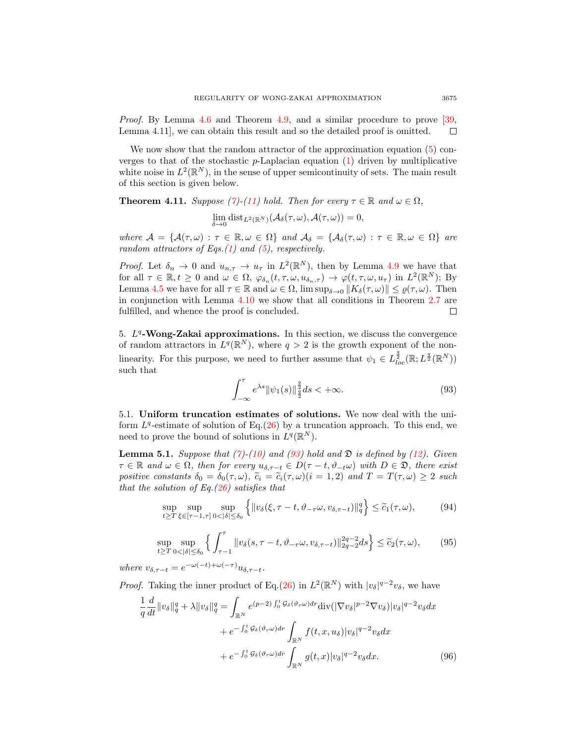Proof. By Lemma [4.6](#page-14-2) and Theorem [4.9,](#page-19-0) and a similar procedure to prove [\[39,](#page-31-16) Lemma 4.11], we can obtain this result and so the detailed proof is omitted.  $\Box$ 

We now show that the random attractor of the approximation equation  $(5)$  converges to that of the stochastic  $p$ -Laplacian equation  $(1)$  driven by multiplicative white noise in  $L^2(\mathbb{R}^N)$ , in the sense of upper semicontinuity of sets. The main result of this section is given below.

<span id="page-20-0"></span>**Theorem 4.11.** Suppose [\(7\)](#page-4-0)-[\(11\)](#page-5-2) hold. Then for every  $\tau \in \mathbb{R}$  and  $\omega \in \Omega$ ,

$$
\lim_{\delta \to 0} \text{dist}_{L^2(\mathbb{R}^N)}(\mathcal{A}_{\delta}(\tau,\omega), \mathcal{A}(\tau,\omega)) = 0,
$$

where  $\mathcal{A} = \{ \mathcal{A}(\tau, \omega) : \tau \in \mathbb{R}, \omega \in \Omega \}$  and  $\mathcal{A}_{\delta} = \{ \mathcal{A}_{\delta}(\tau, \omega) : \tau \in \mathbb{R}, \omega \in \Omega \}$  are random attractors of Eqs. $(1)$  and  $(5)$ , respectively.

*Proof.* Let  $\delta_n \to 0$  and  $u_{n,\tau} \to u_\tau$  in  $L^2(\mathbb{R}^N)$ , then by Lemma [4.9](#page-19-0) we have that for all  $\tau \in \mathbb{R}, t \geq 0$  and  $\omega \in \Omega$ ,  $\varphi_{\delta_n}(t, \tau, \omega, u_{\delta_n}, \tau) \to \varphi(t, \tau, \omega, u_\tau)$  in  $L^2(\mathbb{R}^N)$ ; By Lemma [4.5](#page-12-4) we have for all  $\tau \in \mathbb{R}$  and  $\omega \in \Omega$ ,  $\limsup_{\delta \to 0} ||K_{\delta}(\tau,\omega)|| \leq \varrho(\tau,\omega)$ . Then in conjunction with Lemma [4.10](#page-19-3) we show that all conditions in Theorem [2.7](#page-4-4) are fulfilled, and whence the proof is concluded. П

5.  $L<sup>q</sup>$ -Wong-Zakai approximations. In this section, we discuss the convergence of random attractors in  $L^q(\mathbb{R}^N)$ , where  $q > 2$  is the growth exponent of the nonlinearity. For this purpose, we need to further assume that  $\psi_1 \in L^{\frac{q}{2}}_{loc}(\mathbb{R}; L^{\frac{q}{2}}(\mathbb{R}^N))$ such that

<span id="page-20-3"></span><span id="page-20-1"></span>
$$
\int_{-\infty}^{\tau} e^{\lambda s} \|\psi_1(s)\|_{\frac{q}{2}}^{\frac{q}{2}} ds < +\infty.
$$
 (93)

5.1. Uniform truncation estimates of solutions. We now deal with the uniform  $L^q$ -estimate of solution of Eq.[\(26\)](#page-7-3) by a truncation approach. To this end, we need to prove the bound of solutions in  $L^q(\mathbb{R}^N)$ .

<span id="page-20-4"></span>**Lemma 5.1.** Suppose that [\(7\)](#page-4-0)-[\(10\)](#page-5-4) and [\(93\)](#page-20-1) hold and  $\mathfrak{D}$  is defined by [\(12\)](#page-5-3). Given  $\tau \in \mathbb{R}$  and  $\omega \in \Omega$ , then for every  $u_{\delta, \tau-t} \in D(\tau - t, \vartheta_{-t}\omega)$  with  $D \in \mathfrak{D}$ , there exist positive constants  $\delta_0 = \delta_0(\tau, \omega)$ ,  $\tilde{c}_i = \tilde{c}_i(\tau, \omega)(i = 1, 2)$  and  $T = T(\tau, \omega) \geq 2$  such that the solution of Eq. $(26)$  satisfies that

$$
\sup_{t \ge T} \sup_{\xi \in [\tau - 1, \tau]} \sup_{0 < |\delta| \le \delta_0} \left\{ \| v_\delta(\xi, \tau - t, \vartheta_{-\tau} \omega, v_{\delta, \tau - t}) \|_q^q \right\} \le \widetilde{c}_1(\tau, \omega),\tag{94}
$$

$$
\sup_{t \ge T} \sup_{0 < |\delta| \le \delta_0} \left\{ \int_{\tau-1}^\tau \|v_\delta(s, \tau - t, \vartheta_{-\tau}\omega, v_{\delta, \tau - t})\|_{2q-2}^{2q-2} ds \right\} \le \tilde{c}_2(\tau, \omega),\tag{95}
$$

where  $v_{\delta, \tau - t} = e^{-\omega(-t) + \omega(-\tau)} u_{\delta, \tau - t}$ .

*Proof.* Taking the inner product of Eq.[\(26\)](#page-7-3) in  $L^2(\mathbb{R}^N)$  with  $|v_\delta|^{q-2}v_\delta$ , we have

<span id="page-20-2"></span>
$$
\frac{1}{q}\frac{d}{dt}\|v_{\delta}\|_{q}^{q} + \lambda\|v_{\delta}\|_{q}^{q} = \int_{\mathbb{R}^{N}} e^{(p-2)\int_{0}^{t} \mathcal{G}_{\delta}(\vartheta_{r}\omega)dr} \text{div}(|\nabla v_{\delta}|^{p-2}\nabla v_{\delta})|v_{\delta}|^{q-2}v_{\delta}dx
$$

$$
+ e^{-\int_{0}^{t} \mathcal{G}_{\delta}(\vartheta_{r}\omega)dr} \int_{\mathbb{R}^{N}} f(t, x, u_{\delta})|v_{\delta}|^{q-2}v_{\delta}dx
$$

$$
+ e^{-\int_{0}^{t} \mathcal{G}_{\delta}(\vartheta_{r}\omega)dr} \int_{\mathbb{R}^{N}} g(t, x)|v_{\delta}|^{q-2}v_{\delta}dx.
$$
(96)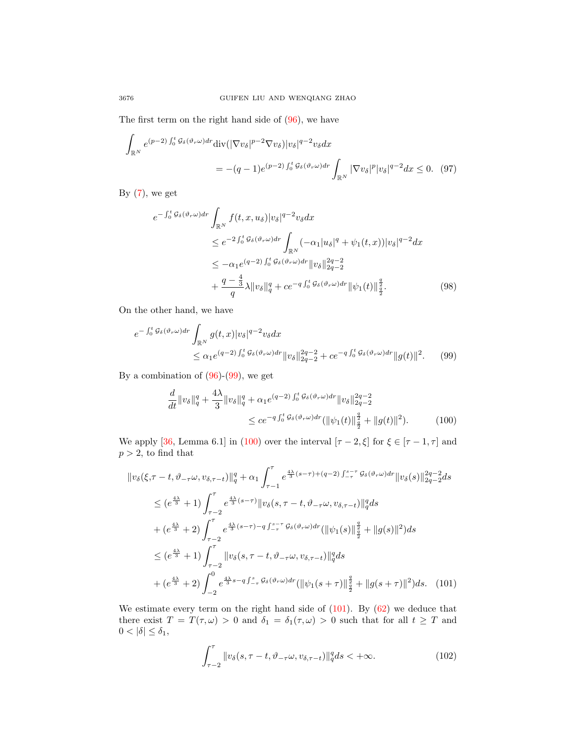The first term on the right hand side of [\(96\)](#page-20-2), we have

$$
\int_{\mathbb{R}^N} e^{(p-2)\int_0^t \mathcal{G}_{\delta}(\vartheta_r \omega) dr} \text{div}(|\nabla v_{\delta}|^{p-2} \nabla v_{\delta}) |v_{\delta}|^{q-2} v_{\delta} dx
$$
\n
$$
= -(q-1)e^{(p-2)\int_0^t \mathcal{G}_{\delta}(\vartheta_r \omega) dr} \int_{\mathbb{R}^N} |\nabla v_{\delta}|^p |v_{\delta}|^{q-2} dx \leq 0. \quad (97)
$$

By  $(7)$ , we get

$$
e^{-\int_{0}^{t} \mathcal{G}_{\delta}(\vartheta_{r}\omega) dr} \int_{\mathbb{R}^{N}} f(t, x, u_{\delta}) |v_{\delta}|^{q-2} v_{\delta} dx
$$
  
\n
$$
\leq e^{-2 \int_{0}^{t} \mathcal{G}_{\delta}(\vartheta_{r}\omega) dr} \int_{\mathbb{R}^{N}} (-\alpha_{1} |u_{\delta}|^{q} + \psi_{1}(t, x)) |v_{\delta}|^{q-2} dx
$$
  
\n
$$
\leq -\alpha_{1} e^{(q-2) \int_{0}^{t} \mathcal{G}_{\delta}(\vartheta_{r}\omega) dr} ||v_{\delta}||_{2q-2}^{2q-2}
$$
  
\n
$$
+ \frac{q-\frac{4}{3}}{q} \lambda ||v_{\delta}||_{q}^{q} + c e^{-q \int_{0}^{t} \mathcal{G}_{\delta}(\vartheta_{r}\omega) dr} ||\psi_{1}(t)||_{\frac{q}{2}}^{\frac{q}{2}}.
$$
 (98)

On the other hand, we have

$$
e^{-\int_0^t \mathcal{G}_{\delta}(\vartheta_r \omega) dr} \int_{\mathbb{R}^N} g(t, x) |v_{\delta}|^{q-2} v_{\delta} dx
$$
  
\$\leq \alpha\_1 e^{(q-2) \int\_0^t \mathcal{G}\_{\delta}(\vartheta\_r \omega) dr} ||v\_{\delta}||\_{2q-2}^{2q-2} + c e^{-q \int\_0^t \mathcal{G}\_{\delta}(\vartheta\_r \omega) dr} ||g(t)||^2. (99)\$

By a combination of  $(96)-(99)$  $(96)-(99)$  $(96)-(99)$ , we get

<span id="page-21-1"></span><span id="page-21-0"></span>
$$
\frac{d}{dt} \|v_{\delta}\|_{q}^{q} + \frac{4\lambda}{3} \|v_{\delta}\|_{q}^{q} + \alpha_{1} e^{(q-2) \int_{0}^{t} \mathcal{G}_{\delta}(\vartheta_{r}\omega) dr} \|v_{\delta}\|_{2q-2}^{2q-2}
$$
\n
$$
\leq c e^{-q \int_{0}^{t} \mathcal{G}_{\delta}(\vartheta_{r}\omega) dr} (\|\psi_{1}(t)\|_{\frac{q}{2}}^{\frac{q}{2}} + \|g(t)\|^{2}). \tag{100}
$$

We apply [\[36,](#page-31-18) Lemma 6.1] in [\(100\)](#page-21-1) over the interval  $[\tau - 2, \xi]$  for  $\xi \in [\tau - 1, \tau]$  and  $p > 2$ , to find that

$$
\|v_{\delta}(\xi,\tau-t,\vartheta_{-\tau}\omega,v_{\delta,\tau-t})\|_{q}^{q} + \alpha_{1} \int_{\tau-1}^{\tau} e^{\frac{4\lambda}{3}(s-\tau)+(q-2)\int_{-\tau}^{s-\tau} \mathcal{G}_{\delta}(\vartheta_{r}\omega)dr} \|v_{\delta}(s)\|_{2q-2}^{2q-2} ds
$$
  
\n
$$
\leq (e^{\frac{4\lambda}{3}}+1) \int_{\tau-2}^{\tau} e^{\frac{4\lambda}{3}(s-\tau)} \|v_{\delta}(s,\tau-t,\vartheta_{-\tau}\omega,v_{\delta,\tau-t})\|_{q}^{q} ds
$$
  
\n
$$
+ (e^{\frac{4\lambda}{3}}+2) \int_{\tau-2}^{\tau} e^{\frac{4\lambda}{3}(s-\tau)-q\int_{-\tau}^{s-\tau} \mathcal{G}_{\delta}(\vartheta_{r}\omega)dr} (\|\psi_{1}(s)\|_{\frac{q}{2}}^{\frac{q}{2}} + \|g(s)\|^{2}) ds
$$
  
\n
$$
\leq (e^{\frac{4\lambda}{3}}+1) \int_{\tau-2}^{\tau} \|v_{\delta}(s,\tau-t,\vartheta_{-\tau}\omega,v_{\delta,\tau-t})\|_{q}^{q} ds
$$
  
\n
$$
+ (e^{\frac{4\lambda}{3}}+2) \int_{-2}^{0} e^{\frac{4\lambda}{3}s-q\int_{-\tau}^{s} \mathcal{G}_{\delta}(\vartheta_{r}\omega)dr} (\|\psi_{1}(s+\tau)\|_{\frac{q}{2}}^{\frac{q}{2}} + \|g(s+\tau)\|^{2}) ds. (101)
$$

We estimate every term on the right hand side of  $(101)$ . By  $(62)$  we deduce that there exist  $T = T(\tau, \omega) > 0$  and  $\delta_1 = \delta_1(\tau, \omega) > 0$  such that for all  $t \geq T$  and  $0<\left|\delta\right|\leq\delta_{1},\label{eq:delta}%$ 

<span id="page-21-2"></span>
$$
\int_{\tau-2}^{\tau} \|v_{\delta}(s,\tau-t,\vartheta_{-\tau}\omega,v_{\delta,\tau-t})\|_{q}^{q} ds < +\infty.
$$
 (102)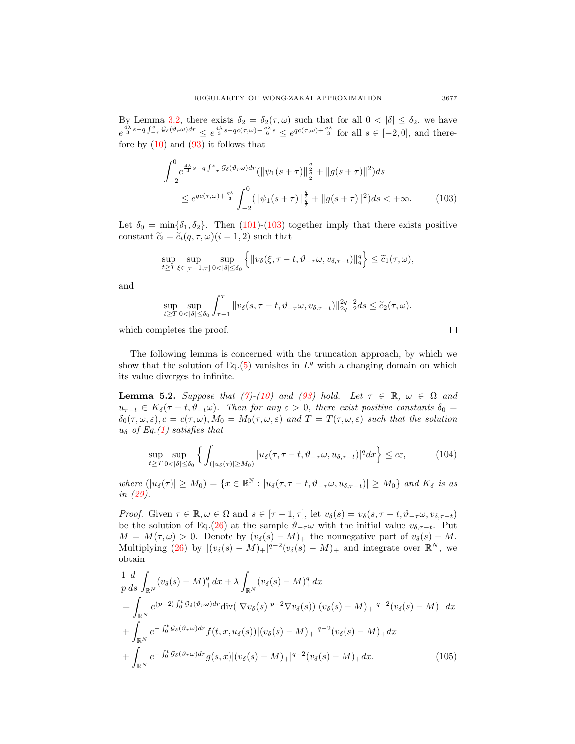By Lemma [3.2,](#page-5-5) there exists  $\delta_2 = \delta_2(\tau, \omega)$  such that for all  $0 < |\delta| \leq \delta_2$ , we have  $e^{\frac{4\lambda}{3}s-q\int_{-\tau}^s \mathcal{G}_{\delta}(\vartheta_r\omega)dr} \leq e^{\frac{4\lambda}{3}s+qc(\tau,\omega)-\frac{q\lambda}{6}s} \leq e^{qc(\tau,\omega)+\frac{q\lambda}{3}}$  for all  $s \in [-2,0]$ , and therefore by  $(10)$  and  $(93)$  it follows that

$$
\int_{-2}^{0} e^{\frac{4\lambda}{3}s - q \int_{-\tau}^{s} \mathcal{G}_{\delta}(\vartheta_{r}\omega) dr} (\|\psi_{1}(s+\tau)\|_{\frac{q}{2}}^{\frac{q}{2}} + \|g(s+\tau)\|^{2}) ds
$$
  
 
$$
\leq e^{qc(\tau,\omega)+\frac{q\lambda}{3}} \int_{-2}^{0} (\|\psi_{1}(s+\tau)\|_{\frac{q}{2}}^{\frac{q}{2}} + \|g(s+\tau)\|^{2}) ds < +\infty.
$$
 (103)

Let  $\delta_0 = \min{\delta_1, \delta_2}$ . Then [\(101\)](#page-21-2)-[\(103\)](#page-22-0) together imply that there exists positive constant  $\tilde{c}_i = \tilde{c}_i(q, \tau, \omega)$  (i = 1, 2) such that

$$
\sup_{t\geq T}\sup_{\xi\in[\tau-1,\tau]}\sup_{0<|\delta|\leq\delta_0}\left\{\|v_{\delta}(\xi,\tau-t,\vartheta_{-\tau}\omega,v_{\delta,\tau-t})\|_{q}^q\right\}\leq\widetilde{c}_1(\tau,\omega),
$$

and

$$
\sup_{t\geq T}\sup_{0<|\delta|\leq\delta_0}\int_{\tau-1}^\tau\|v_\delta(s,\tau-t,\vartheta_{-\tau}\omega,v_{\delta,\tau-t})\|_{2q-2}^{2q-2}ds\leq\widetilde{c}_2(\tau,\omega).
$$

which completes the proof.

The following lemma is concerned with the truncation approach, by which we show that the solution of Eq.[\(5\)](#page-1-0) vanishes in  $L^q$  with a changing domain on which its value diverges to infinite.

<span id="page-22-2"></span>**Lemma 5.2.** Suppose that [\(7\)](#page-4-0)-[\(10\)](#page-5-4) and [\(93\)](#page-20-1) hold. Let  $\tau \in \mathbb{R}$ ,  $\omega \in \Omega$  and  $u_{\tau-t} \in K_{\delta}(\tau - t, \vartheta_{-t}\omega)$ . Then for any  $\varepsilon > 0$ , there exist positive constants  $\delta_0 =$  $\delta_0(\tau,\omega,\varepsilon), c = c(\tau,\omega), M_0 = M_0(\tau,\omega,\varepsilon)$  and  $T = T(\tau,\omega,\varepsilon)$  such that the solution  $u_{\delta}$  of Eq.[\(1\)](#page-0-0) satisfies that

$$
\sup_{t \ge T} \sup_{0 < |\delta| \le \delta_0} \left\{ \int_{\left( |u_\delta(\tau)| \ge M_0 \right)} |u_\delta(\tau, \tau - t, \vartheta_{-\tau} \omega, u_{\delta, \tau - t})|^q dx \right\} \le c\varepsilon, \tag{104}
$$

where  $(|u_{\delta}(\tau)| \geq M_0) = \{x \in \mathbb{R}^{\mathbb{N}} : |u_{\delta}(\tau, \tau - t, \vartheta_{-\tau}\omega, u_{\delta, \tau - t})| \geq M_0\}$  and  $K_{\delta}$  is as in [\(29\)](#page-8-5).

*Proof.* Given  $\tau \in \mathbb{R}, \omega \in \Omega$  and  $s \in [\tau - 1, \tau]$ , let  $v_{\delta}(s) = v_{\delta}(s, \tau - t, \vartheta_{-\tau}\omega, v_{\delta, \tau - t})$ be the solution of Eq.[\(26\)](#page-7-3) at the sample  $\vartheta_{-\tau}\omega$  with the initial value  $v_{\delta,\tau-t}$ . Put  $M = M(\tau, \omega) > 0$ . Denote by  $(v_{\delta}(s) - M)_{+}$  the nonnegative part of  $v_{\delta}(s) - M$ . Multiplying [\(26\)](#page-7-3) by  $|(v_\delta(s) - M)_+|^{q-2}(v_\delta(s) - M)_+$  and integrate over  $\mathbb{R}^N$ , we obtain

$$
\frac{1}{p}\frac{d}{ds}\int_{\mathbb{R}^N}(v_\delta(s)-M)_+^q dx + \lambda \int_{\mathbb{R}^N}(v_\delta(s)-M)_+^q dx \n= \int_{\mathbb{R}^N} e^{(p-2)\int_0^t \mathcal{G}_\delta(\vartheta_r \omega) dr} \text{div}(|\nabla v_\delta(s)|^{p-2} \nabla v_\delta(s)) |(v_\delta(s)-M)_+|^{q-2} (v_\delta(s)-M)_+ dx \n+ \int_{\mathbb{R}^N} e^{-\int_0^t \mathcal{G}_\delta(\vartheta_r \omega) dr} f(t, x, u_\delta(s)) |(v_\delta(s)-M)_+|^{q-2} (v_\delta(s)-M)_+ dx \n+ \int_{\mathbb{R}^N} e^{-\int_0^t \mathcal{G}_\delta(\vartheta_r \omega) dr} g(s, x) |(v_\delta(s)-M)_+|^{q-2} (v_\delta(s)-M)_+ dx.
$$
\n(105)

<span id="page-22-1"></span><span id="page-22-0"></span> $\Box$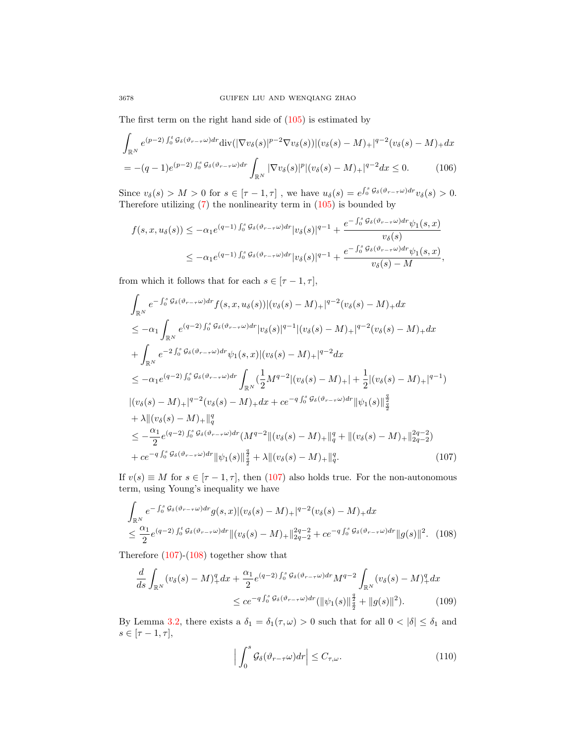The first term on the right hand side of  $(105)$  is estimated by

$$
\int_{\mathbb{R}^N} e^{(p-2)\int_0^t g_\delta(\vartheta_{r-\tau}\omega)dr} \text{div}(|\nabla v_\delta(s)|^{p-2} \nabla v_\delta(s)) |(v_\delta(s)-M)_+|^{q-2} (v_\delta(s)-M)_+ dx
$$
  
= -(q-1)e^{(p-2)\int\_0^s g\_\delta(\vartheta\_{r-\tau}\omega)dr} \int\_{\mathbb{R}^N} |\nabla v\_\delta(s)|^p |(v\_\delta(s)-M)\_+|^{q-2} dx \le 0. (106)

Since  $v_\delta(s) > M > 0$  for  $s \in [\tau - 1, \tau]$ , we have  $u_\delta(s) = e^{\int_0^s \mathcal{G}_\delta(\vartheta_{r-\tau}\omega) dr} v_\delta(s) > 0$ . Therefore utilizing  $(7)$  the nonlinearity term in  $(105)$  is bounded by

$$
f(s, x, u_{\delta}(s)) \leq -\alpha_1 e^{(q-1)\int_0^s \mathcal{G}_{\delta}(\vartheta_{r-\tau}\omega)dr} |v_{\delta}(s)|^{q-1} + \frac{e^{-\int_0^s \mathcal{G}_{\delta}(\vartheta_{r-\tau}\omega)dr} \psi_1(s, x)}{v_{\delta}(s)}
$$
  

$$
\leq -\alpha_1 e^{(q-1)\int_0^s \mathcal{G}_{\delta}(\vartheta_{r-\tau}\omega)dr} |v_{\delta}(s)|^{q-1} + \frac{e^{-\int_0^s \mathcal{G}_{\delta}(\vartheta_{r-\tau}\omega)dr} \psi_1(s, x)}{v_{\delta}(s) - M},
$$

from which it follows that for each  $s \in [\tau - 1, \tau]$ ,

$$
\int_{\mathbb{R}^N} e^{-\int_0^s g_\delta(\vartheta_{r-\tau}\omega) dr} f(s, x, u_\delta(s)) |(v_\delta(s) - M)_+|^{q-2} (v_\delta(s) - M)_+ dx
$$
\n
$$
\leq -\alpha_1 \int_{\mathbb{R}^N} e^{(q-2)\int_0^s g_\delta(\vartheta_{r-\tau}\omega) dr} |v_\delta(s)|^{q-1} |(v_\delta(s) - M)_+|^{q-2} (v_\delta(s) - M)_+ dx
$$
\n
$$
+ \int_{\mathbb{R}^N} e^{-2\int_0^s g_\delta(\vartheta_{r-\tau}\omega) dr} \psi_1(s, x) |(v_\delta(s) - M)_+|^{q-2} dx
$$
\n
$$
\leq -\alpha_1 e^{(q-2)\int_0^s g_\delta(\vartheta_{r-\tau}\omega) dr} \int_{\mathbb{R}^N} \left(\frac{1}{2} M^{q-2} |(v_\delta(s) - M)_+| + \frac{1}{2} |(v_\delta(s) - M)_+|^{q-1}\right)
$$
\n
$$
|(v_\delta(s) - M)_+|^{q-2} (v_\delta(s) - M)_+ dx + ce^{-q\int_0^s g_\delta(\vartheta_{r-\tau}\omega) dr} ||\psi_1(s)||_{\frac{q}{2}}^{\frac{q}{2}}
$$
\n
$$
+ \lambda ||(v_\delta(s) - M)_+||_q^q
$$
\n
$$
\leq -\frac{\alpha_1}{2} e^{(q-2)\int_0^s g_\delta(\vartheta_{r-\tau}\omega) dr} (M^{q-2} ||(v_\delta(s) - M)_+||_q^q + ||(v_\delta(s) - M)_+||_{2q-2}^{2q-2})
$$
\n
$$
+ ce^{-q\int_0^s g_\delta(\vartheta_{r-\tau}\omega) dr} ||\psi_1(s)||_{\frac{q}{2}}^{\frac{q}{2}} + \lambda ||(v_\delta(s) - M)_+||_q^q. \tag{107}
$$

If  $v(s) \equiv M$  for  $s \in [\tau - 1, \tau]$ , then [\(107\)](#page-23-0) also holds true. For the non-autonomous term, using Young's inequality we have

$$
\int_{\mathbb{R}^N} e^{-\int_0^s \mathcal{G}_{\delta}(\vartheta_{r-\tau}\omega) dr} g(s,x) |(v_{\delta}(s) - M)_{+}|^{q-2} (v_{\delta}(s) - M)_{+} dx
$$
\n
$$
\leq \frac{\alpha_1}{2} e^{(q-2) \int_0^t \mathcal{G}_{\delta}(\vartheta_{r-\tau}\omega) dr} ||(v_{\delta}(s) - M)_{+}||_{2q-2}^{2q-2} + c e^{-q \int_0^s \mathcal{G}_{\delta}(\vartheta_{r-\tau}\omega) dr} ||g(s)||^2. (108)
$$

Therefore [\(107\)](#page-23-0)-[\(108\)](#page-23-1) together show that

$$
\frac{d}{ds} \int_{\mathbb{R}^N} (v_\delta(s) - M)_+^q dx + \frac{\alpha_1}{2} e^{(q-2) \int_0^s \mathcal{G}_\delta(\vartheta_{r-\tau}\omega) dr} M^{q-2} \int_{\mathbb{R}^N} (v_\delta(s) - M)_+^q dx
$$
  

$$
\leq c e^{-q \int_0^s \mathcal{G}_\delta(\vartheta_{r-\tau}\omega) dr} (\|\psi_1(s)\|_{\frac{q}{2}}^{\frac{q}{2}} + \|g(s)\|^2).
$$
 (109)

By Lemma [3.2,](#page-5-5) there exists a  $\delta_1 = \delta_1(\tau, \omega) > 0$  such that for all  $0 < |\delta| \le \delta_1$  and  $s\in[\tau-1,\tau],$ 

<span id="page-23-3"></span><span id="page-23-2"></span><span id="page-23-1"></span><span id="page-23-0"></span>
$$
\left| \int_{0}^{s} \mathcal{G}_{\delta}(\vartheta_{r-\tau}\omega) dr \right| \leq C_{\tau,\omega}.
$$
 (110)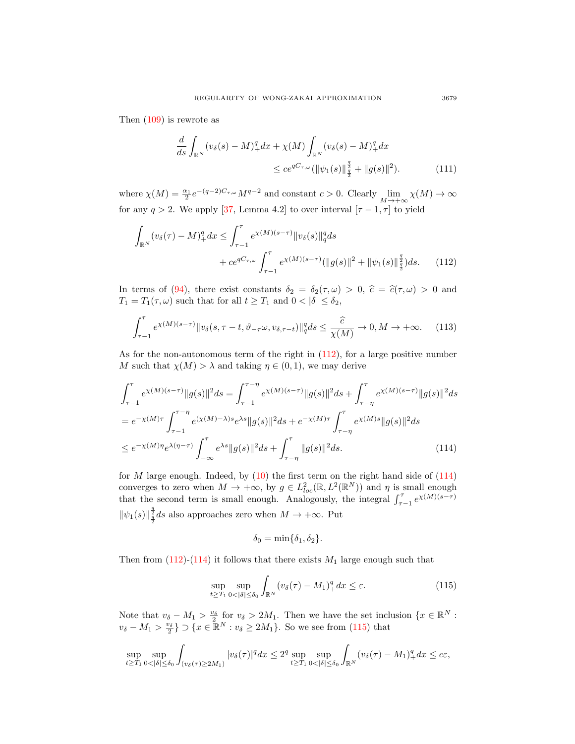Then [\(109\)](#page-23-2) is rewrote as

<span id="page-24-0"></span>
$$
\frac{d}{ds} \int_{\mathbb{R}^N} (v_\delta(s) - M)_+^q dx + \chi(M) \int_{\mathbb{R}^N} (v_\delta(s) - M)_+^q dx
$$
  

$$
\leq c e^{qC_{\tau,\omega}} (\|\psi_1(s)\|_{\frac{q}{2}}^{\frac{q}{2}} + \|g(s)\|^2).
$$
 (111)

where  $\chi(M) = \frac{\alpha_1}{2} e^{-(q-2)C_{\tau,\omega}} M^{q-2}$  and constant  $c > 0$ . Clearly  $\lim_{M \to +\infty} \chi(M) \to \infty$ for any  $q > 2$ . We apply [\[37,](#page-31-8) Lemma 4.2] to over interval  $[\tau - 1, \tau]$  to yield

$$
\int_{\mathbb{R}^N} (v_\delta(\tau) - M)_+^q dx \le \int_{\tau-1}^\tau e^{\chi(M)(s-\tau)} \|v_\delta(s)\|_q^q ds
$$
  
+  $ce^{qC_{\tau,\omega}} \int_{\tau-1}^\tau e^{\chi(M)(s-\tau)} (\|g(s)\|^2 + \|\psi_1(s)\|_{\frac{q}{2}}^{\frac{q}{2}}) ds.$  (112)

In terms of [\(94\)](#page-20-3), there exist constants  $\delta_2 = \delta_2(\tau, \omega) > 0$ ,  $\hat{c} = \hat{c}(\tau, \omega) > 0$  and  $T_1 = T_1(\tau, \omega)$  such that for all  $t \geq T_1$  and  $0 < |\delta| \leq \delta_2$ ,

$$
\int_{\tau-1}^{\tau} e^{\chi(M)(s-\tau)} \|v_{\delta}(s,\tau-t,\vartheta_{-\tau}\omega,v_{\delta,\tau-t})\|_{q}^{q} ds \leq \frac{\widehat{c}}{\chi(M)} \to 0, M \to +\infty.
$$
 (113)

As for the non-autonomous term of the right in [\(112\)](#page-24-0), for a large positive number M such that  $\chi(M) > \lambda$  and taking  $\eta \in (0,1)$ , we may derive

$$
\int_{\tau-1}^{\tau} e^{\chi(M)(s-\tau)} \|g(s)\|^2 ds = \int_{\tau-1}^{\tau-\eta} e^{\chi(M)(s-\tau)} \|g(s)\|^2 ds + \int_{\tau-\eta}^{\tau} e^{\chi(M)(s-\tau)} \|g(s)\|^2 ds
$$
  
\n
$$
= e^{-\chi(M)\tau} \int_{\tau-1}^{\tau-\eta} e^{(\chi(M)-\lambda)s} e^{\lambda s} \|g(s)\|^2 ds + e^{-\chi(M)\tau} \int_{\tau-\eta}^{\tau} e^{\chi(M)s} \|g(s)\|^2 ds
$$
  
\n
$$
\leq e^{-\chi(M)\eta} e^{\lambda(\eta-\tau)} \int_{-\infty}^{\tau} e^{\lambda s} \|g(s)\|^2 ds + \int_{\tau-\eta}^{\tau} \|g(s)\|^2 ds. \tag{114}
$$

for  $M$  large enough. Indeed, by  $(10)$  the first term on the right hand side of  $(114)$ converges to zero when  $M \to +\infty$ , by  $g \in L^2_{loc}(\mathbb{R}, L^2(\mathbb{R}^N))$  and  $\eta$  is small enough that the second term is small enough. Analogously, the integral  $\int_{\tau-1}^{\tau} e^{\chi(M)(s-\tau)}$  $\|\psi_1(s)\|^{\frac{2}{3}}_{\frac{4}{3}}ds$  also approaches zero when  $M \to +\infty$ . Put q

<span id="page-24-2"></span><span id="page-24-1"></span>
$$
\delta_0 = \min\{\delta_1, \delta_2\}.
$$

Then from  $(112)-(114)$  $(112)-(114)$  $(112)-(114)$  it follows that there exists  $M_1$  large enough such that

$$
\sup_{t \ge T_1} \sup_{0 < |\delta| \le \delta_0} \int_{\mathbb{R}^N} (v_\delta(\tau) - M_1)_+^q dx \le \varepsilon. \tag{115}
$$

Note that  $v_{\delta} - M_1 > \frac{v_{\delta}}{2}$  for  $v_{\delta} > 2M_1$ . Then we have the set inclusion  $\{x \in \mathbb{R}^N :$  $v_{\delta} - M_1 > \frac{v_{\delta}}{2}$   $\} \supset \{x \in \mathbb{R}^N : v_{\delta} \ge 2M_1\}$ . So we see from [\(115\)](#page-24-2) that

$$
\sup_{t\geq T_1}\sup_{0<|\delta|\leq\delta_0}\int_{(v_\delta(\tau)\geq 2M_1)}|v_\delta(\tau)|^q dx\leq 2^q\sup_{t\geq T_1}\sup_{0<|\delta|\leq\delta_0}\int_{\mathbb{R}^N}(v_\delta(\tau)-M_1)_+^q dx\leq c\varepsilon,
$$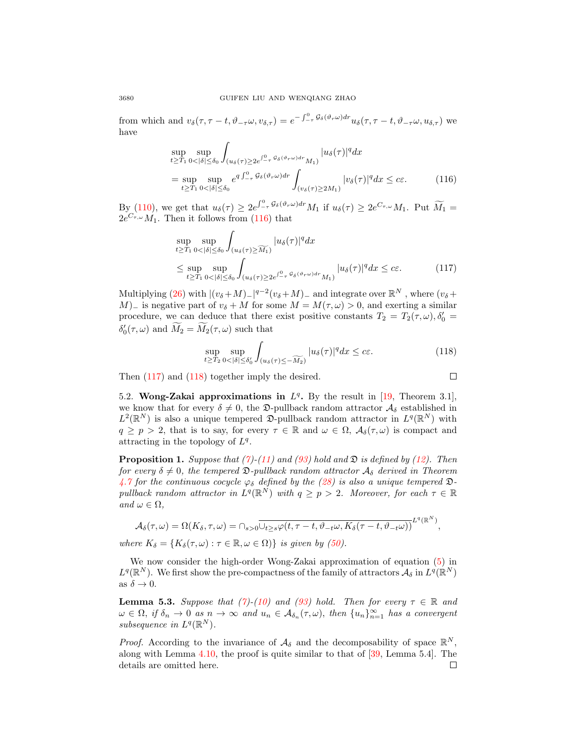from which and  $v_{\delta}(\tau, \tau - t, \vartheta_{-\tau}\omega, v_{\delta,\tau}) = e^{-\int_{-\tau}^{0} \mathcal{G}_{\delta}(\vartheta_{r}\omega) dr} u_{\delta}(\tau, \tau - t, \vartheta_{-\tau}\omega, u_{\delta,\tau})$  we have

$$
\sup_{t \ge T_1} \sup_{0 < |\delta| \le \delta_0} \int_{(u_\delta(\tau) \ge 2e^{\int_{-\tau}^0 \mathcal{G}_\delta(\vartheta_r \omega) dr} M_1)} |u_\delta(\tau)|^q dx
$$
\n
$$
= \sup_{t \ge T_1} \sup_{0 < |\delta| \le \delta_0} e^{q \int_{-\tau}^0 \mathcal{G}_\delta(\vartheta_r \omega) dr} \int_{(v_\delta(\tau) \ge 2M_1)} |v_\delta(\tau)|^q dx \le c\varepsilon. \tag{116}
$$

By [\(110\)](#page-23-3), we get that  $u_{\delta}(\tau) \geq 2e^{\int_{-\tau}^0 \mathcal{G}_{\delta}(\vartheta_r \omega) dr} M_1$  if  $u_{\delta}(\tau) \geq 2e^{C_{\tau,\omega}} M_1$ . Put  $\widetilde{M}_1 =$  $2e^{C_{\tau,\omega}}M_1$ . Then it follows from [\(116\)](#page-25-0) that

$$
\sup_{t \ge T_1} \sup_{0 < |\delta| \le \delta_0} \int_{(u_\delta(\tau) \ge \widetilde{M_1})} |u_\delta(\tau)|^q dx
$$
\n
$$
\le \sup_{t \ge T_1} \sup_{0 < |\delta| \le \delta_0} \int_{(u_\delta(\tau) \ge 2e^{\int_{-\tau}^0 \mathcal{G}_\delta(\vartheta \tau \omega) d\tau} M_1)} |u_\delta(\tau)|^q dx \le c\varepsilon. \tag{117}
$$

Multiplying [\(26\)](#page-7-3) with  $|(v_\delta + M)_-|^{q-2}(v_\delta + M)_-$  and integrate over  $\mathbb{R}^N$ , where  $(v_\delta +$ M)<sub>−</sub> is negative part of  $v_{\delta} + M$  for some  $M = M(\tau, \omega) > 0$ , and exerting a similar procedure, we can deduce that there exist positive constants  $T_2 = T_2(\tau, \omega), \delta'_0 =$  $\delta'_0(\tau,\omega)$  and  $\tilde{M_2} = \tilde{M_2}(\tau,\omega)$  such that

$$
\sup_{t \ge T_2} \sup_{0 < |\delta| \le \delta_0'} \int_{(u_\delta(\tau) \le -\widetilde{M_2})} |u_\delta(\tau)|^q dx \le c\varepsilon. \tag{118}
$$

<span id="page-25-2"></span><span id="page-25-1"></span><span id="page-25-0"></span> $\Box$ 

Then [\(117\)](#page-25-1) and [\(118\)](#page-25-2) together imply the desired.

5.2. Wong-Zakai approximations in 
$$
L^q
$$
. By the result in [19, Theorem 3.1],  
we know that for every  $\delta \neq 0$ , the  $\mathfrak{D}$ -pullback random attractor  $\mathcal{A}_{\delta}$  established in  $L^2(\mathbb{R}^N)$  is also a unique tempered  $\mathfrak{D}$ -pullback random attractor in  $L^q(\mathbb{R}^N)$  with  $q \geq p > 2$ , that is to say, for every  $\tau \in \mathbb{R}$  and  $\omega \in \Omega$ ,  $\mathcal{A}_{\delta}(\tau,\omega)$  is compact and  
attracting in the topology of  $L^q$ .

**Proposition 1.** Suppose that [\(7\)](#page-4-0)-[\(11\)](#page-5-2) and [\(93\)](#page-20-1) hold and  $\mathfrak{D}$  is defined by [\(12\)](#page-5-3). Then for every  $\delta \neq 0$ , the tempered  $\mathfrak{D}\text{-}\text{pullback random attractor } \mathcal{A}_{\delta}$  derived in Theorem [4.7](#page-16-5) for the continuous cocycle  $\varphi_{\delta}$  defined by the [\(28\)](#page-7-2) is also a unique tempered  $\mathfrak{D}$ pullback random attractor in  $L^q(\mathbb{R}^N)$  with  $q \geq p > 2$ . Moreover, for each  $\tau \in \mathbb{R}$ and  $\omega \in \Omega$ ,

$$
\mathcal{A}_{\delta}(\tau,\omega) = \Omega(K_{\delta},\tau,\omega) = \cap_{s>0} \overline{\cup_{t\geq s}\varphi(t,\tau-t,\vartheta_{-t}\omega,K_{\delta}(\tau-t,\vartheta_{-t}\omega))}^{L^{q}(\mathbb{R}^{N})},
$$

where  $K_{\delta} = \{K_{\delta}(\tau,\omega) : \tau \in \mathbb{R}, \omega \in \Omega\}$  is given by [\(50\)](#page-12-3).

We now consider the high-order Wong-Zakai approximation of equation [\(5\)](#page-1-0) in  $L^q(\mathbb{R}^N)$ . We first show the pre-compactness of the family of attractors  $\mathcal{A}_\delta$  in  $L^q(\mathbb{R}^N)$ as  $\delta \to 0$ .

<span id="page-25-3"></span>**Lemma 5.3.** Suppose that [\(7\)](#page-4-0)-[\(10\)](#page-5-4) and [\(93\)](#page-20-1) hold. Then for every  $\tau \in \mathbb{R}$  and  $\omega \in \Omega$ , if  $\delta_n \to 0$  as  $n \to \infty$  and  $u_n \in A_{\delta_n}(\tau, \omega)$ , then  $\{u_n\}_{n=1}^{\infty}$  has a convergent subsequence in  $L^q(\mathbb{R}^N)$ .

*Proof.* According to the invariance of  $\mathcal{A}_{\delta}$  and the decomposability of space  $\mathbb{R}^{N}$ , along with Lemma [4.10,](#page-19-3) the proof is quite similar to that of [\[39,](#page-31-16) Lemma 5.4]. The details are omitted here. $\Box$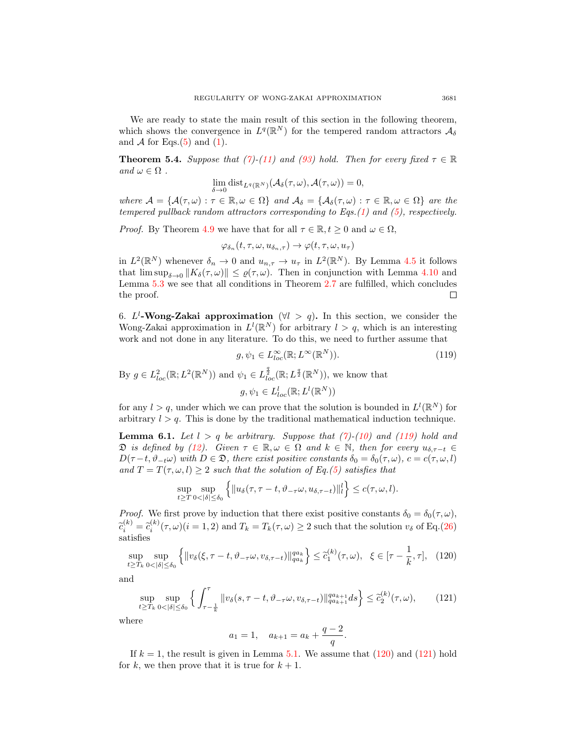We are ready to state the main result of this section in the following theorem, which shows the convergence in  $L^q(\mathbb{R}^N)$  for the tempered random attractors  $\mathcal{A}_{\delta}$ and  $A$  for Eqs.[\(5\)](#page-1-0) and [\(1\)](#page-0-0).

<span id="page-26-0"></span>**Theorem 5.4.** Suppose that [\(7\)](#page-4-0)-[\(11\)](#page-5-2) and [\(93\)](#page-20-1) hold. Then for every fixed  $\tau \in \mathbb{R}$ and  $\omega \in \Omega$ .

$$
\lim_{\delta \to 0} \text{dist}_{L^q(\mathbb{R}^N)}(\mathcal{A}_{\delta}(\tau,\omega), \mathcal{A}(\tau,\omega)) = 0,
$$

where  $\mathcal{A} = {\mathcal{A}(\tau,\omega) : \tau \in \mathbb{R}, \omega \in \Omega}$  and  $\mathcal{A}_{\delta} = {\mathcal{A}_{\delta}(\tau,\omega) : \tau \in \mathbb{R}, \omega \in \Omega}$  are the tempered pullback random attractors corresponding to Eqs.[\(1\)](#page-0-0) and [\(5\)](#page-1-0), respectively.

*Proof.* By Theorem [4.9](#page-19-0) we have that for all  $\tau \in \mathbb{R}, t \geq 0$  and  $\omega \in \Omega$ ,

$$
\varphi_{\delta_n}(t,\tau,\omega,u_{\delta_n,\tau})\to\varphi(t,\tau,\omega,u_\tau)
$$

in  $L^2(\mathbb{R}^N)$  whenever  $\delta_n \to 0$  and  $u_{n,\tau} \to u_\tau$  in  $L^2(\mathbb{R}^N)$ . By Lemma [4.5](#page-12-4) it follows that  $\limsup_{\delta \to 0} ||K_{\delta}(\tau,\omega)|| \leq \varrho(\tau,\omega)$ . Then in conjunction with Lemma [4.10](#page-19-3) and Lemma [5.3](#page-25-3) we see that all conditions in Theorem [2.7](#page-4-4) are fulfilled, which concludes the proof.  $\Box$ 

6. L<sup>l</sup>-Wong-Zakai approximation ( $\forall l > q$ ). In this section, we consider the Wong-Zakai approximation in  $L^l(\mathbb{R}^N)$  for arbitrary  $l > q$ , which is an interesting work and not done in any literature. To do this, we need to further assume that

<span id="page-26-1"></span>
$$
g, \psi_1 \in L^{\infty}_{loc}(\mathbb{R}; L^{\infty}(\mathbb{R}^N)).
$$
\n(119)

By  $g \in L^2_{loc}(\mathbb{R}; L^2(\mathbb{R}^N))$  and  $\psi_1 \in L^{\frac{q}{2}}_{loc}(\mathbb{R}; L^{\frac{q}{2}}(\mathbb{R}^N))$ , we know that  $g, \psi_1 \in L^l_{loc}(\mathbb{R};L^l(\mathbb{R}^N))$ 

for any  $l > q$ , under which we can prove that the solution is bounded in  $L^{l}(\mathbb{R}^{N})$  for arbitrary  $l > q$ . This is done by the traditional mathematical induction technique.

<span id="page-26-4"></span>**Lemma 6.1.** Let  $l > q$  be arbitrary. Suppose that  $(7)-(10)$  $(7)-(10)$  $(7)-(10)$  and  $(119)$  hold and  $\mathfrak{D}$  is defined by [\(12\)](#page-5-3). Given  $\tau \in \mathbb{R}, \omega \in \Omega$  and  $k \in \mathbb{N}$ , then for every  $u_{\delta, \tau-t} \in$  $D(\tau - t, \vartheta_{-t}\omega)$  with  $D \in \mathfrak{D}$ , there exist positive constants  $\delta_0 = \delta_0(\tau, \omega)$ ,  $c = c(\tau, \omega, l)$ and  $T = T(\tau, \omega, l) \geq 2$  such that the solution of Eq.[\(5\)](#page-1-0) satisfies that

$$
\sup_{t\geq T}\sup_{0<|\delta|\leq\delta_0}\left\{\|u_{\delta}(\tau,\tau-t,\vartheta_{-\tau}\omega,u_{\delta,\tau-t})\|_{l}^{l}\right\}\leq c(\tau,\omega,l).
$$

*Proof.* We first prove by induction that there exist positive constants  $\delta_0 = \delta_0(\tau, \omega)$ ,  $\tilde{c}_i^{(k)} = \tilde{c}_i^{(k)}(\tau, \omega)$   $(i = 1, 2)$  and  $T_k = T_k(\tau, \omega) \ge 2$  such that the solution  $v_\delta$  of Eq.[\(26\)](#page-7-3) satisfies

$$
\sup_{t \ge T_k} \sup_{0 < |\delta| \le \delta_0} \left\{ \|v_\delta(\xi, \tau - t, \vartheta_{-\tau}\omega, v_{\delta, \tau - t})\|_{qa_k}^{qa_k} \right\} \le \tilde{c}_1^{(k)}(\tau, \omega), \ \ \xi \in [\tau - \frac{1}{k}, \tau], \ \ (120)
$$

and

$$
\sup_{t\geq T_k} \sup_{0<|\delta|\leq \delta_0} \left\{ \int_{\tau-\frac{1}{k}}^{\tau} \|v_\delta(s,\tau-t,\vartheta_{-\tau}\omega,v_{\delta,\tau-t})\|_{q a_{k+1}}^{q a_{k+1}} ds \right\} \leq \tilde{c}_2^{(k)}(\tau,\omega),\tag{121}
$$

where

<span id="page-26-3"></span><span id="page-26-2"></span>
$$
a_1 = 1
$$
,  $a_{k+1} = a_k + \frac{q-2}{q}$ .

If  $k = 1$ , the result is given in Lemma [5.1.](#page-20-4) We assume that  $(120)$  and  $(121)$  hold for k, we then prove that it is true for  $k + 1$ .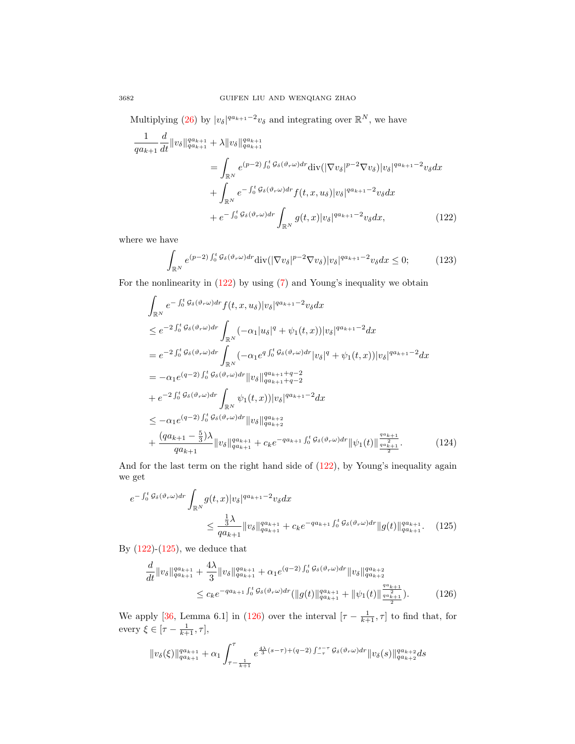Multiplying [\(26\)](#page-7-3) by  $|v_\delta|^{qa_{k+1}-2}v_\delta$  and integrating over  $\mathbb{R}^N$ , we have

$$
\frac{1}{qa_{k+1}} \frac{d}{dt} \|v_{\delta}\|_{qa_{k+1}}^{qa_{k+1}} + \lambda \|v_{\delta}\|_{qa_{k+1}}^{qa_{k+1}} \n= \int_{\mathbb{R}^N} e^{(p-2) \int_0^t \mathcal{G}_{\delta}(\vartheta_r \omega) dr} \text{div}(|\nabla v_{\delta}|^{p-2} \nabla v_{\delta}) |v_{\delta}|^{qa_{k+1}-2} v_{\delta} dx \n+ \int_{\mathbb{R}^N} e^{-\int_0^t \mathcal{G}_{\delta}(\vartheta_r \omega) dr} f(t, x, u_{\delta}) |v_{\delta}|^{qa_{k+1}-2} v_{\delta} dx \n+ e^{-\int_0^t \mathcal{G}_{\delta}(\vartheta_r \omega) dr} \int_{\mathbb{R}^N} g(t, x) |v_{\delta}|^{qa_{k+1}-2} v_{\delta} dx,
$$
\n(122)

where we have

<span id="page-27-0"></span>
$$
\int_{\mathbb{R}^N} e^{(p-2)\int_0^t \mathcal{G}_{\delta}(\vartheta_r \omega) dr} \text{div}(|\nabla v_{\delta}|^{p-2} \nabla v_{\delta}) |v_{\delta}|^{q a_{k+1}-2} v_{\delta} dx \le 0; \qquad (123)
$$

For the nonlinearity in  $(122)$  by using  $(7)$  and Young's inequality we obtain

$$
\int_{\mathbb{R}^N} e^{-\int_0^t g_\delta(\vartheta_r \omega) dr} f(t, x, u_\delta) |v_\delta|^{qa_{k+1}-2} v_\delta dx
$$
\n
$$
\leq e^{-2 \int_0^t g_\delta(\vartheta_r \omega) dr} \int_{\mathbb{R}^N} (-\alpha_1 |u_\delta|^q + \psi_1(t, x)) |v_\delta|^{qa_{k+1}-2} dx
$$
\n
$$
= e^{-2 \int_0^t g_\delta(\vartheta_r \omega) dr} \int_{\mathbb{R}^N} (-\alpha_1 e^{q \int_0^t g_\delta(\vartheta_r \omega) dr} |v_\delta|^q + \psi_1(t, x)) |v_\delta|^{qa_{k+1}-2} dx
$$
\n
$$
= -\alpha_1 e^{(q-2) \int_0^t g_\delta(\vartheta_r \omega) dr} |v_\delta|^{qa_{k+1}+q-2}
$$
\n
$$
+ e^{-2 \int_0^t g_\delta(\vartheta_r \omega) dr} \int_{\mathbb{R}^N} \psi_1(t, x)) |v_\delta|^{qa_{k+1}-2} dx
$$
\n
$$
\leq -\alpha_1 e^{(q-2) \int_0^t g_\delta(\vartheta_r \omega) dr} |v_\delta|^{qa_{k+2}}
$$
\n
$$
+ \frac{(qa_{k+1} - \frac{5}{3})\lambda}{qa_{k+1}} ||v_\delta|^{qa_{k+1}} + c_k e^{-qa_{k+1} \int_0^t g_\delta(\vartheta_r \omega) dr} ||\psi_1(t)||^{\frac{qa_{k+1}}{q\left(\frac{a}{2}\right)}}.
$$
\n(124)

And for the last term on the right hand side of [\(122\)](#page-27-0), by Young's inequality again we get

$$
e^{-\int_0^t \mathcal{G}_{\delta}(\vartheta_r \omega) dr} \int_{\mathbb{R}^N} g(t, x) |v_{\delta}|^{qa_{k+1} - 2} v_{\delta} dx
$$
  

$$
\leq \frac{\frac{1}{3}\lambda}{qa_{k+1}} \|v_{\delta}\|_{qa_{k+1}}^{qa_{k+1}} + c_k e^{-qa_{k+1} \int_0^t \mathcal{G}_{\delta}(\vartheta_r \omega) dr} \|g(t)\|_{qa_{k+1}}^{qa_{k+1}}.
$$
 (125)

By  $(122)-(125)$  $(122)-(125)$  $(122)-(125)$ , we deduce that

<span id="page-27-2"></span><span id="page-27-1"></span>
$$
\frac{d}{dt} ||v_{\delta}||_{qa_{k+1}}^{qa_{k+1}} + \frac{4\lambda}{3} ||v_{\delta}||_{qa_{k+1}}^{qa_{k+1}} + \alpha_1 e^{(q-2) \int_0^t \mathcal{G}_{\delta}(\vartheta_r \omega) dr} ||v_{\delta}||_{qa_{k+2}}^{qa_{k+2}} \leq c_k e^{-qa_{k+1} \int_0^t \mathcal{G}_{\delta}(\vartheta_r \omega) dr} (||g(t)||_{qa_{k+1}}^{qa_{k+1}} + ||\psi_1(t)||_{\frac{qa_{k+1}}{2}}^{\frac{qa_{k+1}}{2}}).
$$
\n(126)

We apply [\[36,](#page-31-18) Lemma 6.1] in [\(126\)](#page-27-2) over the interval  $[\tau - \frac{1}{k+1}, \tau]$  to find that, for every  $\xi \in [\tau - \frac{1}{k+1}, \tau],$ 

$$
||v_{\delta}(\xi)||^{qa_{k+1}}_{qa_{k+1}} + \alpha_1 \int_{\tau - \frac{1}{k+1}}^{\tau} e^{\frac{4\lambda}{3}(s-\tau) + (q-2) \int_{-\tau}^{s-\tau} \mathcal{G}_{\delta}(\vartheta_r \omega) dr} ||v_{\delta}(s)||^{qa_{k+2}}_{qa_{k+2}} ds
$$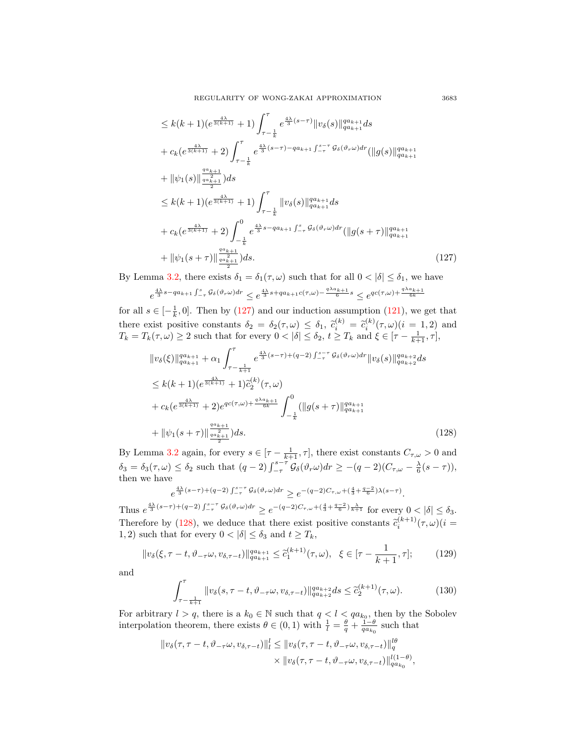REGULARITY OF WONG-ZAKAI APPROXIMATION 3683

$$
\leq k(k+1)(e^{\frac{4\lambda}{3(k+1)}}+1)\int_{\tau-\frac{1}{k}}^{\tau}e^{\frac{4\lambda}{3}(s-\tau)}\|v_{\delta}(s)\|_{qa_{k+1}}^{qa_{k+1}}ds
$$
  
+ $c_{k}(e^{\frac{4\lambda}{3(k+1)}}+2)\int_{\tau-\frac{1}{k}}^{\tau}e^{\frac{4\lambda}{3}(s-\tau)-qa_{k+1}\int_{-\tau}^{s-\tau}G_{\delta}(\vartheta_{r}\omega)dr}(\|g(s)\|_{qa_{k+1}}^{qa_{k+1}}$   
+ $\|\psi_{1}(s)\|_{\frac{qa_{k+1}}{a_{k+1}}}^{\frac{qa_{k+1}}{a_{k+1}}}\)ds$   
 $\leq k(k+1)(e^{\frac{4\lambda}{3(k+1)}}+1)\int_{\tau-\frac{1}{k}}^{\tau}\|v_{\delta}(s)\|_{qa_{k+1}}^{qa_{k+1}}ds$   
+ $c_{k}(e^{\frac{4\lambda}{3(k+1)}}+2)\int_{-\frac{1}{k}}^{0}e^{\frac{4\lambda}{3}s-q_{k+1}\int_{-\tau}^{s}\mathcal{G}_{\delta}(\vartheta_{r}\omega)dr}(\|g(s+\tau)\|_{qa_{k+1}}^{qa_{k+1}}$   
+ $\|\psi_{1}(s+\tau)\|_{\frac{qa_{k+1}}{a_{k+1}}}^{\frac{qa_{k+1}}{a_{k+1}}}\)ds.$  (127)

By Lemma [3.2,](#page-5-5) there exists  $\delta_1 = \delta_1(\tau, \omega)$  such that for all  $0 < |\delta| \leq \delta_1$ , we have

$$
e^{\frac{4\lambda}{3}s-qa_{k+1}\int_{-\tau}^s\mathcal{G}_\delta(\vartheta_r\omega)dr}\leq e^{\frac{4\lambda}{3}s+qa_{k+1}c(\tau,\omega)-\frac{q\lambda a_{k+1}}{6}s}\leq e^{qc(\tau,\omega)+\frac{q\lambda a_{k+1}}{6k}}
$$

for all  $s \in [-\frac{1}{k}, 0]$ . Then by [\(127\)](#page-28-0) and our induction assumption [\(121\)](#page-26-3), we get that k there exist positive constants  $\delta_2 = \delta_2(\tau, \omega) \leq \delta_1$ ,  $\tilde{c}_i^{(k)} = \tilde{c}_i^{(k)}(\tau, \omega) (i = 1, 2)$  and  $T_i = T_i(\tau, \omega) > 2$  such that for every  $0 < |\delta| < \delta_1 + \tilde{C}$  and  $\delta \in [\tau, 1, \tau]$  $T_k = T_k(\tau, \omega) \ge 2$  such that for every  $0 < |\delta| \le \delta_2$ ,  $t \ge T_k$  and  $\xi \in [\tau - \frac{1}{k+1}, \tau]$ ,

$$
\|v_{\delta}(\xi)\|_{qa_{k+1}}^{qa_{k+1}} + \alpha_{1} \int_{\tau-\frac{1}{k+1}}^{\tau} e^{\frac{4\lambda}{3}(s-\tau)+(q-2)\int_{-\tau}^{s-\tau} \mathcal{G}_{\delta}(\vartheta_{\tau}\omega)dr} \|v_{\delta}(s)\|_{qa_{k+2}}^{qa_{k+2}} ds
$$
  
\n
$$
\leq k(k+1)(e^{\frac{4\lambda}{3(k+1)}}+1)\tilde{c}_{2}^{(k)}(\tau,\omega)
$$
  
\n
$$
+ c_{k}(e^{\frac{4\lambda}{3(k+1)}}+2)e^{qc(\tau,\omega)+\frac{q\lambda a_{k+1}}{6k}} \int_{-\frac{1}{k}}^{0} (||g(s+\tau)||_{qa_{k+1}}^{qa_{k+1}}
$$
  
\n
$$
+ ||\psi_{1}(s+\tau)||_{\frac{qa_{k+1}}{2}}^{\frac{qa_{k+1}}{2}})ds.
$$
\n(128)

By Lemma [3.2](#page-5-5) again, for every  $s \in [\tau - \frac{1}{k+1}, \tau]$ , there exist constants  $C_{\tau,\omega} > 0$  and  $\delta_3 = \delta_3(\tau, \omega) \leq \delta_2$  such that  $(q-2) \int_{-\tau}^{s-\tau} \mathcal{G}_{\delta}(\vartheta_r \omega) dr \geq -(q-2)(C_{\tau, \omega} - \frac{\lambda}{6}(s-\tau)),$ then we have

<span id="page-28-1"></span>
$$
e^{\frac{4\lambda}{3}(s-\tau)+(q-2)\int_{-\tau}^{s-\tau} \mathcal{G}_{\delta}(\vartheta_r \omega)dr} \geq e^{-(q-2)C_{\tau,\omega}+(\frac{4}{3}+\frac{q-2}{6})\lambda(s-\tau)}.
$$

Thus  $e^{\frac{4\lambda}{3}(s-\tau)+(q-2)\int_{-\tau}^{s-\tau} \mathcal{G}_{\delta}(\vartheta_r\omega)dr} \geq e^{-(q-2)C_{\tau,\omega}+(\frac{4}{3}+\frac{q-2}{6})\frac{\lambda}{k+1}}$  for every  $0<|\delta|\leq \delta_3$ . Therefore by [\(128\)](#page-28-1), we deduce that there exist positive constants  $\tilde{c}_i^{(k+1)}(\tau,\omega)(i=1,2)$  such that for every  $0 \leq |\tilde{\delta}| \leq \tilde{\delta}_2$  and  $t > T$ . 1, 2) such that for every  $0 < |\delta| \leq \delta_3$  and  $t \geq T_k$ ,

$$
||v_{\delta}(\xi,\tau-t,\vartheta_{-\tau}\omega,v_{\delta,\tau-t})||_{qa_{k+1}}^{qa_{k+1}} \leq \tilde{c}_{1}^{(k+1)}(\tau,\omega), \ \ \xi \in [\tau-\frac{1}{k+1},\tau];\tag{129}
$$

and

<span id="page-28-2"></span>
$$
\int_{\tau-\frac{1}{k+1}}^{\tau} \|v_{\delta}(s,\tau-t,\vartheta_{-\tau}\omega,v_{\delta,\tau-t})\|_{q a_{k+2}}^{q a_{k+2}} ds \leq \tilde{c}_{2}^{(k+1)}(\tau,\omega). \tag{130}
$$

For arbitrary  $l > q$ , there is a  $k_0 \in \mathbb{N}$  such that  $q < l < qa_{k_0}$ , then by the Sobolev interpolation theorem, there exists  $\theta \in (0, 1)$  with  $\frac{1}{l} = \frac{\theta}{q} + \frac{1-\theta}{q a_{k_0}}$  such that

$$
||v_{\delta}(\tau,\tau-t,\vartheta_{-\tau}\omega,v_{\delta,\tau-t})||_{l}^{l} \leq ||v_{\delta}(\tau,\tau-t,\vartheta_{-\tau}\omega,v_{\delta,\tau-t})||_{q}^{l\theta} \times ||v_{\delta}(\tau,\tau-t,\vartheta_{-\tau}\omega,v_{\delta,\tau-t})||_{qa_{k_{0}}}^{l(1-\theta)},
$$

<span id="page-28-0"></span>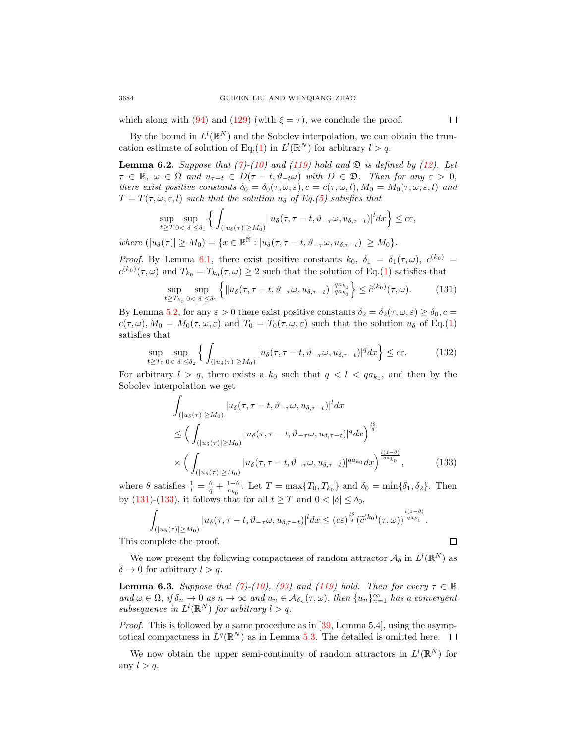which along with [\(94\)](#page-20-3) and [\(129\)](#page-28-2) (with  $\xi = \tau$ ), we conclude the proof.

By the bound in  $L^l(\mathbb{R}^N)$  and the Sobolev interpolation, we can obtain the trun-cation estimate of solution of Eq.[\(1\)](#page-0-0) in  $L^l(\mathbb{R}^N)$  for arbitrary  $l > q$ .

**Lemma 6.2.** Suppose that [\(7\)](#page-4-0)-[\(10\)](#page-5-4) and [\(119\)](#page-26-1) hold and  $\mathfrak{D}$  is defined by [\(12\)](#page-5-3). Let  $\tau \in \mathbb{R}, \ \omega \in \Omega \ \text{and} \ u_{\tau-t} \in D(\tau-t, \vartheta_{-t}\omega) \ \text{with} \ D \in \mathfrak{D}.$  Then for any  $\varepsilon > 0$ , there exist positive constants  $\delta_0 = \delta_0(\tau, \omega, \varepsilon), c = c(\tau, \omega, l), M_0 = M_0(\tau, \omega, \varepsilon, l)$  and  $T = T(\tau, \omega, \varepsilon, l)$  such that the solution  $u_{\delta}$  of Eq.[\(5\)](#page-1-0) satisfies that

$$
\sup_{t\geq T}\sup_{0<|\delta|\leq\delta_0}\Big\{\int_{(|u_{\delta}(\tau)|\geq M_0)}|u_{\delta}(\tau,\tau-t,\vartheta_{-\tau}\omega,u_{\delta,\tau-t})|^ldx\Big\}\leq c\varepsilon,
$$

where  $(|u_{\delta}(\tau)| \geq M_0) = \{x \in \mathbb{R}^{\mathbb{N}} : |u_{\delta}(\tau, \tau - t, \vartheta_{-\tau}\omega, u_{\delta, \tau - t})| \geq M_0\}.$ 

*Proof.* By Lemma [6.1,](#page-26-4) there exist positive constants  $k_0$ ,  $\delta_1 = \delta_1(\tau,\omega)$ ,  $c^{(k_0)}$  $c^{(k_0)}(\tau,\omega)$  and  $T_{k_0}=T_{k_0}(\tau,\omega)\geq 2$  such that the solution of Eq.[\(1\)](#page-0-0) satisfies that

<span id="page-29-0"></span>
$$
\sup_{t\geq T_{k_0}} \sup_{0<|\delta|\leq \delta_1} \left\{ \|u_\delta(\tau, \tau - t, \vartheta_{-\tau}\omega, u_{\delta,\tau-t})\|_{qa_{k_0}}^{qa_{k_0}} \right\} \leq \tilde{c}^{(k_0)}(\tau, \omega). \tag{131}
$$

By Lemma [5.2,](#page-22-2) for any  $\varepsilon > 0$  there exist positive constants  $\delta_2 = \delta_2(\tau, \omega, \varepsilon) \ge \delta_0$ ,  $c =$  $c(\tau,\omega), M_0 = M_0(\tau,\omega,\varepsilon)$  and  $T_0 = T_0(\tau,\omega,\varepsilon)$  such that the solution  $u_\delta$  of Eq.[\(1\)](#page-0-0) satisfies that

$$
\sup_{t \ge T_0} \sup_{0 < |\delta| \le \delta_2} \left\{ \int_{\left( |u_\delta(\tau)| \ge M_0 \right)} |u_\delta(\tau, \tau - t, \vartheta_{-\tau} \omega, u_{\delta, \tau - t})|^q dx \right\} \le c\varepsilon. \tag{132}
$$

For arbitrary  $l > q$ , there exists a  $k_0$  such that  $q < l < qa_{k_0}$ , and then by the Sobolev interpolation we get

<span id="page-29-1"></span>
$$
\int_{\left(\left|u_{\delta}(\tau)\right|\geq M_{0}\right)}\left|u_{\delta}(\tau,\tau-t,\vartheta_{-\tau}\omega,u_{\delta,\tau-t})\right|^{l}dx
$$
\n
$$
\leq \Big(\int_{\left(\left|u_{\delta}(\tau)\right|\geq M_{0}\right)}\left|u_{\delta}(\tau,\tau-t,\vartheta_{-\tau}\omega,u_{\delta,\tau-t})\right|^{q}dx\Big)^{\frac{l\theta}{q}}\n\times\Big(\int_{\left(\left|u_{\delta}(\tau)\right|\geq M_{0}\right)}\left|u_{\delta}(\tau,\tau-t,\vartheta_{-\tau}\omega,u_{\delta,\tau-t})\right|^{qa_{k_{0}}}dx\Big)^{\frac{l(1-\theta)}{qa_{k_{0}}}},\tag{133}
$$

where  $\theta$  satisfies  $\frac{1}{l} = \frac{\theta}{q} + \frac{1-\theta}{a_{k_0}}$ . Let  $T = \max\{T_0, T_{k_0}\}\$  and  $\delta_0 = \min\{\delta_1, \delta_2\}$ . Then by [\(131\)](#page-29-0)-[\(133\)](#page-29-1), it follows that for all  $t \geq T$  and  $0 < |\delta| \leq \delta_0$ ,

$$
\int_{\left(\vert u_{\delta}(\tau)\vert\geq M_{0}\right)}\vert u_{\delta}(\tau,\tau-t,\vartheta_{-\tau}\omega,u_{\delta,\tau-t})\vert^{l}dx\leq\left(c\varepsilon\right)^{\frac{l\theta}{q}}\left(\tilde{c}^{\left(k_{0}\right)}(\tau,\omega)\right)^{\frac{l(1-\theta)}{q_{a_{k_{0}}}}}.
$$
\nmplete the proof.

This complete the proof.

We now present the following compactness of random attractor  $\mathcal{A}_{\delta}$  in  $L^{l}(\mathbb{R}^{N})$  as  $\delta \to 0$  for arbitrary  $l > q$ .

<span id="page-29-2"></span>**Lemma 6.3.** Suppose that [\(7\)](#page-4-0)-[\(10\)](#page-5-4), [\(93\)](#page-20-1) and [\(119\)](#page-26-1) hold. Then for every  $\tau \in \mathbb{R}$ and  $\omega \in \Omega$ , if  $\delta_n \to 0$  as  $n \to \infty$  and  $u_n \in A_{\delta_n}(\tau, \omega)$ , then  $\{u_n\}_{n=1}^{\infty}$  has a convergent subsequence in  $L^l(\mathbb{R}^N)$  for arbitrary  $l > q$ .

Proof. This is followed by a same procedure as in [\[39,](#page-31-16) Lemma 5.4], using the asymptotical compactness in  $L^q(\mathbb{R}^N)$  as in Lemma [5.3.](#page-25-3) The detailed is omitted here.

We now obtain the upper semi-continuity of random attractors in  $L^l(\mathbb{R}^N)$  for any  $l > q$ .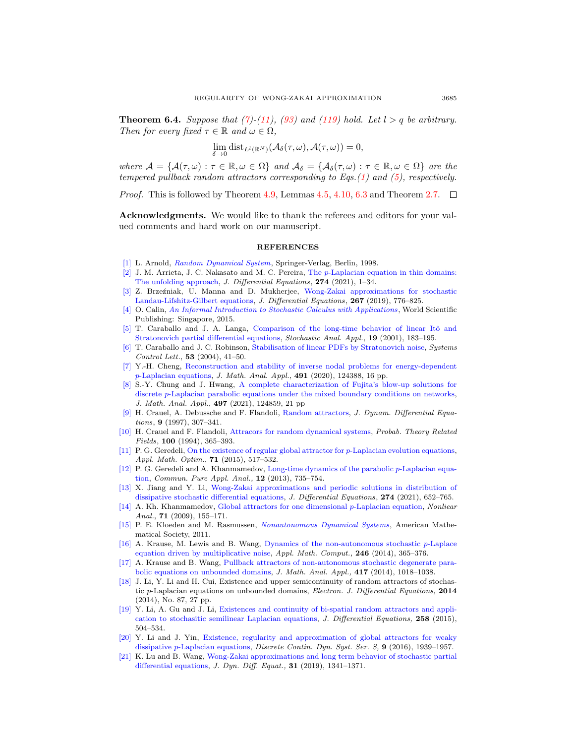<span id="page-30-3"></span>**Theorem 6.4.** Suppose that [\(7\)](#page-4-0)-[\(11\)](#page-5-2), [\(93\)](#page-20-1) and [\(119\)](#page-26-1) hold. Let  $l > q$  be arbitrary. Then for every fixed  $\tau \in \mathbb{R}$  and  $\omega \in \Omega$ ,

$$
\lim_{\delta \to 0} \operatorname{dist}_{L^l(\mathbb{R}^N)}(\mathcal{A}_{\delta}(\tau,\omega), \mathcal{A}(\tau,\omega)) = 0,
$$

where  $\mathcal{A} = {\mathcal{A}(\tau,\omega) : \tau \in \mathbb{R}, \omega \in \Omega}$  and  $\mathcal{A}_{\delta} = {\mathcal{A}_{\delta}(\tau,\omega) : \tau \in \mathbb{R}, \omega \in \Omega}$  are the tempered pullback random attractors corresponding to Eqs.[\(1\)](#page-0-0) and [\(5\)](#page-1-0), respectively.

*Proof.* This is followed by Theorem [4.9,](#page-19-0) Lemmas [4.5,](#page-12-4) [4.10,](#page-19-3) [6.3](#page-29-2) and Theorem [2.7.](#page-4-4)  $\Box$ 

Acknowledgments. We would like to thank the referees and editors for your valued comments and hard work on our manuscript.

## **REFERENCES**

- <span id="page-30-20"></span>[\[1\]](http://www.ams.org/mathscinet-getitem?mr=MR1723992&return=pdf) L. Arnold, [Random Dynamical System](http://dx.doi.org/10.1007/978-3-662-12878-7), Springer-Verlag, Berlin, 1998.
- <span id="page-30-4"></span> $[2]$  J. M. Arrieta, J. C. Nakasato and M. C. Pereira, The p[-Laplacian equation in thin domains:](http://dx.doi.org/10.1016/j.jde.2020.12.004) [The unfolding approach,](http://dx.doi.org/10.1016/j.jde.2020.12.004) J. Differential Equations, 274 (2021), 1–34.
- <span id="page-30-15"></span>[\[3\]](http://www.ams.org/mathscinet-getitem?mr=MR3957972&return=pdf) Z. Brzeźniak, U. Manna and D. Mukherjee, [Wong-Zakai approximations for stochastic](http://dx.doi.org/10.1016/j.jde.2019.01.025) [Landau-Lifshitz-Gilbert equations,](http://dx.doi.org/10.1016/j.jde.2019.01.025) J. Differential Equations, 267 (2019), 776–825.
- <span id="page-30-21"></span>[\[4\]](http://www.ams.org/mathscinet-getitem?mr=MR3379887&return=pdf) O. Calin, [An Informal Introduction to Stochastic Calculus with Applications](http://dx.doi.org/10.1142/9620) , World Scientific Publishing: Singapore, 2015.
- <span id="page-30-2"></span>[\[5\]](http://www.ams.org/mathscinet-getitem?mr=MR1841434&return=pdf) T. Caraballo and J. A. Langa, Comparison of the long-time behavior of linear Itô and [Stratonovich partial differential equations,](http://dx.doi.org/10.1081/SAP-100000758) Stochastic Anal. Appl., 19 (2001), 183–195.
- <span id="page-30-1"></span>[\[6\]](http://www.ams.org/mathscinet-getitem?mr=MR2077187&return=pdf) T. Caraballo and J. C. Robinson, [Stabilisation of linear PDFs by Stratonovich noise,](http://dx.doi.org/10.1016/j.sysconle.2004.02.020) Systems Control Lett., 53 (2004), 41–50.
- <span id="page-30-5"></span>[\[7\]](http://www.ams.org/mathscinet-getitem?mr=MR4123252&return=pdf) Y.-H. Cheng, [Reconstruction and stability of inverse nodal problems for energy-dependent](http://dx.doi.org/10.1016/j.jmaa.2020.124388)  $p$ [-Laplacian equations,](http://dx.doi.org/10.1016/j.jmaa.2020.124388) *J. Math. Anal. Appl.*, **491** (2020), 124388, 16 pp.
- <span id="page-30-6"></span>[\[8\]](http://www.ams.org/mathscinet-getitem?mr=MR4190603&return=pdf) S.-Y. Chung and J. Hwang, [A complete characterization of Fujita's blow-up solutions for](http://dx.doi.org/10.1016/j.jmaa.2020.124859) discrete p[-Laplacian parabolic equations under the mixed boundary conditions on networks,](http://dx.doi.org/10.1016/j.jmaa.2020.124859) J. Math. Anal. Appl., 497 (2021), 124859, 21 pp
- <span id="page-30-19"></span>[\[9\]](http://www.ams.org/mathscinet-getitem?mr=MR1451294&return=pdf) H. Crauel, A. Debussche and F. Flandoli, [Random attractors,](http://dx.doi.org/10.1007/BF02219225) J. Dynam. Differential Equations, 9 (1997), 307–341.
- <span id="page-30-18"></span>[\[10\]](http://www.ams.org/mathscinet-getitem?mr=MR1305587&return=pdf) H. Crauel and F. Flandoli, [Attracors for random dynamical systems,](http://dx.doi.org/10.1007/BF01193705) Probab. Theory Related Fields, 100 (1994), 365–393.
- <span id="page-30-7"></span>[\[11\]](http://www.ams.org/mathscinet-getitem?mr=MR3346711&return=pdf) P. G. Geredeli, [On the existence of regular global attractor for](http://dx.doi.org/10.1007/s00245-014-9268-y) p-Laplacian evolution equations, Appl. Math. Optim., **71** (2015), 517-532.
- <span id="page-30-8"></span>[\[12\]](http://www.ams.org/mathscinet-getitem?mr=MR2982787&return=pdf) P. G. Geredeli and A. Khanmamedov, [Long-time dynamics of the parabolic](http://dx.doi.org/10.3934/cpaa.2013.12.735) p-Laplacian equa[tion,](http://dx.doi.org/10.3934/cpaa.2013.12.735) Commun. Pure Appl. Anal., 12 (2013), 735–754.
- <span id="page-30-16"></span>[\[13\]](http://www.ams.org/mathscinet-getitem?mr=MR4188992&return=pdf) X. Jiang and Y. Li, [Wong-Zakai approximations and periodic solutions in distribution of](http://dx.doi.org/10.1016/j.jde.2020.10.022) [dissipative stochastic differential equations,](http://dx.doi.org/10.1016/j.jde.2020.10.022) J. Differential Equations, 274 (2021), 652–765.
- <span id="page-30-9"></span>[\[14\]](http://www.ams.org/mathscinet-getitem?mr=MR2518023&return=pdf) A. Kh. Khanmamedov, [Global attractors for one dimensional](http://dx.doi.org/10.1016/j.na.2008.10.037) p-Laplacian equation, Nonliear Anal.,  $71$  (2009), 155-171.
- <span id="page-30-17"></span>[\[15\]](http://www.ams.org/mathscinet-getitem?mr=MR2808288&return=pdf) P. E. Kloeden and M. Rasmussen, [Nonautonomous Dynamical Systems](http://dx.doi.org/10.1090/surv/176), American Mathematical Society, 2011.
- <span id="page-30-10"></span>[\[16\]](http://www.ams.org/mathscinet-getitem?mr=MR3265876&return=pdf) A. Krause, M. Lewis and B. Wang, [Dynamics of the non-autonomous stochastic](http://dx.doi.org/10.1016/j.amc.2014.08.033) p-Laplace [equation driven by multiplicative noise,](http://dx.doi.org/10.1016/j.amc.2014.08.033) Appl. Math. Comput., 246 (2014), 365-376.
- <span id="page-30-11"></span>[\[17\]](http://www.ams.org/mathscinet-getitem?mr=MR3194527&return=pdf) A. Krause and B. Wang, [Pullback attractors of non-autonomous stochastic degenerate para](http://dx.doi.org/10.1016/j.jmaa.2014.03.037)[bolic equations on unbounded domains,](http://dx.doi.org/10.1016/j.jmaa.2014.03.037) J. Math. Anal. Appl., 417 (2014), 1018–1038.
- <span id="page-30-12"></span>[\[18\]](http://www.ams.org/mathscinet-getitem?mr=MR3193993&return=pdf) J. Li, Y. Li and H. Cui, Existence and upper semicontinuity of random attractors of stochastic p-Laplacian equations on unbounded domains, Electron. J. Differential Equations, 2014 (2014), No. 87, 27 pp.
- <span id="page-30-13"></span>[\[19\]](http://www.ams.org/mathscinet-getitem?mr=MR3274767&return=pdf) Y. Li, A. Gu and J. Li, [Existences and continuity of bi-spatial random attractors and appli](http://dx.doi.org/10.1016/j.jde.2014.09.021)[cation to stochasitic semilinear Laplacian equations,](http://dx.doi.org/10.1016/j.jde.2014.09.021) J. Differential Equations, 258 (2015), 504–534.
- <span id="page-30-14"></span>[\[20\]](http://www.ams.org/mathscinet-getitem?mr=MR3593411&return=pdf) Y. Li and J. Yin, [Existence, regularity and approximation of global attractors for weaky](http://dx.doi.org/10.3934/dcdss.2016079) dissipative p[-Laplacian equations,](http://dx.doi.org/10.3934/dcdss.2016079) Discrete Contin. Dyn. Syst. Ser. S, 9 (2016), 1939–1957.
- <span id="page-30-0"></span>[\[21\]](http://www.ams.org/mathscinet-getitem?mr=MR3992075&return=pdf) K. Lu and B. Wang, [Wong-Zakai approximations and long term behavior of stochastic partial](http://dx.doi.org/10.1007/s10884-017-9626-y) [differential equations,](http://dx.doi.org/10.1007/s10884-017-9626-y) J. Dyn. Diff. Equat., 31 (2019), 1341–1371.